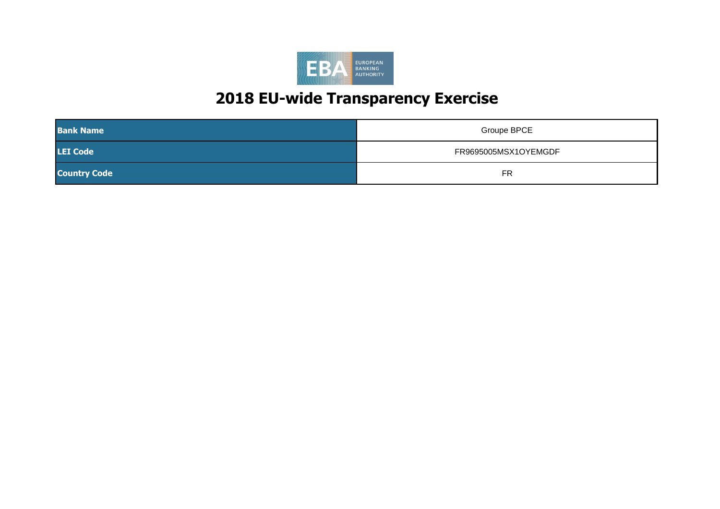

| <b>Bank Name</b>    | Groupe BPCE          |
|---------------------|----------------------|
| <b>LEI Code</b>     | FR9695005MSX1OYEMGDF |
| <b>Country Code</b> | <b>FR</b>            |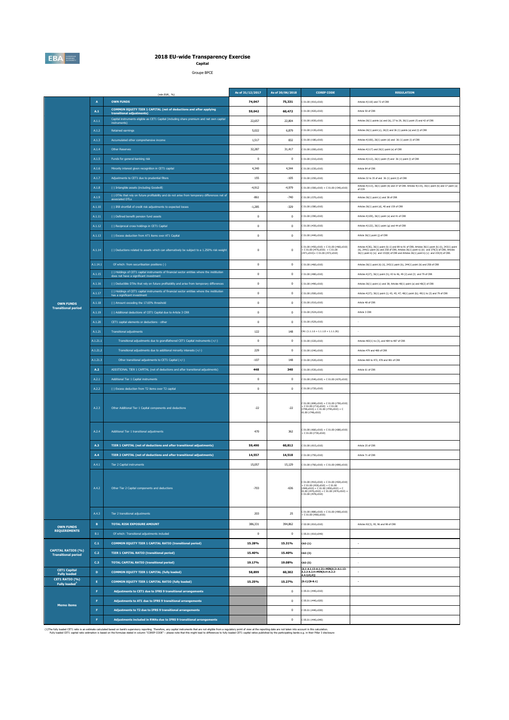

# **2018 EU-wide Transparency Exercise Capital**

Groupe BPCE

|                                                         |                 | (mln EUR. %)                                                                                                                           | As of 31/12/2017 | As of 30/06/2018 | <b>COREP CODE</b>                                                                                                                                                                      | <b>REGULATION</b>                                                                                                                                                                                                                                                                                                                     |
|---------------------------------------------------------|-----------------|----------------------------------------------------------------------------------------------------------------------------------------|------------------|------------------|----------------------------------------------------------------------------------------------------------------------------------------------------------------------------------------|---------------------------------------------------------------------------------------------------------------------------------------------------------------------------------------------------------------------------------------------------------------------------------------------------------------------------------------|
|                                                         | $\mathbf{A}$    | <b>OWN FUNDS</b>                                                                                                                       | 74,047           | 75,331           | C 01.00 (r010,c010)                                                                                                                                                                    | Articles 4(118) and 72 of CRR                                                                                                                                                                                                                                                                                                         |
|                                                         | A.1             | COMMON EQUITY TIER 1 CAPITAL (net of deductions and after applying<br>transitional adjustments)                                        | 59,042           | 60,472           | 201.00 (r020, c010)                                                                                                                                                                    | Article 50 of CRR                                                                                                                                                                                                                                                                                                                     |
|                                                         | A.1.1           | Capital instruments eligible as CET1 Capital (including share premium and net own capital<br>instruments)                              | 22,657           | 22,804           | 201.00 (r030, c010)                                                                                                                                                                    | Articles 26(1) points (a) and (b), 27 to 29, 36(1) point (f) and 42 of CRR                                                                                                                                                                                                                                                            |
|                                                         | A.1.2           | <b>Retained earnings</b>                                                                                                               | 5.022            | 6,879            | C 01.00 (r130.c010)                                                                                                                                                                    | Articles 26(1) point (c), 26(2) and 36 (1) points (a) and (l) of CRR                                                                                                                                                                                                                                                                  |
|                                                         | A.1.3           | Accumulated other comprehensive income                                                                                                 | 1,517            | 832              | 201.00 (r180, c010)                                                                                                                                                                    | Articles 4(100), 26(1) point (d) and 36 (1) point (l) of CRR                                                                                                                                                                                                                                                                          |
|                                                         | A.1.4           | Other Reserves                                                                                                                         | 32,287           | 31,417           | C 01.00 (r200,c010)                                                                                                                                                                    | Articles 4(117) and 26(1) point (e) of CRR                                                                                                                                                                                                                                                                                            |
|                                                         | A.1.5           | Funds for general banking risk                                                                                                         | $\,0\,$          | $\bf 0$          | C 01.00 (r210,c010)                                                                                                                                                                    | Articles 4(112), 26(1) point (f) and 36 (1) point (l) of CRR                                                                                                                                                                                                                                                                          |
|                                                         | A.1.6           | Minority interest given recognition in CET1 capital                                                                                    | 4,340            | 4.544            | 01.00 (r230,c010)                                                                                                                                                                      | Article 84 of CRR                                                                                                                                                                                                                                                                                                                     |
|                                                         | A.1.7           | Adjustments to CET1 due to prudential filters                                                                                          | 155              | $-105$           | 01.00 (r250,c010)                                                                                                                                                                      | Articles 32 to 35 of and 36 (1) point (I) of CRR                                                                                                                                                                                                                                                                                      |
|                                                         | A.1.8           | (-) Intangible assets (including Goodwill)                                                                                             | $-4,912$         | $-4,979$         | C 01.00 (r300,c010) + C 01.00 (r340,c010)                                                                                                                                              | Articles 4(113), 36(1) point (b) and 37 of CRR. Articles 4(115), 36(1) point (b) and 37 point (a) of CCR                                                                                                                                                                                                                              |
|                                                         | A.1.9           | (-) DTAs that rely on future profitability and do not arise from temporary differences net of<br>associated DTLs                       | $-861$           | $-740$           | C 01.00 (r370,c010)                                                                                                                                                                    | Articles 36(1) point (c) and 38 of CRR                                                                                                                                                                                                                                                                                                |
|                                                         | A.1.10          | (-) IRB shortfall of credit risk adjustments to expected losses                                                                        | $-1,285$         | $-329$           | 01.00 (r380,c010)                                                                                                                                                                      | Articles 36(1) point (d), 40 and 159 of CRR                                                                                                                                                                                                                                                                                           |
|                                                         | A.1.11          | (-) Defined benefit pension fund assets                                                                                                | $\mathbf{0}$     | $\mathbf{0}$     | C 01.00 (r390,c010)                                                                                                                                                                    | Articles 4(109), 36(1) point (e) and 41 of CRR                                                                                                                                                                                                                                                                                        |
|                                                         | A.1.12          | (-) Reciprocal cross holdings in CET1 Capital                                                                                          | $\,0\,$          | $\bf 0$          | C 01.00 (r430,c010)                                                                                                                                                                    | Articles 4(122), 36(1) point (g) and 44 of CRR                                                                                                                                                                                                                                                                                        |
|                                                         | A.1.13          | (-) Excess deduction from AT1 items over AT1 Capital                                                                                   | $\mathbf{0}$     | $\mathbf{0}$     | 201.00 (r440, c010)                                                                                                                                                                    | Article 36(1) point (j) of CRR                                                                                                                                                                                                                                                                                                        |
|                                                         | A.1.14          | (-) Deductions related to assets which can alternatively be subject to a 1.250% risk weight                                            | $\bf{0}$         | $\bf{0}$         | $01.00$ (r450,c010) + C 01.00 (r460,c010)<br>FC 01.00 (r470,c010) + C 01.00<br>r471,c010) + C 01.00 (r472,c010)                                                                        | Articles 4(36), 36(1) point (k) (i) and 89 to 91 of CRR; Articles 36(1) point (k) (ii), 243(1) point<br>(b), $244(1)$ point (b) and $258$ of CRR; Articles $36(1)$ point k) (ii) and $379(3)$ of CRR; Articles $36(1)$ point k) (iv) and $153(8)$ of CRR and Articles $36(1)$ point k) (v) and $153(8)$ of CRR and Articles $36(1)$ p |
|                                                         | A.1.14.1        | Of which: from securitisation positions (-)                                                                                            | $\,0\,$          | $\bf 0$          | 01.00 (r460,c010)                                                                                                                                                                      | Articles 36(1) point (k) (ii), 243(1) point (b), 244(1) point (b) and 258 of CRR                                                                                                                                                                                                                                                      |
|                                                         | A.1.15          | (-) Holdings of CET1 capital instruments of financial sector entities where the institiution<br>does not have a significant investment | $^{\circ}$       | $\mathbf{0}$     | C 01.00 (r480,c010)                                                                                                                                                                    | Articles 4(27), 36(1) point (h); 43 to 46, 49 (2) and (3) and 79 of CRR                                                                                                                                                                                                                                                               |
|                                                         | A.1.16          | (-) Deductible DTAs that rely on future profitability and arise from temporary differences                                             | $\,0\,$          | $\bf 0$          | 01.00 (r490,c010)                                                                                                                                                                      | Articles 36(1) point (c) and 38; Articles 48(1) point (a) and 48(2) of CRR                                                                                                                                                                                                                                                            |
|                                                         | A.1.17          | (-) Holdings of CET1 capital instruments of financial sector entities where the institution<br>has a significant investment            | $\mathbf{0}$     | $\mathbf{0}$     | C 01.00 (r500,c010)                                                                                                                                                                    | Articles 4(27); 36(1) point (i); 43, 45; 47; 48(1) point (b); 49(1) to (3) and 79 of CRR                                                                                                                                                                                                                                              |
| <b>OWN FUNDS</b><br><b>Transitional period</b>          | A.1.18          | (-) Amount exceding the 17.65% threshold                                                                                               | $\,0\,$          | $\bf 0$          | C 01.00 (r510,c010)                                                                                                                                                                    | Article 48 of CRR                                                                                                                                                                                                                                                                                                                     |
|                                                         | A.1.19          | (-) Additional deductions of CET1 Capital due to Article 3 CRR                                                                         | $\mathbf{0}$     | $\mathbf{0}$     | C 01.00 (rS24.c010)                                                                                                                                                                    | Article 3 CRR                                                                                                                                                                                                                                                                                                                         |
|                                                         | A.1.20          | CET1 capital elements or deductions - other                                                                                            | $\,0\,$          | $\bf 0$          | 01.00 (r529,c010)                                                                                                                                                                      |                                                                                                                                                                                                                                                                                                                                       |
|                                                         | A.1.21          | <b>Transitional adjustments</b>                                                                                                        | 122              | 148              | $CA1$ {1.1.1.6 + 1.1.1.8 + 1.1.1.26}                                                                                                                                                   |                                                                                                                                                                                                                                                                                                                                       |
|                                                         | A.1.21.1        | Transitional adjustments due to grandfathered CET1 Capital instruments (+/-)                                                           | $\bf{0}$         | $\bf{0}$         | C 01.00 (r220,c010)                                                                                                                                                                    | Articles 483(1) to (3), and 484 to 487 of CRR                                                                                                                                                                                                                                                                                         |
|                                                         | A.1.21.2        | Transitional adjustments due to additional minority interests (+/-)                                                                    | 229              | $\bf{0}$         | 201.00 (r240, c010)                                                                                                                                                                    | Articles 479 and 480 of CRR                                                                                                                                                                                                                                                                                                           |
|                                                         | A.1.21.3        | Other transitional adjustments to CET1 Capital (+/-)                                                                                   | $-107$           | 148              | C 01.00 (r520,c010)                                                                                                                                                                    | Articles 469 to 472, 478 and 481 of CRR                                                                                                                                                                                                                                                                                               |
|                                                         | A.2             | ADDITIONAL TIER 1 CAPITAL (net of deductions and after transitional adjustments)                                                       | 448              | 340              | C 01.00 (r530,c010)                                                                                                                                                                    | Article 61 of CRR                                                                                                                                                                                                                                                                                                                     |
|                                                         | A.2.1           | Additional Tier 1 Capital instruments                                                                                                  | $\mathbf{0}$     | $\mathbf{0}$     | $201.00$ (r540,c010) + C 01.00 (r670,c010)                                                                                                                                             |                                                                                                                                                                                                                                                                                                                                       |
|                                                         | A.2.2           | (-) Excess deduction from T2 items over T2 capital                                                                                     | $\,0\,$          | $\bf 0$          | 01.00 (r720,c010)                                                                                                                                                                      |                                                                                                                                                                                                                                                                                                                                       |
|                                                         | A.2.3           | Other Additional Tier 1 Capital components and deductions                                                                              | $-22$            | $-22$            | $01.00$ (r690,c010) + C 01.00 (r700,c010)<br>$-C 01.00 (r710.c010) + C 01.00$<br>740,c010) + C 01.00 (r744,c010) + C<br>01.00 (r748,c010)                                              |                                                                                                                                                                                                                                                                                                                                       |
|                                                         | A.2.4           | Additional Tier 1 transitional adjustments                                                                                             | 470              | 362              | C 01.00 (r660,c010) + C 01.00 (r680,c010)<br>+ C 01.00 (r730,c010)                                                                                                                     |                                                                                                                                                                                                                                                                                                                                       |
|                                                         | A.3             | TIER 1 CAPITAL (net of deductions and after transitional adjustments)                                                                  | 59,490           | 60,812           | 201.00 (r015, c010)                                                                                                                                                                    | Article 25 of CRR                                                                                                                                                                                                                                                                                                                     |
|                                                         | A.4             | TIER 2 CAPITAL (net of deductions and after transitional adjustments)                                                                  | 14,557           | 14,518           | 01.00 (r750,c010)                                                                                                                                                                      | Article 71 of CRR                                                                                                                                                                                                                                                                                                                     |
|                                                         | A.4.1           | Tier 2 Capital instruments                                                                                                             | 15,057           | 15,129           | $C 01.00 (r760, c010) + C 01.00 (r890, c010)$                                                                                                                                          |                                                                                                                                                                                                                                                                                                                                       |
|                                                         | A.4.2           | Other Tier 2 Capital components and deductions                                                                                         | $-703$           | $-636$           | : 01.00 (r910,c010) + C 01.00 (r920,c010)<br>- C 01.00 (r930,c010) + C 01.00<br>r940,c010) + C 01.00 (r950,c010) + C<br>(1.00 (r970,c010) + C 01.00 (r974,c010) +<br>01.00 (r978,c010) |                                                                                                                                                                                                                                                                                                                                       |
|                                                         | A.4.3           | Tier 2 transitional adjustments                                                                                                        | 203              | 25               | : 01.00 (r880,c010) + C 01.00 (r900,c010)<br>+ C 01.00 (r960,c010)                                                                                                                     |                                                                                                                                                                                                                                                                                                                                       |
| <b>OWN FUNDS</b>                                        | B               | <b>TOTAL RISK EXPOSURE AMOUNT</b>                                                                                                      | 386,331          | 394,862          | C 02.00 (r010.c010)                                                                                                                                                                    | Articles 92(3), 95, 96 and 98 of CRR                                                                                                                                                                                                                                                                                                  |
| <b>REQUIREMENTS</b>                                     | $_{\rm B.1}$    | Of which: Transitional adjustments included                                                                                            | $\,0\,$          | $\bf 0$          | 05.01 (r010;c040)                                                                                                                                                                      |                                                                                                                                                                                                                                                                                                                                       |
|                                                         | C <sub>1</sub>  | <b>COMMON EQUITY TIER 1 CAPITAL RATIO (transitional period)</b>                                                                        | 15.28%           | 15.31%           | CA3 {1}                                                                                                                                                                                | ٠                                                                                                                                                                                                                                                                                                                                     |
| <b>CAPITAL RATIOS (%)</b><br><b>Transitional period</b> | C.2             | <b>TIER 1 CAPITAL RATIO (transitional period)</b>                                                                                      | 15.40%           | 15.40%           | CA3 (3)                                                                                                                                                                                | ×                                                                                                                                                                                                                                                                                                                                     |
|                                                         | C <sub>13</sub> | <b>TOTAL CAPITAL RATIO (transitional period)</b>                                                                                       | 19.17%           | 19.08%           | CA3 (5)                                                                                                                                                                                |                                                                                                                                                                                                                                                                                                                                       |
| <b>CET1 Capital</b><br><b>Fully loaded</b>              | $\mathbf D$     | COMMON EQUITY TIER 1 CAPITAL (fully loaded)                                                                                            | 58,899           | 60,302           | [A.1-A.1.13-A.1.21+MIN(A.2+A.1.13-<br>.2.2-A.2.4+MIN(A.4+A.2.2-<br>(4.3, 0), 0)                                                                                                        | $\overline{\phantom{a}}$                                                                                                                                                                                                                                                                                                              |
| CET1 RATIO (%)<br><b>Fully loaded</b>                   | $\mathbf{E}$    | COMMON EQUITY TIER 1 CAPITAL RATIO (fully loaded)                                                                                      | 15.25%           | 15.27%           | $[D.1]/[B-B.1]$                                                                                                                                                                        | ÷,                                                                                                                                                                                                                                                                                                                                    |
|                                                         | F.              | Adjustments to CET1 due to IFRS 9 transitional arrangements                                                                            |                  | $\mathbf{0}$     | 05.01 (r440,c010)                                                                                                                                                                      |                                                                                                                                                                                                                                                                                                                                       |
| <b>Memo items</b>                                       | F               | Adjustments to AT1 due to IFRS 9 transitional arrangements                                                                             |                  | $\bf 0$          | 05.01 (r440,c020)                                                                                                                                                                      |                                                                                                                                                                                                                                                                                                                                       |
|                                                         | F.              | Adjustments to T2 due to IFRS 9 transitional arrangements                                                                              |                  | $\mathbf{0}$     | 05.01 (r440,c030)                                                                                                                                                                      |                                                                                                                                                                                                                                                                                                                                       |
|                                                         | F               | Adjustments included in RWAs due to IFRS 9 transitional arrangements                                                                   |                  | $\bf 0$          | 05.01 (r440,c040)                                                                                                                                                                      |                                                                                                                                                                                                                                                                                                                                       |
|                                                         |                 |                                                                                                                                        |                  |                  |                                                                                                                                                                                        |                                                                                                                                                                                                                                                                                                                                       |

(1)The fully load CETI attack an estimate ackulated based on bank's supervisory reporting. The fully may capital instruments that are not eligible from a requiston, part in its calculation. Develops in the compart of the s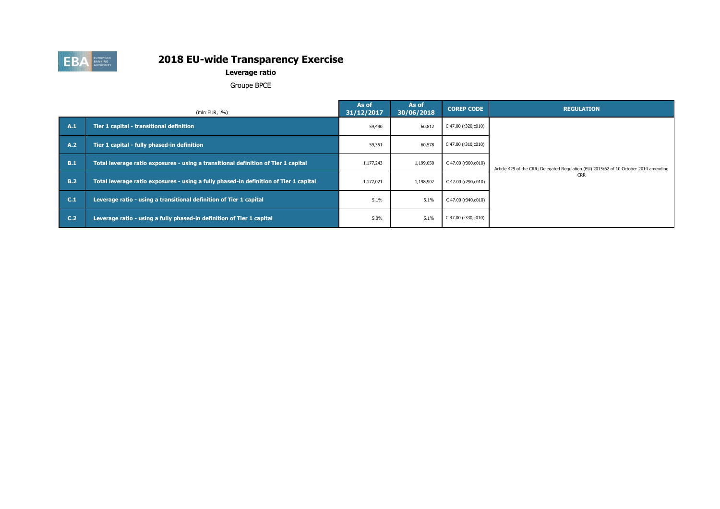

# **Leverage ratio**

Groupe BPCE

|                | (mln EUR, $\%$ )                                                                      | As of<br>31/12/2017 | As of<br>30/06/2018 | <b>COREP CODE</b>   | <b>REGULATION</b>                                                                     |
|----------------|---------------------------------------------------------------------------------------|---------------------|---------------------|---------------------|---------------------------------------------------------------------------------------|
| A.1            | Tier 1 capital - transitional definition                                              | 59,490              | 60,812              | C 47.00 (r320,c010) |                                                                                       |
| A.2            | Tier 1 capital - fully phased-in definition                                           | 59,351              | 60,578              | C 47.00 (r310,c010) |                                                                                       |
| B.1            | Total leverage ratio exposures - using a transitional definition of Tier 1 capital    | 1,177,243           | 1,199,050           | C 47.00 (r300,c010) | Article 429 of the CRR; Delegated Regulation (EU) 2015/62 of 10 October 2014 amending |
| B.2            | Total leverage ratio exposures - using a fully phased-in definition of Tier 1 capital | 1,177,021           | 1,198,902           | C 47.00 (r290,c010) | <b>CRR</b>                                                                            |
| C.1            | Leverage ratio - using a transitional definition of Tier 1 capital                    | 5.1%                | 5.1%                | C 47.00 (r340,c010) |                                                                                       |
| C <sub>2</sub> | Leverage ratio - using a fully phased-in definition of Tier 1 capital                 | 5.0%                | 5.1%                | C 47.00 (r330,c010) |                                                                                       |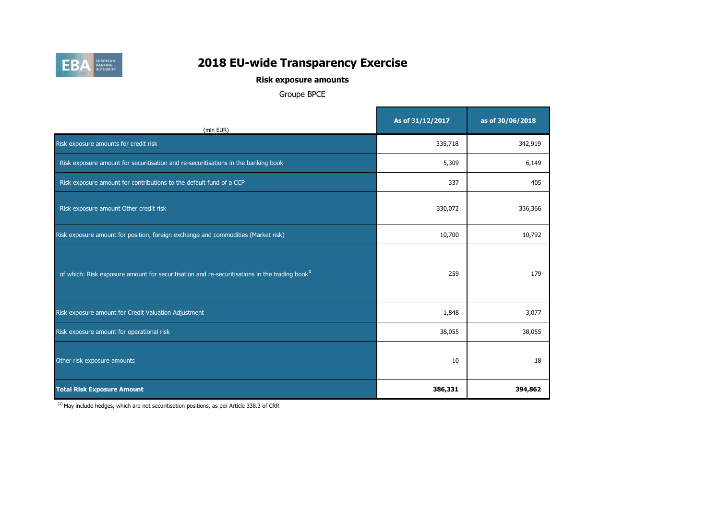

# **Risk exposure amounts**

# Groupe BPCE

T

| (mln EUR)                                                                                                 | As of 31/12/2017 | as of 30/06/2018 |
|-----------------------------------------------------------------------------------------------------------|------------------|------------------|
| Risk exposure amounts for credit risk                                                                     | 335,718          | 342,919          |
| Risk exposure amount for securitisation and re-securitisations in the banking book                        | 5,309            | 6,149            |
| Risk exposure amount for contributions to the default fund of a CCP                                       | 337              | 405              |
| Risk exposure amount Other credit risk                                                                    | 330,072          | 336,366          |
| Risk exposure amount for position, foreign exchange and commodities (Market risk)                         | 10,700           | 10,792           |
| of which: Risk exposure amount for securitisation and re-securitisations in the trading book <sup>1</sup> | 259              | 179              |
| Risk exposure amount for Credit Valuation Adjustment                                                      | 1,848            | 3,077            |
| Risk exposure amount for operational risk                                                                 | 38,055           | 38,055           |
| Other risk exposure amounts                                                                               | 10               | 18               |
| <b>Total Risk Exposure Amount</b>                                                                         | 386,331          | 394,862          |

 $(1)$  May include hedges, which are not securitisation positions, as per Article 338.3 of CRR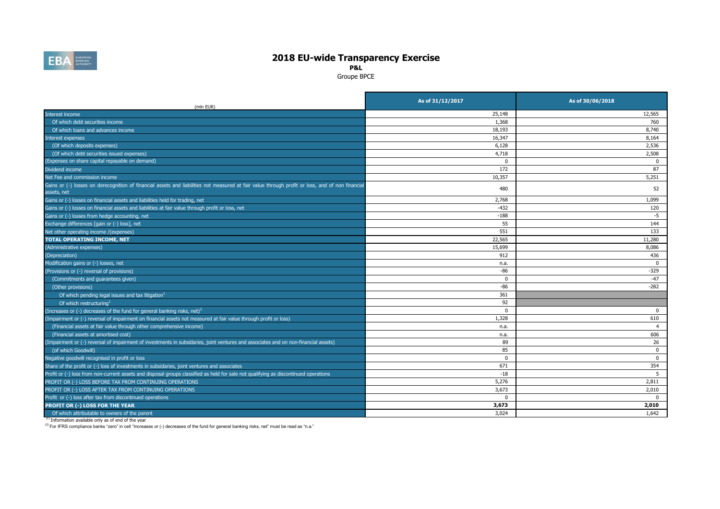

**P&L**

Groupe BPCE

| (mln EUR)                                                                                                                                                       | As of 31/12/2017 | As of 30/06/2018 |
|-----------------------------------------------------------------------------------------------------------------------------------------------------------------|------------------|------------------|
| Interest income                                                                                                                                                 | 25,148           | 12,565           |
| Of which debt securities income                                                                                                                                 | 1,368            | 760              |
| Of which loans and advances income                                                                                                                              | 18,193           | 8,740            |
| Interest expenses                                                                                                                                               | 16,347           | 8,164            |
| (Of which deposits expenses)                                                                                                                                    | 6,128            | 2,536            |
| (Of which debt securities issued expenses)                                                                                                                      | 4,718            | 2,508            |
| (Expenses on share capital repayable on demand)                                                                                                                 | $\Omega$         | $\Omega$         |
| Dividend income                                                                                                                                                 | 172              | 87               |
| Net Fee and commission income                                                                                                                                   | 10,357           | 5,251            |
| Gains or (-) losses on derecognition of financial assets and liabilities not measured at fair value through profit or loss, and of non financial<br>assets, net | 480              | 52               |
| Gains or (-) losses on financial assets and liabilities held for trading, net                                                                                   | 2,768            | 1,099            |
| Gains or (-) losses on financial assets and liabilities at fair value through profit or loss, net                                                               | $-432$           | 120              |
| Gains or (-) losses from hedge accounting, net                                                                                                                  | $-188$           | $-5$             |
| Exchange differences [gain or (-) loss], net                                                                                                                    | 55               | 144              |
| Net other operating income /(expenses)                                                                                                                          | 551              | 133              |
| <b>TOTAL OPERATING INCOME, NET</b>                                                                                                                              | 22,565           | 11,280           |
| (Administrative expenses)                                                                                                                                       | 15,699           | 8,086            |
| (Depreciation)                                                                                                                                                  | 912              | 436              |
| Modification gains or (-) losses, net                                                                                                                           | n.a.             | $\mathbf 0$      |
| (Provisions or (-) reversal of provisions)                                                                                                                      | -86              | $-329$           |
| (Commitments and guarantees given)                                                                                                                              | $\Omega$         | $-47$            |
| (Other provisions)                                                                                                                                              | -86              | $-282$           |
| Of which pending legal issues and tax litigation <sup>1</sup>                                                                                                   | 361              |                  |
| Of which restructuring <sup>1</sup>                                                                                                                             | 92               |                  |
| (Increases or (-) decreases of the fund for general banking risks, net) <sup>2</sup>                                                                            | $^{\circ}$       | 0                |
| (Impairment or (-) reversal of impairment on financial assets not measured at fair value through profit or loss)                                                | 1,328            | 610              |
| (Financial assets at fair value through other comprehensive income)                                                                                             | n.a.             | $\overline{4}$   |
| (Financial assets at amortised cost)                                                                                                                            | n.a.             | 606              |
| (Impairment or (-) reversal of impairment of investments in subsidaries, joint ventures and associates and on non-financial assets)                             | 89               | 26               |
| (of which Goodwill)                                                                                                                                             | 85               | $\mathbf 0$      |
| Negative goodwill recognised in profit or loss                                                                                                                  | $^{\circ}$       | $\mathbf 0$      |
| Share of the profit or (-) loss of investments in subsidaries, joint ventures and associates                                                                    | 671              | 354              |
| Profit or (-) loss from non-current assets and disposal groups classified as held for sale not qualifying as discontinued operations                            | $-18$            | 5                |
| PROFIT OR (-) LOSS BEFORE TAX FROM CONTINUING OPERATIONS                                                                                                        | 5,276            | 2,811            |
| PROFIT OR (-) LOSS AFTER TAX FROM CONTINUING OPERATIONS                                                                                                         | 3,673            | 2,010            |
| Profit or (-) loss after tax from discontinued operations                                                                                                       | $\Omega$         | $\Omega$         |
| <b>PROFIT OR (-) LOSS FOR THE YEAR</b>                                                                                                                          | 3,673            | 2,010            |
| Of which attributable to owners of the parent                                                                                                                   | 3.024            | 1.642            |

(1) Information available only as of end of the year

(2) For IFRS compliance banks "zero" in cell "Increases or (-) decreases of the fund for general banking risks, net" must be read as "n.a."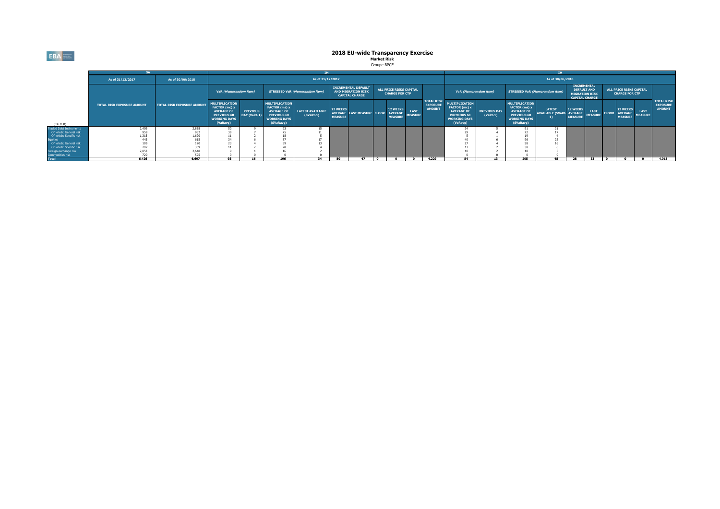**EBA** 

### **2018 EU-wide Transparency Exercise Market Risk** Groupe BPCE

### **As of 31/12/2017 As of 30/06/2018** (mln EUR) **MULTIPLICATION FACTOR (mc) x AVERAGE OF PREVIOUS 60 WORKING DAYS (VaRavg) PREVIOUS DAY (VaRt-1) MULTIPLICATION FACTOR (ms) x AVERAGE OF PREVIOUS 60 WORKING DAYS (SVaRavg) LATEST AVAILABLE (SVaRt-1) 12 WEEKS AVERAGE MEASURE LAST MEASUR 12 WEEKS AVERAGE MEASURE LAST MEASURE MULTIPLICATION FACTOR (mc) x AVERAGE OF PREVIOUS 60 WORKING DAYS (VaRavg) PREVIOUS DAY (VaRt-1) MULTIPLICATION FACTOR (ms) x AVERAGE OF PREVIOUS 60 WORKING DAYS (SVaRavg) LATEST AVAILABLE (SVaRt-1) 12 WEEKS AVERAGE MEASURE LAST MEASURE FLOOR 12 WEEKS AVERAGE MEASURE LAST MEASURE** Traded Debt Instruments 2,409 2,838 50 9 93 15 34 5 91 21 Of which: General risk 958 | 932 | 39 | / | / 2 | 11 | | | | | | | | | | | | | | 29 | 4 | /2 | 1/ Of which: Specific risk 1,215 1,690 11 2 18 5 5 1 19 4 Equities | 6 | 96 | 22 Of which: General risk 109 | 120 | 23 | 4 | 59 | 13 | | | | | | | | | 27 | 4 | 58 | 16 Of which: Specific risk 297 | 38 | 369 | 11 | 2 | 28 | 4 | | | | | | | | | | | 13 | 2 | 38 | 6 Foreign exchange risk 2,853 2,648 9 1 16 2 10 2 18 5 Commundates as the contract the contract of the contract of the contract of the contract of the contract of the contract of the contract of the contract of the contract of the contract of the contract of the contract of t **SA IM IM TOTAL RISK EXPOSURE AMOUNT TOTAL RISK EXPOSURE AMOUNT VaR (Memorandum item) STRESSED VaR (Memorandum item) INCREMENTAL DEFAULT AND MIGRATION RISK CAPITAL CHARGE STRESSED VaR (Memorandum item) INCREMENTAL DEFAULT AND MIGRATION RISK CAPITAL CHARGE ALL PRICE RISKS CAPITAL CHARGE FOR CTP TOTAL RISK EXPOSURE AMOUNT As of 31/12/2017 As of 30/06/2018 ALL PRICE RISKS CAPITAL CHARGE FOR CTP TOTAL RISK EXPOSURE AMOUNT VaR (Memorandum item)**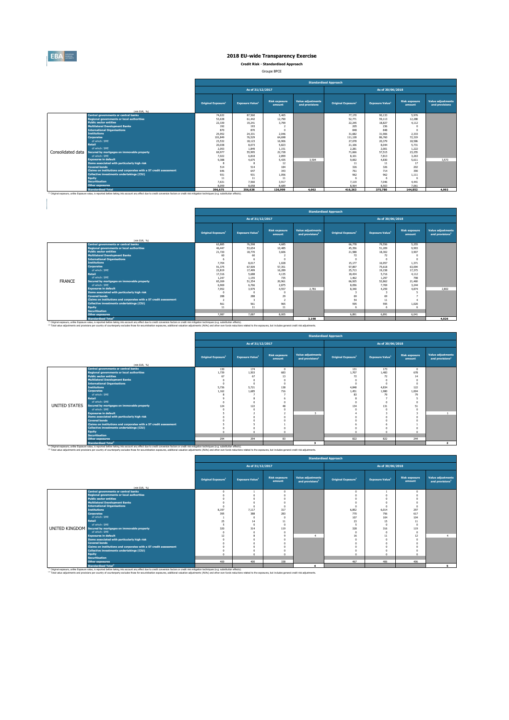

 $\begin{array}{c} \hline \end{array}$ 

# **2018 EU-wide Transparency Exercise**

**Credit Risk - Standardised Approach**

Groupe BPCE

|                   |                                                                                                                                                                                                               |                                |                                    |                                |                                            | <b>Standardised Approach</b>   |                                    |                                |                                            |
|-------------------|---------------------------------------------------------------------------------------------------------------------------------------------------------------------------------------------------------------|--------------------------------|------------------------------------|--------------------------------|--------------------------------------------|--------------------------------|------------------------------------|--------------------------------|--------------------------------------------|
|                   |                                                                                                                                                                                                               |                                | As of 31/12/2017                   |                                |                                            |                                | As of 30/06/2018                   |                                |                                            |
|                   | (mln EUR. %)                                                                                                                                                                                                  | Original Exposure <sup>1</sup> | <b>Exposure Value</b> <sup>1</sup> | <b>Risk exposure</b><br>amount | <b>Value adjustments</b><br>and provisions | Original Exposure <sup>1</sup> | <b>Exposure Value</b> <sup>1</sup> | <b>Risk exposure</b><br>amount | <b>Value adjustments</b><br>and provisions |
|                   | <b>Central governments or central banks</b>                                                                                                                                                                   | 74.632                         | 87,560                             | 5.465                          |                                            | 77,170                         | 90.133                             | 5.976                          |                                            |
|                   | <b>Regional governments or local authorities</b>                                                                                                                                                              | 53,638                         | 61,442                             | 12.790                         |                                            | 52,771                         | 59.113                             | 12.288                         |                                            |
|                   | <b>Public sector entities</b>                                                                                                                                                                                 | 22,339                         | 19.241                             | 3,799                          |                                            | 22,245                         | 18.827                             | 4.112                          |                                            |
|                   | <b>Multilateral Development Banks</b>                                                                                                                                                                         | 192                            | 193                                |                                |                                            | 205                            | 236                                |                                |                                            |
|                   | <b>International Organisations</b>                                                                                                                                                                            | 870                            | 870                                |                                |                                            | 848                            | 848                                |                                |                                            |
|                   | <b>Tnstitutions</b>                                                                                                                                                                                           | 25.952                         | 24.331                             | 2.046                          |                                            | 31,682                         | 31,906                             | 2.333                          |                                            |
|                   | <b>Corporates</b>                                                                                                                                                                                             | 101,849                        | 76.529                             | 64,698                         |                                            | 111,128                        | 86,760                             | 72.319                         |                                            |
|                   | of which: SME                                                                                                                                                                                                 | 23.532                         | 18.123                             | 16.906                         |                                            | 27,078                         | 20.379                             | 18,586                         |                                            |
|                   | <b>Retail</b>                                                                                                                                                                                                 | 20.038                         | 8.073                              | 5.823                          |                                            | 21.106                         | 8.044                              | 5.731                          |                                            |
|                   | of which: SME                                                                                                                                                                                                 | 2.053                          | 1.849                              | 1.151                          |                                            | 2.281                          | 2.001                              | 1.222                          |                                            |
| Consolidated data | Secured by mortgages on immovable property                                                                                                                                                                    | 69.977                         | 55,995                             | 22,728                         |                                            | 71,666                         | 57.515                             | 23.255                         |                                            |
|                   | of which: SME<br><b>Exposures in default</b>                                                                                                                                                                  | 7.022                          | 6,818                              | 2,899                          |                                            | 8.101                          | 7.813                              | 3.263                          |                                            |
|                   | Items associated with particularly high risk                                                                                                                                                                  | 9.388                          | 4.675                              | 5.435<br>12                    | 3.504                                      | 9,692<br>11                    | 4,830<br>11                        | 5.611<br>17                    | 3.573                                      |
|                   | <b>Covered bonds</b>                                                                                                                                                                                          | 514                            | 514                                | 184                            |                                            | 326                            | 326                                | 202                            |                                            |
|                   | Claims on institutions and corporates with a ST credit assessment                                                                                                                                             | 646                            | 647                                | 343                            |                                            | 761                            | 714                                | 390                            |                                            |
|                   | <b>Collective investments undertakings (CIU)</b>                                                                                                                                                              | 931                            | 931                                | 1.056                          |                                            | 962                            | 962                                | 1.111                          |                                            |
|                   | <b>Equity</b>                                                                                                                                                                                                 | 11                             | 11                                 | 11                             |                                            |                                |                                    |                                |                                            |
|                   | <b>Securitisation</b>                                                                                                                                                                                         | 7.631                          | 7.560                              | 3.917                          |                                            | 7.119                          | 7.046                              | 4.441                          |                                            |
|                   | <b>Other exposures</b>                                                                                                                                                                                        | 8.059                          | 8,058                              | 8,689                          |                                            | 8.564                          | 8.503                              | 7.061                          |                                            |
|                   | <b>Standardised Total</b>                                                                                                                                                                                     | 396.675                        | 356,638                            | 136,999                        | 4.002                                      | 416,263                        | 375,780                            | 144.852                        | 4,993                                      |
|                   | <sup>(1)</sup> Original exposure, unlike Exposure value, is reported before taking into account any effect due to credit conversion factors or credit risk mitigation techniques (e.g. substitution effects). |                                |                                    |                                |                                            |                                |                                    |                                |                                            |

|               |                                                                   |                                |                                    |                                |                                                         | <b>Standardised Approach</b>   |                        |                                |                                                         |
|---------------|-------------------------------------------------------------------|--------------------------------|------------------------------------|--------------------------------|---------------------------------------------------------|--------------------------------|------------------------|--------------------------------|---------------------------------------------------------|
|               |                                                                   |                                | As of 31/12/2017                   |                                |                                                         |                                | As of 30/06/2018       |                                |                                                         |
|               | (mln EUR. %)                                                      | Original Exposure <sup>1</sup> | <b>Exposure Value</b> <sup>1</sup> | <b>Risk exposure</b><br>amount | <b>Value adjustments</b><br>and provisions <sup>2</sup> | Original Exposure <sup>1</sup> | <b>Exposure Value1</b> | <b>Risk exposure</b><br>amount | <b>Value adjustments</b><br>and provisions <sup>2</sup> |
|               | Central governments or central banks                              | 63,885                         | 76,598                             | 4.685                          |                                                         | 66,778                         | 79.556                 | 5.255                          |                                                         |
|               | <b>Regional governments or local authorities</b>                  | 46.447                         | 53.654                             | 10.485                         |                                                         | 45.356                         | 51,209                 | 9.993                          |                                                         |
|               | <b>Public sector entities</b>                                     | 21,720                         | 18,770                             | 3,606                          |                                                         | 21.588                         | 18,302                 | 3.907                          |                                                         |
|               | <b>Multilateral Development Banks</b>                             | 60                             | 60                                 |                                |                                                         | 72                             | 72                     | $\Omega$                       |                                                         |
|               | <b>International Organisations</b>                                | 6                              |                                    |                                |                                                         |                                |                        | $\sim$                         |                                                         |
|               | <b>Institutions</b>                                               | 7.704                          | 8.017                              | 1.028                          |                                                         | 15.177                         | 16.957                 | 1.371                          |                                                         |
|               | <b>Corporates</b>                                                 | 91,375                         | 67,509                             | 57.351                         |                                                         | 97.897                         | 75,618                 | 63.094                         |                                                         |
|               | of which: SME                                                     | 22,819                         | 17,499                             | 16,289                         |                                                         | 25.713                         | 19.158                 | 17.373                         |                                                         |
|               | <b>Retail</b>                                                     | 17.316                         | 5,688                              | 4.135                          |                                                         | 18,434                         | 5.716                  | 4.112                          |                                                         |
|               | of which: SME                                                     | 1.247                          | 1.155                              | 735                            |                                                         | 1.462                          | 1.297                  | <b>798</b>                     |                                                         |
| <b>FRANCE</b> | Secured by mortgages on immovable property                        | 65.269                         | 51.354                             | 20.961                         |                                                         | 66,925                         | 52.862                 | 21.460                         |                                                         |
|               | of which: SME                                                     | 6,969                          | 6.766                              | 2.875                          |                                                         | 8.056                          | 7,769                  | 3.244                          |                                                         |
|               | <b>Exposures in default</b>                                       | 7.952                          | 3.979                              | 4.557                          | 2.781                                                   | 8,340                          | 4.259                  | 4.874                          | 2,802                                                   |
|               | Items associated with particularly high risk                      | D.                             |                                    |                                |                                                         |                                |                        |                                |                                                         |
|               | <b>Covered bonds</b>                                              | 288                            | 288                                | 29                             |                                                         | 69                             | 69                     |                                |                                                         |
|               | Claims on institutions and corporates with a ST credit assessment | 2                              |                                    |                                |                                                         | 54                             | 11                     |                                |                                                         |
|               | Collective investments undertakings (CIU)                         | 561                            | 561                                | 965                            |                                                         | 595                            | 595                    | 1.020                          |                                                         |
|               | Equity                                                            | 11                             | 11                                 | 11                             |                                                         |                                |                        | 6                              |                                                         |
|               | <b>Securitisation</b>                                             |                                |                                    |                                |                                                         |                                |                        |                                |                                                         |
|               | <b>Other exposures</b>                                            | 7.087                          | 7.087                              | 8.005                          |                                                         | 6,891                          | 6,891                  | 6.041                          |                                                         |
|               | <b>Standardised Total<sup>2</sup></b>                             |                                |                                    |                                | 3,198                                                   |                                |                        |                                | 4.026                                                   |

Standardised Total<sup>\*</sup><br><sup>19</sup> Original exposure, unlike Exposite of the Standardise taking into account any effect due to credit conversion factors or credit risk milopation techniques (e.g. substitution effects).<br>Total value

|               |                                                                   | <b>Standardised Approach</b>   |                                    |                                |                                                         |                                                                                                                                                                                                                                                                                                                                                                                                                                       |                                    |                                |                                                  |  |  |  |  |  |
|---------------|-------------------------------------------------------------------|--------------------------------|------------------------------------|--------------------------------|---------------------------------------------------------|---------------------------------------------------------------------------------------------------------------------------------------------------------------------------------------------------------------------------------------------------------------------------------------------------------------------------------------------------------------------------------------------------------------------------------------|------------------------------------|--------------------------------|--------------------------------------------------|--|--|--|--|--|
|               |                                                                   |                                | As of 31/12/2017                   |                                |                                                         |                                                                                                                                                                                                                                                                                                                                                                                                                                       | As of 30/06/2018                   |                                |                                                  |  |  |  |  |  |
|               | (mln EUR. %)                                                      | Original Exposure <sup>1</sup> | <b>Exposure Value</b> <sup>1</sup> | <b>Risk exposure</b><br>amount | <b>Value adjustments</b><br>and provisions <sup>2</sup> | Original Exposure <sup>1</sup>                                                                                                                                                                                                                                                                                                                                                                                                        | <b>Exposure Value</b> <sup>1</sup> | <b>Risk exposure</b><br>amount | Value adjustments<br>and provisions <sup>2</sup> |  |  |  |  |  |
|               | Central governments or central banks                              | 130                            | 174                                | $\Omega$                       |                                                         | 131                                                                                                                                                                                                                                                                                                                                                                                                                                   | 173                                | $^{\circ}$                     |                                                  |  |  |  |  |  |
|               | <b>Regional governments or local authorities</b>                  | 1,739                          | 1.503                              | 683                            |                                                         | 1.707                                                                                                                                                                                                                                                                                                                                                                                                                                 | 1.483                              | 678                            |                                                  |  |  |  |  |  |
|               | <b>Public sector entities</b>                                     | 67                             | 67                                 | 13                             |                                                         | 72                                                                                                                                                                                                                                                                                                                                                                                                                                    | 72                                 | 14                             |                                                  |  |  |  |  |  |
|               | <b>Multilateral Development Banks</b>                             |                                |                                    |                                |                                                         |                                                                                                                                                                                                                                                                                                                                                                                                                                       |                                    |                                |                                                  |  |  |  |  |  |
|               | <b>International Organisations</b>                                |                                |                                    |                                |                                                         | $\sqrt{2}$                                                                                                                                                                                                                                                                                                                                                                                                                            |                                    | $\Omega$                       |                                                  |  |  |  |  |  |
|               | <b>Institutions</b>                                               | 5.736                          | 5.721                              | 138                            |                                                         | 4,848                                                                                                                                                                                                                                                                                                                                                                                                                                 | 4,834                              | 122                            |                                                  |  |  |  |  |  |
|               | <b>Corporates</b>                                                 | 1.162                          | 1.685                              | 716                            |                                                         | 1.451                                                                                                                                                                                                                                                                                                                                                                                                                                 | 1.980                              | 1.004                          |                                                  |  |  |  |  |  |
|               | of which: SMF                                                     |                                |                                    |                                |                                                         | 83                                                                                                                                                                                                                                                                                                                                                                                                                                    | 79                                 | 79                             |                                                  |  |  |  |  |  |
|               | <b>Retail</b>                                                     |                                |                                    |                                |                                                         |                                                                                                                                                                                                                                                                                                                                                                                                                                       |                                    |                                |                                                  |  |  |  |  |  |
|               | of which: SMF                                                     |                                | $\sqrt{2}$                         |                                |                                                         | $\Omega$                                                                                                                                                                                                                                                                                                                                                                                                                              | - 0                                |                                |                                                  |  |  |  |  |  |
| UNITED STATES | Secured by mortgages on immovable property                        | 124                            | 122                                |                                |                                                         | 134                                                                                                                                                                                                                                                                                                                                                                                                                                   | 131                                | 51                             |                                                  |  |  |  |  |  |
|               | of which: SME                                                     |                                |                                    |                                |                                                         |                                                                                                                                                                                                                                                                                                                                                                                                                                       |                                    |                                |                                                  |  |  |  |  |  |
|               | <b>Exposures in default</b>                                       |                                |                                    |                                | $\overline{\mathbf{z}}$                                 |                                                                                                                                                                                                                                                                                                                                                                                                                                       |                                    |                                |                                                  |  |  |  |  |  |
|               | Items associated with particularly high risk                      |                                |                                    |                                |                                                         |                                                                                                                                                                                                                                                                                                                                                                                                                                       |                                    |                                |                                                  |  |  |  |  |  |
|               | <b>Covered bonds</b>                                              |                                |                                    |                                |                                                         |                                                                                                                                                                                                                                                                                                                                                                                                                                       |                                    |                                |                                                  |  |  |  |  |  |
|               | Claims on institutions and corporates with a ST credit assessment |                                |                                    |                                |                                                         |                                                                                                                                                                                                                                                                                                                                                                                                                                       |                                    |                                |                                                  |  |  |  |  |  |
|               | Collective investments undertakings (CIU)                         |                                |                                    |                                |                                                         |                                                                                                                                                                                                                                                                                                                                                                                                                                       |                                    |                                |                                                  |  |  |  |  |  |
|               | <b>Equity</b>                                                     |                                |                                    |                                |                                                         | $\sim$                                                                                                                                                                                                                                                                                                                                                                                                                                |                                    |                                |                                                  |  |  |  |  |  |
|               | <b>Securitisation</b>                                             |                                |                                    |                                |                                                         |                                                                                                                                                                                                                                                                                                                                                                                                                                       |                                    |                                |                                                  |  |  |  |  |  |
|               | <b>Other exposures</b>                                            | 294                            | 294                                | 83                             |                                                         | 822                                                                                                                                                                                                                                                                                                                                                                                                                                   | 822                                | 244                            |                                                  |  |  |  |  |  |
|               | <b>Standardised Total<sup>2</sup></b>                             |                                |                                    |                                |                                                         |                                                                                                                                                                                                                                                                                                                                                                                                                                       |                                    |                                |                                                  |  |  |  |  |  |
|               |                                                                   |                                |                                    |                                |                                                         | (ii) Original exposure, unlike Exposure value, is reported before taking into account any effect due to credit conversion factors or credit risk mitigation techniques (e.g. substitution effects).<br>(2) Total value adjustments and provisions per country of counterparty excludes those for securistisation exposures, additional valuation adjustments (AVAs) and other own funds reductions related to the exposures, but incl |                                    |                                |                                                  |  |  |  |  |  |

|                                                                   | <b>Standardised Approach</b>   |                                    |                                |                                                  |                                |                                    |                                |                                                  |
|-------------------------------------------------------------------|--------------------------------|------------------------------------|--------------------------------|--------------------------------------------------|--------------------------------|------------------------------------|--------------------------------|--------------------------------------------------|
|                                                                   |                                | As of 31/12/2017                   |                                |                                                  | As of 30/06/2018               |                                    |                                |                                                  |
| (mln EUR. 96)                                                     | Original Exposure <sup>1</sup> | <b>Exposure Value</b> <sup>1</sup> | <b>Risk exposure</b><br>amount | Value adjustments<br>and provisions <sup>2</sup> | Original Exposure <sup>1</sup> | <b>Exposure Value</b> <sup>1</sup> | <b>Risk exposure</b><br>amount | Value adjustments<br>and provisions <sup>2</sup> |
| Central governments or central banks                              | n                              |                                    |                                |                                                  |                                |                                    | $\Omega$                       |                                                  |
| <b>Regional governments or local authorities</b>                  |                                |                                    |                                |                                                  |                                |                                    |                                |                                                  |
| <b>Public sector entities</b>                                     |                                |                                    |                                |                                                  |                                |                                    |                                |                                                  |
| <b>Multilateral Development Banks</b>                             |                                |                                    |                                |                                                  |                                |                                    |                                |                                                  |
| <b>International Organisations</b>                                |                                |                                    |                                |                                                  |                                |                                    |                                |                                                  |
| <b>Institutions</b>                                               | 8.197                          | 7.117                              | 317                            |                                                  | 6.852                          | 6.014                              | 297                            |                                                  |
| <b>Corporates</b>                                                 | 395                            | 388                                | 283                            |                                                  | 770                            | 756                                | 617                            |                                                  |
| of which: SME                                                     |                                |                                    |                                |                                                  | 107                            | 104                                | 104                            |                                                  |
| <b>Retail</b>                                                     | 25                             | 14                                 | 11                             |                                                  | 23                             | 15                                 | 11                             |                                                  |
| of which: SME                                                     |                                |                                    |                                |                                                  |                                | $\sqrt{2}$                         |                                |                                                  |
| UNITED KINGDOM Secured by mortgages on immovable property         | 320                            | 314                                | 119                            |                                                  | 328                            | 316                                | 119                            |                                                  |
| of which: SME                                                     | $\Omega$                       |                                    |                                |                                                  | $\sqrt{2}$                     | $\sqrt{2}$                         | $\Omega$                       |                                                  |
| <b>Exposures in default</b>                                       | 12                             |                                    |                                |                                                  | 16                             | 11                                 | 12                             |                                                  |
| Items associated with particularly high risk                      |                                |                                    |                                |                                                  |                                |                                    |                                |                                                  |
| <b>Covered bonds</b>                                              |                                |                                    |                                |                                                  |                                |                                    |                                |                                                  |
| Claims on institutions and corporates with a ST credit assessment |                                |                                    |                                |                                                  |                                |                                    |                                |                                                  |
| <b>Collective investments undertakings (CIU)</b>                  |                                |                                    |                                |                                                  |                                |                                    |                                |                                                  |
| <b>Equity</b>                                                     |                                |                                    |                                |                                                  |                                | $\overline{ }$                     |                                |                                                  |
| <b>Securitisation</b>                                             |                                |                                    |                                |                                                  |                                |                                    |                                |                                                  |
| <b>Other exposures</b>                                            | 400                            | 400                                | 338                            |                                                  | 467                            | 406                                | 406                            |                                                  |
| <b>Standardised Total<sup>2</sup></b>                             |                                |                                    |                                |                                                  |                                |                                    |                                |                                                  |

Standardised Total<sup>2</sup><br>This income unit Exported between the standardise between facts or edit in instant income of the standardise income<br>This value adjuding to a movement of contents of contents the for securities in expo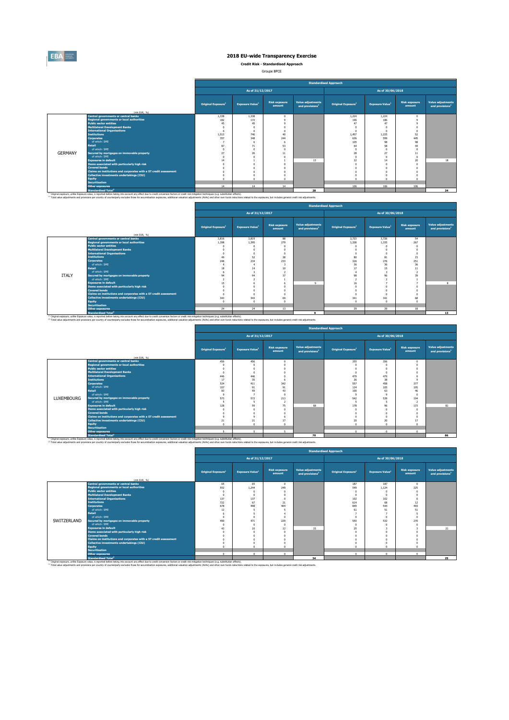

**Credit Risk - Standardised Approach**

Groupe BPCE

|                |                                                                                                                                                                                                    |                                |                                    |                                |                                                  | <b>Standardised Approach</b>   |                                    |                                |                                                  |
|----------------|----------------------------------------------------------------------------------------------------------------------------------------------------------------------------------------------------|--------------------------------|------------------------------------|--------------------------------|--------------------------------------------------|--------------------------------|------------------------------------|--------------------------------|--------------------------------------------------|
|                |                                                                                                                                                                                                    |                                | As of 31/12/2017                   |                                |                                                  |                                | As of 30/06/2018                   |                                |                                                  |
|                | (mln EUR. %)                                                                                                                                                                                       | Original Exposure <sup>1</sup> | <b>Exposure Value</b> <sup>1</sup> | <b>Risk exposure</b><br>amount | Value adjustments<br>and provisions <sup>2</sup> | Original Exposure <sup>1</sup> | <b>Exposure Value</b> <sup>1</sup> | <b>Risk exposure</b><br>amount | Value adjustments<br>and provisions <sup>2</sup> |
|                | <b>Central governments or central banks</b>                                                                                                                                                        | 1.338                          | 1.338                              | $\sqrt{2}$                     |                                                  | 1.224                          | 1.224                              |                                |                                                  |
|                | <b>Regional governments or local authorities</b>                                                                                                                                                   | 182                            | 172                                |                                |                                                  | 196                            | 186                                |                                |                                                  |
|                | <b>Public sector entities</b>                                                                                                                                                                      | 45                             | 45                                 |                                |                                                  | 47                             | 47                                 |                                |                                                  |
|                | <b>Multilateral Development Banks</b>                                                                                                                                                              | $\sqrt{2}$                     |                                    |                                |                                                  |                                |                                    |                                |                                                  |
|                | <b>International Organisations</b>                                                                                                                                                                 | $\sim$                         |                                    |                                |                                                  | $\Omega$                       |                                    |                                |                                                  |
|                | <b>Tnstitutions</b>                                                                                                                                                                                | 1.013                          | 746                                | 40                             |                                                  | 1.457                          | 1.225                              | 52                             |                                                  |
|                | <b>Corporates</b>                                                                                                                                                                                  | 357                            | 348                                | 244                            |                                                  | 636                            | 599                                | 445                            |                                                  |
|                | of which: SME                                                                                                                                                                                      |                                |                                    |                                |                                                  | 105                            | 98                                 | 98                             |                                                  |
|                | <b>Retail</b>                                                                                                                                                                                      | 87                             | 71                                 | 53                             |                                                  | 64                             | 58                                 | 44                             |                                                  |
|                | of which: SME                                                                                                                                                                                      | $\Omega$                       |                                    | $\Omega$                       |                                                  | $\Omega$                       |                                    |                                |                                                  |
| <b>GERMANY</b> | Secured by mortgages on immovable property                                                                                                                                                         | 27                             | 26                                 | 11                             |                                                  | 28                             | 27                                 | 11                             |                                                  |
|                | of which: SME                                                                                                                                                                                      | $\sqrt{2}$                     |                                    |                                |                                                  | $\Omega$                       |                                    |                                |                                                  |
|                | <b>Exposures in default</b>                                                                                                                                                                        | 14                             |                                    |                                | 13                                               | 32                             | 14                                 | 20                             | 18                                               |
|                | Items associated with particularly high risk                                                                                                                                                       | $\sqrt{2}$                     |                                    |                                |                                                  | $\Omega$                       |                                    |                                |                                                  |
|                | <b>Covered bonds</b>                                                                                                                                                                               |                                |                                    |                                |                                                  |                                |                                    |                                |                                                  |
|                | Claims on institutions and corporates with a ST credit assessment                                                                                                                                  |                                |                                    |                                |                                                  |                                |                                    |                                |                                                  |
|                | Collective investments undertakings (CIU)                                                                                                                                                          | $\Omega$                       |                                    |                                |                                                  |                                |                                    |                                |                                                  |
|                | <b>Equity</b>                                                                                                                                                                                      | $\sim$                         |                                    |                                |                                                  | $\Omega$                       |                                    |                                |                                                  |
|                | <b>Securitisation</b>                                                                                                                                                                              |                                |                                    |                                |                                                  |                                |                                    |                                |                                                  |
|                | <b>Other exposures</b>                                                                                                                                                                             | 14                             | 14                                 | 14                             |                                                  | 106                            | 106                                | 106                            |                                                  |
|                | <b>Standardised Total<sup>2</sup></b>                                                                                                                                                              |                                |                                    |                                | 28                                               |                                |                                    |                                | 24                                               |
|                | (i) Original exposure, unlike Exposure value, is reported before taking into account any effect due to credit conversion factors or credit risk mitioation techniques (e.g. substitution effects). |                                |                                    |                                |                                                  |                                |                                    |                                |                                                  |

<sup>co</sup> Odnal exposur, unile Exposure value, is reported before thein any account any effect due to remain conversion factors or edit rak mitigation technique, (e.g., substitute the exposure, and the rown funds reduced to the

|              |                                                                   |                                |                                    |                                |                                                         | <b>Standardised Approach</b>   |                                    |                                |                                                  |
|--------------|-------------------------------------------------------------------|--------------------------------|------------------------------------|--------------------------------|---------------------------------------------------------|--------------------------------|------------------------------------|--------------------------------|--------------------------------------------------|
|              |                                                                   |                                | As of 31/12/2017                   |                                |                                                         |                                | As of 30/06/2018                   |                                |                                                  |
|              | (mln EUR, %)                                                      | Original Exposure <sup>1</sup> | <b>Exposure Value</b> <sup>1</sup> | <b>Risk exposure</b><br>amount | <b>Value adjustments</b><br>and provisions <sup>2</sup> | Original Exposure <sup>1</sup> | <b>Exposure Value</b> <sup>1</sup> | <b>Risk exposure</b><br>amount | Value adjustments<br>and provisions <sup>2</sup> |
|              | <b>Central governments or central banks</b>                       | 3.816                          | 3,819                              | 88                             |                                                         | 3.723                          | 3.726                              | 54                             |                                                  |
|              | <b>Regional governments or local authorities</b>                  | 1.398                          | 1.395                              | 279                            |                                                         | 1.338                          | 1.335                              | 267                            |                                                  |
|              | <b>Public sector entities</b>                                     |                                |                                    | $\sqrt{2}$                     |                                                         | $\Omega$                       |                                    |                                |                                                  |
|              | <b>Multilateral Development Banks</b>                             |                                |                                    |                                |                                                         | $\Omega$                       |                                    |                                |                                                  |
|              | <b>International Organisations</b>                                |                                | n                                  |                                |                                                         | $\Omega$                       |                                    |                                |                                                  |
|              | <b>Institutions</b>                                               | 49                             | 52                                 | 38                             |                                                         | 80                             | 81                                 | 15                             |                                                  |
|              | <b>Corporates</b>                                                 | 248                            | 234                                | 233                            |                                                         | 326                            | 276                                | 251                            |                                                  |
|              | of which: SME                                                     |                                |                                    |                                |                                                         | 36                             | 36                                 | 36                             |                                                  |
|              | Retail                                                            | 18                             | 14                                 | 10 <sup>1</sup>                |                                                         | 17                             | 15                                 | 11                             |                                                  |
|              | of which: SME                                                     |                                |                                    |                                |                                                         |                                |                                    |                                |                                                  |
| <b>ITALY</b> | Secured by mortgages on immovable property                        | q <sub>4</sub>                 | Q <sub>4</sub>                     | 37                             |                                                         | 98                             | 96                                 | 39                             |                                                  |
|              | of which: SME                                                     |                                |                                    |                                |                                                         |                                |                                    |                                |                                                  |
|              | <b>Exposures in default</b>                                       | 15                             |                                    |                                | $\sim$                                                  | 16                             |                                    |                                |                                                  |
|              | Items associated with particularly high risk                      |                                |                                    |                                |                                                         | $\Omega$                       |                                    |                                |                                                  |
|              | <b>Covered bonds</b>                                              |                                |                                    |                                |                                                         | $\sqrt{2}$                     |                                    |                                |                                                  |
|              | Claims on institutions and corporates with a ST credit assessment |                                | $\Omega$                           |                                |                                                         | $\Omega$                       |                                    |                                |                                                  |
|              | <b>Collective investments undertakings (CIU)</b>                  | 343                            | 343                                | 69                             |                                                         | 341                            | 341                                | 68                             |                                                  |
|              | Equity                                                            |                                | n                                  | $\sim$                         |                                                         | $\Omega$                       |                                    |                                |                                                  |
|              | <b>Securitisation</b>                                             |                                |                                    |                                |                                                         |                                |                                    |                                |                                                  |
|              | <b>Other exposures</b>                                            | 24                             | 24                                 | 13                             |                                                         | 29                             | 29                                 | 18                             |                                                  |
|              | <b>Standardised Total<sup>2</sup></b>                             |                                |                                    |                                | $\circ$                                                 |                                |                                    |                                | 13                                               |

Standardised Total<sup>\*</sup><br><sup>10</sup> Original exposure, unlike Exposite of the Standardise taking into account any effect due to credit conversion factors or credit niti miliopsion techniques (e.g. substitution effects).<br><sup>22</sup> Total Ė

|            |                                                                   |                                |                                    |                                |                                                         | <b>Standardised Approach</b>   |                                    |                                |                                                  |
|------------|-------------------------------------------------------------------|--------------------------------|------------------------------------|--------------------------------|---------------------------------------------------------|--------------------------------|------------------------------------|--------------------------------|--------------------------------------------------|
|            |                                                                   |                                | As of 31/12/2017                   |                                |                                                         |                                | As of 30/06/2018                   |                                |                                                  |
|            | (mln EUR. %)                                                      | Original Exposure <sup>1</sup> | <b>Exposure Value</b> <sup>1</sup> | <b>Risk exposure</b><br>amount | <b>Value adjustments</b><br>and provisions <sup>2</sup> | Original Exposure <sup>1</sup> | <b>Exposure Value</b> <sup>1</sup> | <b>Risk exposure</b><br>amount | Value adjustments<br>and provisions <sup>2</sup> |
|            | Central governments or central banks                              | 456                            | 456                                | $\Omega$                       |                                                         | 355                            | 356                                |                                |                                                  |
|            | <b>Regional governments or local authorities</b>                  |                                |                                    |                                |                                                         |                                |                                    |                                |                                                  |
|            | <b>Public sector entities</b>                                     |                                |                                    |                                |                                                         | $\theta$                       |                                    |                                |                                                  |
|            | <b>Multilateral Development Banks</b>                             |                                | $\Omega$                           |                                |                                                         | $\Omega$                       |                                    |                                |                                                  |
|            | <b>International Organisations</b>                                | 446                            | 446                                |                                |                                                         | 479                            | 479                                |                                |                                                  |
|            | <b>Institutions</b>                                               | 17                             | 35                                 |                                |                                                         | 26                             | 38                                 |                                |                                                  |
|            | <b>Corporates</b>                                                 | 524                            | 411                                | 342                            |                                                         | 557                            | 458                                | 377                            |                                                  |
|            | of which: SME                                                     | 107                            | 91                                 | 91                             |                                                         | 124                            | 105                                | 105                            |                                                  |
|            | Retail                                                            | 83                             | 59                                 | 43                             |                                                         | 100                            | 63                                 | 46                             |                                                  |
|            | of which: SME                                                     |                                |                                    | $\sqrt{2}$                     |                                                         | $\ddot{q}$                     |                                    |                                |                                                  |
| LUXEMBOURG | Secured by mortgages on immovable property                        | 573                            | 572                                | 213                            |                                                         | 542                            | 539                                | 194                            |                                                  |
|            | of which: SME                                                     |                                | 5                                  | $\overline{z}$                 |                                                         | 5                              |                                    |                                |                                                  |
|            | <b>Exposures in default</b>                                       | 128                            | 59                                 | 75                             | 68                                                      | 178                            | 96                                 | 115                            | R1                                               |
|            | Items associated with particularly high risk                      |                                |                                    |                                |                                                         | D.                             |                                    |                                |                                                  |
|            | <b>Covered bonds</b>                                              |                                | $\Omega$                           |                                |                                                         | $\Omega$                       |                                    |                                |                                                  |
|            | Claims on institutions and corporates with a ST credit assessment |                                |                                    |                                |                                                         | $\theta$                       |                                    |                                |                                                  |
|            | Collective investments undertakings (CIU)                         | 21                             | 21                                 | 17<br>$\sim$                   |                                                         | 20<br>$\Omega$                 | 20                                 | 17                             |                                                  |
|            | <b>Equity</b><br><b>Securitisation</b>                            |                                |                                    |                                |                                                         |                                |                                    |                                |                                                  |
|            |                                                                   | $\mathbf{r}$                   | ×,                                 |                                |                                                         |                                |                                    | $\Omega$                       |                                                  |
|            | <b>Other exposures</b>                                            |                                |                                    | 5                              |                                                         | $\Omega$                       | $\Omega$                           |                                |                                                  |
|            | <b>Standardised Total<sup>2</sup></b>                             |                                |                                    |                                | 70                                                      |                                |                                    |                                | 86                                               |

**Standardised Total<sup>2</sup><br>
Inc. value is reported before taking into** (1) Original exposure, unlike Exposure value, is reported before taking into account any effect due to credit conversion factors or credit risk mitigation value to credit risk mitigation techniques (e.g. substitution effec <sup>(2)</sup> Total value adjustments and provisions per country of counterparty excludes those for securistisation exposures. additional valuation adjustments (AVAs) and other own funds reductions related to the exposures. but in

|             |                                                                   |                                |                                    |                                |                                                         | <b>Standardised Approach</b>   |                                    |                                |                                                  |
|-------------|-------------------------------------------------------------------|--------------------------------|------------------------------------|--------------------------------|---------------------------------------------------------|--------------------------------|------------------------------------|--------------------------------|--------------------------------------------------|
|             |                                                                   |                                | As of 31/12/2017                   |                                |                                                         |                                | As of 30/06/2018                   |                                |                                                  |
|             | (mln EUR. 96)                                                     | Original Exposure <sup>1</sup> | <b>Exposure Value</b> <sup>1</sup> | <b>Risk exposure</b><br>amount | <b>Value adjustments</b><br>and provisions <sup>2</sup> | Original Exposure <sup>1</sup> | <b>Exposure Value</b> <sup>1</sup> | <b>Risk exposure</b><br>amount | Value adjustments<br>and provisions <sup>2</sup> |
|             | Central governments or central banks                              | 65                             | 65                                 | $^{\circ}$                     |                                                         | 187                            | 187                                | $\Omega$                       |                                                  |
|             | <b>Regional governments or local authorities</b>                  | 552                            | 1.244                              | 249                            |                                                         | 549                            | 1.124                              | 225                            |                                                  |
|             | <b>Public sector entities</b>                                     | $\Omega$                       |                                    |                                |                                                         |                                |                                    |                                |                                                  |
|             | <b>Multilateral Development Banks</b>                             | $\theta$                       |                                    |                                |                                                         | $\Omega$                       | $\sim$                             |                                |                                                  |
|             | <b>International Organisations</b>                                | 137                            | 137                                | $\Omega$                       |                                                         | 102                            | 102                                |                                |                                                  |
|             | <b>Institutions</b>                                               | 722                            | 67                                 | 21                             |                                                         | 614                            | 68                                 | 12                             |                                                  |
|             | <b>Corporates</b>                                                 | 678                            | 498                                | 404                            |                                                         | 849                            | 544                                | 493                            |                                                  |
|             | of which: SME                                                     | $12\,$                         |                                    |                                |                                                         | 61                             | 51                                 | 51                             |                                                  |
|             | <b>Retail</b>                                                     | 6                              | 5                                  |                                |                                                         | п.                             |                                    |                                |                                                  |
|             | of which: SME                                                     | $\Omega$                       | - O                                | $\sqrt{2}$                     |                                                         | $\Omega$                       | $\sqrt{2}$                         |                                |                                                  |
| SWITZERLAND | Secured by mortgages on immovable property                        | 490                            | 471                                | 229                            |                                                         | 550                            | 532                                | 270                            |                                                  |
|             | of which: SME                                                     | $\Omega$                       |                                    | $\Omega$                       |                                                         | $\Omega$                       |                                    |                                |                                                  |
|             | <b>Exposures in default</b>                                       | 43                             | 10                                 | 12                             | 33                                                      | 25                             |                                    |                                | 21                                               |
|             | Items associated with particularly high risk                      | $\Omega$                       |                                    | $\Omega$                       |                                                         | $\theta$                       | $\Omega$                           |                                |                                                  |
|             | <b>Covered bonds</b>                                              | $\Omega$                       |                                    |                                |                                                         |                                |                                    |                                |                                                  |
|             | Claims on institutions and corporates with a ST credit assessment | $\Omega$                       |                                    |                                |                                                         |                                |                                    |                                |                                                  |
|             | Collective investments undertakings (CIU)                         | $\Omega$                       |                                    |                                |                                                         |                                |                                    |                                |                                                  |
|             | Equity                                                            | $\Omega$                       |                                    | $\sqrt{2}$                     |                                                         | $\sim$                         | $\Omega$                           |                                |                                                  |
|             | <b>Securitisation</b>                                             |                                |                                    |                                |                                                         |                                |                                    |                                |                                                  |
|             | <b>Other exposures</b>                                            | $\Omega$                       | $\sim$                             | $\Omega$                       |                                                         | $\Omega$                       | $\Omega$                           | $\Omega$                       |                                                  |
|             | <b>Standardised Total<sup>2</sup></b>                             |                                |                                    |                                | 34                                                      |                                |                                    |                                | 25                                               |

Standardised Total<sup>2</sup><br>This incours unlie Except the coord betre lating into account any effect due to credit conversion factors or credit risk mitioation techniques (e.e. substitution effects).<br>This value adjustments and p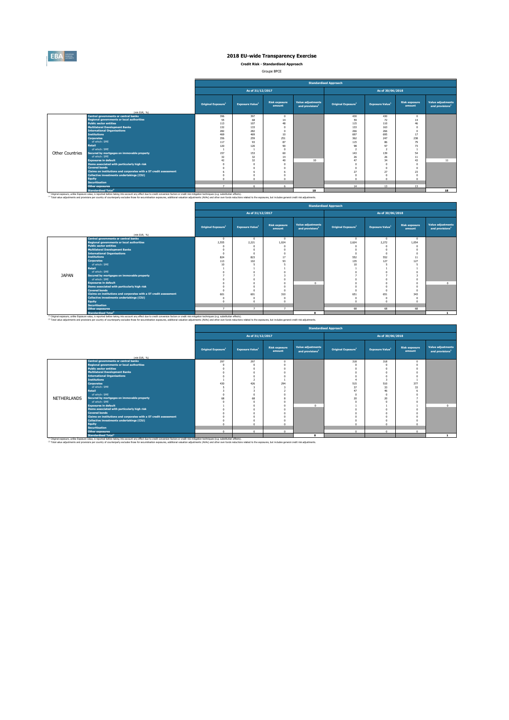

**Credit Risk - Standardised Approach**

Groupe BPCE

|                 |                                                                                                                                                                                                                               |                                |                                    |                                |                                                         | <b>Standardised Approach</b>   |                                    |                                |                                                  |
|-----------------|-------------------------------------------------------------------------------------------------------------------------------------------------------------------------------------------------------------------------------|--------------------------------|------------------------------------|--------------------------------|---------------------------------------------------------|--------------------------------|------------------------------------|--------------------------------|--------------------------------------------------|
|                 |                                                                                                                                                                                                                               |                                | As of 31/12/2017                   |                                |                                                         |                                | As of 30/06/2018                   |                                |                                                  |
|                 | (min EUR. 96)                                                                                                                                                                                                                 | Original Exposure <sup>1</sup> | <b>Exposure Value</b> <sup>1</sup> | <b>Risk exposure</b><br>amount | <b>Value adjustments</b><br>and provisions <sup>2</sup> | Original Exposure <sup>1</sup> | <b>Exposure Value</b> <sup>1</sup> | <b>Risk exposure</b><br>amount | Value adjustments<br>and provisions <sup>2</sup> |
|                 | <b>Central governments or central banks</b>                                                                                                                                                                                   | 396                            | 397                                | $\Omega$                       |                                                         | 430                            | 430                                | $\Omega$                       |                                                  |
|                 | <b>Regional governments or local authorities</b>                                                                                                                                                                              | 55                             | 68                                 | 14                             |                                                         | 59                             | 72                                 | 14                             |                                                  |
|                 | <b>Public sector entities</b>                                                                                                                                                                                                 | 113                            | 107                                | 48                             |                                                         | 115                            | 110                                | 46                             |                                                  |
|                 | <b>Multilateral Development Banks</b>                                                                                                                                                                                         | 132                            | 133                                |                                |                                                         | 133                            | 163                                |                                |                                                  |
|                 | <b>International Organisations</b>                                                                                                                                                                                            | 282                            | 282                                |                                |                                                         | 266                            | 266                                |                                |                                                  |
|                 | <b>Tnstitutions</b>                                                                                                                                                                                                           | 469                            | 469                                | 10                             |                                                         | 697                            | 695                                | 17                             |                                                  |
|                 | <b>Corporates</b>                                                                                                                                                                                                             | 356                            | 259                                | 251                            |                                                         | 362                            | 247                                | 238                            |                                                  |
|                 | of which: SME                                                                                                                                                                                                                 | 117                            | 93                                 | 87                             |                                                         | 115                            | 86                                 | 79                             |                                                  |
|                 | <b>Retail</b>                                                                                                                                                                                                                 | 120                            | 120                                | 90                             |                                                         | 98                             | 97                                 | 73                             |                                                  |
| Other Countries | of which: SME                                                                                                                                                                                                                 |                                |                                    | $\Omega$                       |                                                         | $\mathbf{r}$                   |                                    | 54                             |                                                  |
|                 | Secured by mortgages on immovable property<br>of which: SME                                                                                                                                                                   | 157                            | 153                                | 60                             |                                                         | 143                            | 139                                |                                |                                                  |
|                 | <b>Exposures in default</b>                                                                                                                                                                                                   | 32<br>42                       | 32<br>32                           | 14<br>40                       | 10                                                      | 26<br>47                       | 26<br>34                           | 11<br>43                       | 11                                               |
|                 | Items associated with particularly high risk                                                                                                                                                                                  |                                |                                    |                                |                                                         | $\Omega$                       |                                    |                                |                                                  |
|                 | <b>Covered bonds</b>                                                                                                                                                                                                          |                                |                                    |                                |                                                         | $\Omega$                       |                                    |                                |                                                  |
|                 | Claims on institutions and corporates with a ST credit assessment                                                                                                                                                             |                                |                                    |                                |                                                         | 27                             | 27                                 | 23                             |                                                  |
|                 | Collective investments undertakings (CIU)                                                                                                                                                                                     |                                |                                    |                                |                                                         | $\Omega$                       |                                    |                                |                                                  |
|                 | <b>Equity</b>                                                                                                                                                                                                                 |                                | n                                  | $\sqrt{2}$                     |                                                         | $\Omega$                       |                                    |                                |                                                  |
|                 | <b>Securitisation</b>                                                                                                                                                                                                         |                                |                                    |                                |                                                         |                                |                                    |                                |                                                  |
|                 | <b>Other exposures</b>                                                                                                                                                                                                        | $\rightarrow$                  |                                    | 6                              |                                                         | 14                             | 13                                 | 13                             |                                                  |
|                 | <b>Standardised Total<sup>2</sup></b>                                                                                                                                                                                         |                                |                                    |                                | 10                                                      |                                |                                    |                                | 18                                               |
|                 | (4) Adabast accessors, contract forward and consideration into a consideration of the discrimination of the formula distance or could did substantion to be been been been advertised on the set of the set of the set of the |                                |                                    |                                |                                                         |                                |                                    |                                |                                                  |

<sup>co</sup> Odnal exposur, unile Exposure value, is reported before thein any account any effect due to remain conversion factors or edit rak mitigation technique, (e.g., substitute the exposure, and the rown funds reduced to the

|              |                                                                   |                                |                                    |                                |                                                         | <b>Standardised Approach</b>   |                        |                                |                                                  |
|--------------|-------------------------------------------------------------------|--------------------------------|------------------------------------|--------------------------------|---------------------------------------------------------|--------------------------------|------------------------|--------------------------------|--------------------------------------------------|
|              |                                                                   |                                | As of 31/12/2017                   |                                |                                                         |                                | As of 30/06/2018       |                                |                                                  |
|              | (mln EUR, 96)                                                     | Original Exposure <sup>1</sup> | <b>Exposure Value</b> <sup>1</sup> | <b>Risk exposure</b><br>amount | <b>Value adjustments</b><br>and provisions <sup>2</sup> | Original Exposure <sup>1</sup> | <b>Exposure Value1</b> | <b>Risk exposure</b><br>amount | Value adjustments<br>and provisions <sup>2</sup> |
|              | <b>Central governments or central banks</b>                       | $\sqrt{2}$                     |                                    |                                |                                                         | $\sqrt{2}$                     | $\Omega$               |                                |                                                  |
|              | <b>Regional governments or local authorities</b>                  | 2.555                          | 2.221                              | 1.024                          |                                                         | 2.624                          | 2,272                  | 1.054                          |                                                  |
|              | <b>Public sector entities</b>                                     |                                |                                    |                                |                                                         |                                |                        |                                |                                                  |
|              | <b>Multilateral Development Banks</b>                             |                                |                                    |                                |                                                         |                                |                        |                                |                                                  |
|              | <b>International Organisations</b>                                | $\Omega$                       |                                    |                                |                                                         | $\Omega$                       |                        |                                |                                                  |
|              | <b>Institutions</b>                                               | 824                            | 823                                | 17                             |                                                         | 552                            | 552                    | 11                             |                                                  |
|              | <b>Corporates</b>                                                 | 113                            | 102                                | SP                             |                                                         | 135                            | 127                    | 127                            |                                                  |
|              | of which: SME                                                     | 10                             |                                    |                                |                                                         | 10                             |                        |                                |                                                  |
|              | <b>Retail</b>                                                     |                                |                                    |                                |                                                         |                                |                        |                                |                                                  |
|              | of which: SME                                                     |                                |                                    |                                |                                                         |                                |                        |                                |                                                  |
| <b>JAPAN</b> | Secured by mortgages on immovable property                        |                                |                                    |                                |                                                         |                                |                        |                                |                                                  |
|              | of which: SME                                                     |                                |                                    |                                |                                                         |                                |                        |                                |                                                  |
|              | <b>Exposures in default</b>                                       |                                |                                    |                                | $\sim$                                                  |                                |                        |                                | $\sim$                                           |
|              | Items associated with particularly high risk                      |                                |                                    |                                |                                                         |                                |                        |                                |                                                  |
|              | <b>Covered bonds</b>                                              |                                |                                    |                                |                                                         |                                |                        |                                |                                                  |
|              | Claims on institutions and corporates with a ST credit assessment | 601                            | 601                                | 310                            |                                                         | 651                            | 651                    | 343                            |                                                  |
|              | <b>Collective investments undertakings (CIU)</b>                  | $\Omega$<br>$\sim$             |                                    |                                |                                                         | $\Omega$                       |                        |                                |                                                  |
|              | <b>Equity</b><br><b>Securitisation</b>                            |                                |                                    |                                |                                                         | $\Omega$                       |                        |                                |                                                  |
|              | <b>Other exposures</b>                                            | $\rightarrow$                  | -                                  | $\mathbf{z}$                   |                                                         | 68                             | 68                     | 68                             |                                                  |
|              | Chandovilleod Total <sup>2</sup>                                  |                                |                                    |                                | $\sim$                                                  |                                |                        |                                |                                                  |

Standardieed Total<br><sup>18</sup> Original exposure, unlike Exposted Exposited force blue in the comment of the comment inclusion of the comment inclusion techniques (e.g. substitution effects).<br><sup>2</sup> Total sake adjustments and provid  $\blacksquare$ 

|             |                                                                   |                                |                                    |                                |                                                         | <b>Standardised Approach</b>   |                        |                                |                                                  |
|-------------|-------------------------------------------------------------------|--------------------------------|------------------------------------|--------------------------------|---------------------------------------------------------|--------------------------------|------------------------|--------------------------------|--------------------------------------------------|
|             |                                                                   |                                | As of 31/12/2017                   |                                |                                                         |                                | As of 30/06/2018       |                                |                                                  |
|             | (mln EUR. %)                                                      | Original Exposure <sup>1</sup> | <b>Exposure Value</b> <sup>1</sup> | <b>Risk exposure</b><br>amount | <b>Value adjustments</b><br>and provisions <sup>2</sup> | Original Exposure <sup>1</sup> | <b>Exposure Value1</b> | <b>Risk exposure</b><br>amount | Value adjustments<br>and provisions <sup>2</sup> |
|             | <b>Central governments or central banks</b>                       | 297                            | 297                                | $\Omega$                       |                                                         | 318                            | 318                    |                                |                                                  |
|             | <b>Regional governments or local authorities</b>                  |                                |                                    |                                |                                                         |                                |                        |                                |                                                  |
|             | <b>Public sector entities</b>                                     |                                |                                    |                                |                                                         |                                |                        |                                |                                                  |
|             | <b>Multilateral Development Banks</b>                             |                                |                                    |                                |                                                         |                                |                        |                                |                                                  |
|             | <b>International Organisations</b>                                |                                |                                    |                                |                                                         |                                |                        |                                |                                                  |
|             | <b>Institutions</b>                                               |                                |                                    |                                |                                                         |                                |                        |                                |                                                  |
|             | <b>Corporates</b>                                                 | 430                            | 426                                | 294                            |                                                         | 515                            | 510                    | 377                            |                                                  |
|             | of which: SME<br><b>Retail</b>                                    |                                |                                    |                                |                                                         | 37                             | 33                     | 33                             |                                                  |
|             | of which: SME                                                     |                                |                                    |                                |                                                         | 47                             | 46                     |                                |                                                  |
| NETHERLANDS | Secured by mortgages on immovable property                        |                                | 68                                 |                                |                                                         |                                | 20                     |                                |                                                  |
|             | of which: SME                                                     | 68                             |                                    |                                |                                                         | 20                             |                        |                                |                                                  |
|             | <b>Exposures in default</b>                                       |                                |                                    |                                | $\Omega$                                                |                                |                        |                                | $\mathbf{a}$                                     |
|             | Items associated with particularly high risk                      |                                |                                    |                                |                                                         |                                |                        |                                |                                                  |
|             | <b>Covered bonds</b>                                              |                                |                                    |                                |                                                         |                                |                        |                                |                                                  |
|             | Claims on institutions and corporates with a ST credit assessment |                                |                                    |                                |                                                         |                                |                        |                                |                                                  |
|             | <b>Collective investments undertakings (CIU)</b>                  |                                |                                    |                                |                                                         |                                |                        |                                |                                                  |
|             | Equity                                                            |                                |                                    |                                |                                                         |                                |                        |                                |                                                  |
|             | <b>Securitisation</b>                                             |                                |                                    |                                |                                                         |                                |                        |                                |                                                  |
|             | <b>Other exposures</b>                                            | $\sqrt{2}$                     | $\Omega$                           | $\Omega$                       |                                                         | $\Omega$                       | $\Omega$               | $\Omega$                       |                                                  |
|             | <b>Standardised Total<sup>2</sup></b>                             |                                |                                    |                                | $\Omega$                                                |                                |                        |                                |                                                  |

Standardised Total<sup>2</sup><br>This income, unlike Expose basis, and to be the bing into account any effect due to credit conversion factors or credit nitingation techniques (e.g. substitution effects).<br>This value adjustments and c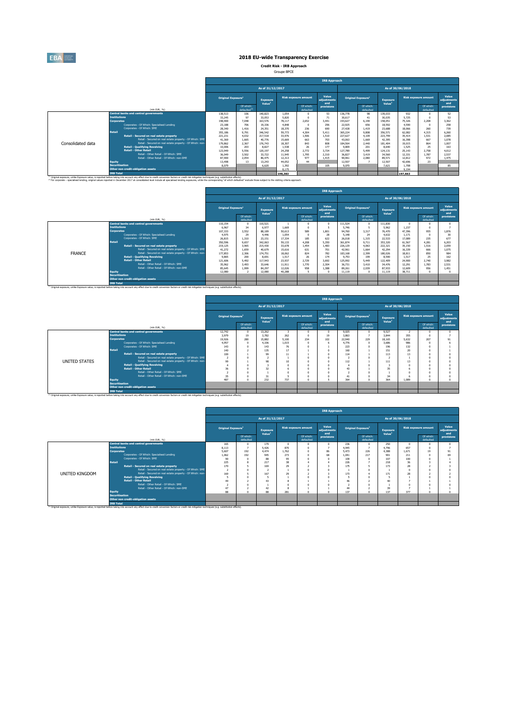

**Credit Risk - IRB Approach** Groupe BPCE

|                                                                                                                                                                                                               |                       |                                                          |                   |                                       |                          |         |                             | <b>IRB Approach</b>         |                          |                        |                                       | As of 30/06/2018<br><b>Risk exposure amount</b><br>Of which:<br>defaulted<br>932<br>5.725<br>75.326<br>2.208<br>4.590<br>18.066<br>260<br>4.315<br>62.082<br>1.531<br>35.414<br>16.398<br>667<br>864<br>19.015<br>25<br>1.525<br>2.758<br>25.143<br>12.331<br>1.787<br>972<br>12.812<br>23<br>42.696 |  |                             |  |  |  |  |  |  |
|---------------------------------------------------------------------------------------------------------------------------------------------------------------------------------------------------------------|-----------------------|----------------------------------------------------------|-------------------|---------------------------------------|--------------------------|---------|-----------------------------|-----------------------------|--------------------------|------------------------|---------------------------------------|------------------------------------------------------------------------------------------------------------------------------------------------------------------------------------------------------------------------------------------------------------------------------------------------------|--|-----------------------------|--|--|--|--|--|--|
|                                                                                                                                                                                                               |                       |                                                          |                   |                                       | As of 31/12/2017         |         |                             |                             |                          |                        |                                       |                                                                                                                                                                                                                                                                                                      |  |                             |  |  |  |  |  |  |
|                                                                                                                                                                                                               |                       |                                                          | Original Exposure |                                       | <b>Exposure</b><br>Value |         | <b>Risk exposure amount</b> | Value<br>adiustments<br>and | <b>Original Exposure</b> |                        | <b>Exposure</b><br>Value <sup>1</sup> |                                                                                                                                                                                                                                                                                                      |  | Value<br>adiustments<br>and |  |  |  |  |  |  |
|                                                                                                                                                                                                               |                       | (min EUR, %)                                             |                   | Of which:<br>defaulted <sup>(2)</sup> |                          |         | Of which:<br>defaulted      | provisions                  |                          | Of which:<br>defaulted |                                       |                                                                                                                                                                                                                                                                                                      |  | provisions                  |  |  |  |  |  |  |
|                                                                                                                                                                                                               |                       | <b>Central banks and central governments</b>             | 138.513           | 106                                   | 140.823                  | 1.054   |                             | 53                          | 136,778                  | 98                     | 139.033                               |                                                                                                                                                                                                                                                                                                      |  | 52                          |  |  |  |  |  |  |
|                                                                                                                                                                                                               | <b>Tnstitutions</b>   |                                                          | 33.245            | 97                                    | 33.053                   | 5.820   |                             | 71                          | 30.617                   | 41                     | 30.035                                |                                                                                                                                                                                                                                                                                                      |  | 53                          |  |  |  |  |  |  |
|                                                                                                                                                                                                               | <b>Corporates</b>     |                                                          | 198,900           | 7.048                                 | 163.576                  | 78.117  | 2.652                       | 3.441                       | 193.627                  | 6.190                  | 158.051                               |                                                                                                                                                                                                                                                                                                      |  | 3.362                       |  |  |  |  |  |  |
|                                                                                                                                                                                                               |                       | Corporates - Of Which: Specialised Lending               | 23,188            | 706                                   | 19,336                   | 4.848   |                             | 296                         | 22.925                   | 656                    | 18.592                                |                                                                                                                                                                                                                                                                                                      |  | 258                         |  |  |  |  |  |  |
|                                                                                                                                                                                                               |                       | Corporates - Of Which: SME                               | 28,340            | 1.416                                 | 24.351                   | 18.370  | 236                         | 690                         | 27.428                   | 1,419                  | 23,688                                |                                                                                                                                                                                                                                                                                                      |  | 739                         |  |  |  |  |  |  |
|                                                                                                                                                                                                               | <b>Retail</b>         |                                                          | 355.186           | 9,791                                 | 346.542                  | 59,773  | 4.304                       | 5.411                       | 365.224                  | 9,808                  | 356,571                               |                                                                                                                                                                                                                                                                                                      |  | 6.260                       |  |  |  |  |  |  |
|                                                                                                                                                                                                               |                       | Retail - Secured on real estate property                 | 221.231           | 4.032                                 | 217.518                  | 33.976  | 1.506                       | 1.510                       | 227.627                  | 4.109                  | 223,799                               |                                                                                                                                                                                                                                                                                                      |  | 2.085                       |  |  |  |  |  |  |
|                                                                                                                                                                                                               |                       | Retail - Secured on real estate property - Of Which: SME | 41.369            | 1.665                                 | 40.776                   | 15.669  | 663                         | 703                         | 43.063                   | 1.669                  | 42.395                                |                                                                                                                                                                                                                                                                                                      |  | 1.078                       |  |  |  |  |  |  |
| Consolidated data                                                                                                                                                                                             |                       | Retail - Secured on real estate property - Of Which: non | 179,862           | 2.367                                 | 176,743                  | 18.307  | 843                         | 808                         | 184.564                  | 2,440                  | 181.404                               |                                                                                                                                                                                                                                                                                                      |  | 1,007                       |  |  |  |  |  |  |
|                                                                                                                                                                                                               |                       | <b>Retail - Qualifying Revolving</b>                     | 10,006            | 203                                   | 8.827                    | 1.538   | 26                          | 177                         | 9,809                    | 201                    | 8,640                                 |                                                                                                                                                                                                                                                                                                      |  | 163                         |  |  |  |  |  |  |
|                                                                                                                                                                                                               |                       | <b>Retail - Other Retail</b>                             | 123,949           | 5,556                                 | 120.197                  | 24.258  | 2.772                       | 3.724                       | 127.789                  | 5,499                  | 124.131                               |                                                                                                                                                                                                                                                                                                      |  | 4.012                       |  |  |  |  |  |  |
|                                                                                                                                                                                                               |                       | Retail - Other Retail - Of Which: SME                    | 36,049            | 3.502                                 | 33,722                   | 11,945  | 1.795                       | 2.310                       | 36,827                   | 3.419                  | 34,560                                |                                                                                                                                                                                                                                                                                                      |  | 2.537                       |  |  |  |  |  |  |
|                                                                                                                                                                                                               |                       | Retail - Other Retail - Of Which: non-SME                | 87,900            | 2.054                                 | 86.475                   | 12.313  | 977                         | 1.415                       | 90.961                   | 2,080                  | 89.571                                |                                                                                                                                                                                                                                                                                                      |  | 1.475                       |  |  |  |  |  |  |
|                                                                                                                                                                                                               | <b>Equity</b>         |                                                          | 13,498            | 13                                    | 13,243                   | 44.052  | 44                          |                             | 12,507                   | $\overline{7}$         | 12.507                                |                                                                                                                                                                                                                                                                                                      |  |                             |  |  |  |  |  |  |
|                                                                                                                                                                                                               | <b>Securitisation</b> |                                                          | 8.079             |                                       | 6.620                    | 1.392   |                             | 105                         | 9.070                    |                        | 7.621                                 | 1.708                                                                                                                                                                                                                                                                                                |  | 85                          |  |  |  |  |  |  |
|                                                                                                                                                                                                               |                       | Other non credit-obligation assets                       |                   |                                       |                          | 8.175   |                             |                             |                          |                        |                                       | 9.194                                                                                                                                                                                                                                                                                                |  |                             |  |  |  |  |  |  |
| <sup>(1)</sup> Original exposure, unlike Exposure value, is reported before taking into account any effect due to credit conversion factors or credit risk mitigation techniques (e.g. substitution effects). | <b>TRR Total</b>      |                                                          |                   |                                       |                          | 198,383 |                             |                             |                          |                        |                                       | 197.663                                                                                                                                                                                                                                                                                              |  |                             |  |  |  |  |  |  |

|               |                                                           |                                |                        |                          |        |                             | <b>IRB Approach</b>         |         |                                |                                       |                  |                             |                             |
|---------------|-----------------------------------------------------------|--------------------------------|------------------------|--------------------------|--------|-----------------------------|-----------------------------|---------|--------------------------------|---------------------------------------|------------------|-----------------------------|-----------------------------|
|               |                                                           |                                |                        | As of 31/12/2017         |        |                             |                             |         |                                |                                       | As of 30/06/2018 |                             |                             |
|               |                                                           | Original Exposure <sup>1</sup> |                        | <b>Exposure</b><br>Value |        | <b>Risk exposure amount</b> | Value<br>adiustments<br>and |         | Original Exposure <sup>1</sup> | <b>Exposure</b><br>Value <sup>1</sup> |                  | <b>Risk exposure amount</b> | Value<br>adiustments<br>and |
|               | (mln EUR, %)                                              |                                | Of which:<br>defaulted |                          |        | Of which:<br>defaulted      | provisions                  |         | Of which:<br>defaulted         |                                       |                  | Of which:<br>defaulted      | provisions                  |
|               | <b>Central banks and central governments</b>              | 110,154                        | $\Omega$               | 110.521                  |        |                             | $\Omega$                    | 111,524 | $\Omega$                       | 111,830                               |                  |                             |                             |
|               | <b>Institutions</b>                                       | 6.967                          | 34                     | 6.977                    | 1.669  |                             |                             | 5.746   |                                | 5.962                                 | 1.237            |                             |                             |
|               | Corporates                                                | 107,333                        | 3.552                  | 88,189                   | 50.613 | 589                         | 1.801                       | 94,760  | 3.317                          | 76,470                                | 47.396           | 955                         | 1.876                       |
|               | Corporates - Of Which: Specialised Lending                | 4.975                          | 29                     | 4.446                    | 1.054  | n                           | 28                          | 5.148   | 24                             | 4.632                                 | 1.171            | £.                          | 30                          |
|               | Corporates - Of Which: SME                                | 26.815                         | 1,310                  | 23.151                   | 17.334 | 185                         | 622                         | 26,018  | 1.315                          | 22.533                                | 17.089           | 235                         | 677                         |
|               | <b>Retail</b>                                             | 350.596                        | 9.657                  | 342.063                  | 59.133 | 4.208                       | 5.350                       | 361.874 | 9.711                          | 353.320                               | 61.567           | 4.281                       | 6.203                       |
|               | Retail - Secured on real estate property                  | 219.125                        | 3.965                  | 215.430                  | 33.678 | 1.454                       | 1.483                       | 226.129 | 4.063                          | 222.321                               | 35,150           | 1.516                       | 2.059                       |
|               | Retail - Secured on real estate property - Of Which: SME  | 41.272                         | 1.659                  | 40.679                   | 15,616 | 631                         | 701                         | 42.961  | 1.664                          | 42.294                                | 16.339           | 666                         | 1.075                       |
| <b>FRANCE</b> | Retail - Secured on real estate property - Of Which: non- | 177.853                        | 2.306                  | 174,751                  | 18.062 | 824                         | 782                         | 183,168 | 2.399                          | 180,026                               | 18.811           | 850                         | 984                         |
|               | <b>Retail - Qualifying Revolving</b>                      | 9.865                          | 200                    | 8.691                    | 1.517  | 26                          | 174                         | 9.753   | 199                            | 8,590                                 | 1.517            | 25                          | 162                         |
|               | <b>Retail - Other Retail</b>                              | 121.606                        | 5.492                  | 117,943                  | 23,937 | 2.729                       | 3.692                       | 125.992 | 5.449                          | 122,409                               | 24,900           | 2.740                       | 3.982                       |
|               | Retail - Other Retail - Of Which: SME                     | 35.962                         | 3,493                  | 33.646                   | 11.911 | 1.770                       | 2.304                       | 36.731  | 3.410                          | 34,476                                | 12.291           | 1.783                       | 2.531                       |
|               | Retail - Other Retail - Of Which: non-SME                 | 85.645                         | 1,999                  | 84.297                   | 12.026 | 958                         | 1.388                       | 89.261  | 2.039                          | 87,933                                | 12,609           | 956                         | 1.451                       |
|               | Equity                                                    | 12,080                         | $\overline{z}$         | 12,080                   | 40.288 |                             | $\sqrt{2}$                  | 11.119  | $\Omega$                       | 11.119                                | 38,711           |                             |                             |
|               | <b>Securitisation</b>                                     |                                |                        |                          |        |                             |                             |         |                                |                                       |                  |                             |                             |
|               | Other non credit-obligation assets                        |                                |                        |                          |        |                             |                             |         |                                |                                       |                  |                             |                             |
|               | <b>IRB Total</b>                                          |                                |                        |                          |        |                             |                             |         |                                |                                       |                  |                             |                             |

|                      |                                        |                                                                                                                                                                                                                                                                                                                                     |                                |                        |                                |       |                             | <b>IRB Approach</b>         |                                |                          |                                |            |                             |                             |
|----------------------|----------------------------------------|-------------------------------------------------------------------------------------------------------------------------------------------------------------------------------------------------------------------------------------------------------------------------------------------------------------------------------------|--------------------------------|------------------------|--------------------------------|-------|-----------------------------|-----------------------------|--------------------------------|--------------------------|--------------------------------|------------|-----------------------------|-----------------------------|
|                      |                                        |                                                                                                                                                                                                                                                                                                                                     |                                |                        | As of 31/12/2017               |       |                             |                             |                                |                          | As of 30/06/2018               |            |                             |                             |
|                      |                                        |                                                                                                                                                                                                                                                                                                                                     | Original Exposure <sup>1</sup> |                        | Exposure<br>Value <sup>1</sup> |       | <b>Risk exposure amount</b> | Value<br>adjustments<br>and | Original Exposure <sup>1</sup> |                          | Exposure<br>Value <sup>1</sup> |            | <b>Risk exposure amount</b> | Value<br>adjustments<br>and |
|                      |                                        | (mln EUR, %)                                                                                                                                                                                                                                                                                                                        |                                | Of which:<br>defaulted |                                |       | Of which:<br>defaulted      | provisions                  |                                | Of which:<br>defaulted   |                                |            | Of which:<br>defaulted      | provisions                  |
|                      |                                        | <b>Central banks and central governments</b>                                                                                                                                                                                                                                                                                        | 12.742                         | $\Omega$               | 13.262                         |       |                             | $\Omega$                    | 9.025                          | $\sqrt{2}$               | 9.527                          |            |                             |                             |
|                      | <b>Institutions</b>                    |                                                                                                                                                                                                                                                                                                                                     | 3,979                          | 19                     | 3,782                          | 262   |                             | 19                          | 3.863                          | $\overline{\phantom{a}}$ | 3,844                          | 355        |                             |                             |
|                      | <b>Corporates</b>                      |                                                                                                                                                                                                                                                                                                                                     | 19.926                         | 280                    | 15,882                         | 5.100 | 234                         | 102                         | 22,940                         | 229                      | 18.165                         | 5.632      | 207                         | 91                          |
|                      |                                        | Corporates - Of Which: Specialised Lending                                                                                                                                                                                                                                                                                          | 4.957                          | $\Omega$               | 4.106                          | 1.015 |                             |                             | 4.776                          | $\Omega$                 | 3,686                          | 986        |                             |                             |
|                      |                                        | Comorates - Of Which: SME                                                                                                                                                                                                                                                                                                           | 143                            | n                      | 143                            | 76    |                             |                             | 223                            |                          | 196                            | 132        |                             |                             |
|                      | Retail                                 |                                                                                                                                                                                                                                                                                                                                     | 140                            |                        | 135                            | 17    |                             |                             | 160                            |                          | 151                            | 20         |                             |                             |
|                      |                                        | Retail - Secured on real estate property                                                                                                                                                                                                                                                                                            | 100                            |                        | 99                             | 11    |                             |                             | 114                            |                          | 113                            | 13         |                             |                             |
|                      |                                        | Retail - Secured on real estate property - Of Which: SME                                                                                                                                                                                                                                                                            | $\overline{2}$                 | n                      |                                |       |                             |                             |                                |                          |                                |            |                             |                             |
| <b>UNITED STATES</b> |                                        | Retail - Secured on real estate property - Of Which: non-                                                                                                                                                                                                                                                                           | 99                             |                        | 98                             | 10    |                             |                             | 112                            |                          | 111                            | 13         |                             |                             |
|                      |                                        | <b>Retail - Qualifying Revolving</b>                                                                                                                                                                                                                                                                                                |                                | ö                      |                                |       |                             |                             |                                |                          |                                | $\Omega$   |                             |                             |
|                      |                                        |                                                                                                                                                                                                                                                                                                                                     |                                |                        |                                |       |                             |                             |                                |                          |                                |            |                             |                             |
|                      |                                        |                                                                                                                                                                                                                                                                                                                                     |                                |                        |                                |       |                             |                             |                                |                          |                                |            |                             |                             |
|                      |                                        |                                                                                                                                                                                                                                                                                                                                     |                                |                        |                                |       |                             |                             |                                |                          |                                |            |                             |                             |
|                      |                                        |                                                                                                                                                                                                                                                                                                                                     |                                |                        |                                |       |                             |                             |                                |                          |                                |            |                             |                             |
|                      |                                        | Other non credit-obligation assets                                                                                                                                                                                                                                                                                                  |                                |                        |                                |       |                             |                             |                                |                          |                                |            |                             |                             |
|                      | <b>IRB Total</b>                       |                                                                                                                                                                                                                                                                                                                                     |                                |                        |                                |       |                             |                             |                                |                          |                                |            |                             |                             |
|                      | <b>Equity</b><br><b>Securitisation</b> | <b>Retail - Other Retail</b><br>Retail - Other Retail - Of Which: SME<br>Retail - Other Retail - Of Which: non-SME<br><sup>(3)</sup> Original exposure, unlike Exposure value, is reported before taking into account any effect due to credit conversion factors or credit risk mitigation techniques (e.g. substitution effects). | 36<br>٠<br>35<br>487           | n<br>n<br>$\sim$       | 32<br>31<br>232                | 737   | $\sim$                      |                             | 43<br>41<br>364                | $\sim$                   | 35<br>34<br>364                | n<br>1.089 | $\sim$                      |                             |

|                |                                                                                                                                                                                                                                   |                                |                          |                                |       |                             | <b>IRB Approach</b>         |       |                                |                                |       |                             |                             |
|----------------|-----------------------------------------------------------------------------------------------------------------------------------------------------------------------------------------------------------------------------------|--------------------------------|--------------------------|--------------------------------|-------|-----------------------------|-----------------------------|-------|--------------------------------|--------------------------------|-------|-----------------------------|-----------------------------|
|                |                                                                                                                                                                                                                                   |                                |                          | As of 31/12/2017               |       |                             |                             |       |                                | As of 30/06/2018               |       |                             |                             |
|                |                                                                                                                                                                                                                                   | Original Exposure <sup>1</sup> |                          | Exposure<br>Value <sup>1</sup> |       | <b>Risk exposure amount</b> | Value<br>adjustments<br>and |       | Original Exposure <sup>1</sup> | Exposure<br>Value <sup>1</sup> |       | <b>Risk exposure amount</b> | Value<br>adjustments<br>and |
|                | (mln EUR, %)                                                                                                                                                                                                                      |                                | Of which:<br>defaulted   |                                |       | Of which:<br>defaulted      | provisions                  |       | Of which:<br>defaulted         |                                |       | Of which:<br>defaulted      | provisions                  |
|                | <b>Central banks and central governments</b>                                                                                                                                                                                      | 165                            | $\Omega$                 | 179                            |       | $\Omega$                    |                             | 236   | $\Omega$                       | 250                            | n     |                             |                             |
|                | <b>Institutions</b>                                                                                                                                                                                                               | 8.113                          | $\overline{z}$           | 5.426                          | 870   |                             |                             | 4.945 | $\mathbf{r}$                   | 4.796                          | 657   |                             |                             |
|                | <b>Corporates</b>                                                                                                                                                                                                                 | 5.607                          | 192                      | 4.474<br>945                   | 1.762 |                             | 86                          | 5.473 | 226                            | 4.388                          | 1.671 | 19                          | 91                          |
|                | Corporates - Of Which: Specialised Lending                                                                                                                                                                                        |                                | 1.062<br>192             |                                | 273   |                             | 68                          | 1.041 | 217                            | 901                            | 211   |                             | 69                          |
|                | Corporates - Of Which: SME                                                                                                                                                                                                        | 90                             | $\Omega$                 | 88                             | 95    |                             |                             | 109   | $\Omega$                       | 107                            | 100   |                             |                             |
|                | Retail                                                                                                                                                                                                                            | 225                            | $\mathbf{R}$             | 217                            | 38    |                             |                             | 226   | ٠                              | 218                            | 36    |                             |                             |
|                | Retail - Secured on real estate property                                                                                                                                                                                          | 170                            |                          | 169                            | 29    |                             |                             | 175   |                                | 173                            | 28    |                             |                             |
|                | Retail - Secured on real estate property - Of Which: SME                                                                                                                                                                          | $\overline{z}$                 | $\Omega$                 |                                |       |                             |                             |       |                                |                                |       |                             |                             |
| UNITED KINGDOM | Retail - Secured on real estate property - Of Which: non-                                                                                                                                                                         | 169                            | 5                        | 167                            | 29    |                             |                             | 173   |                                | 171                            | 28    |                             |                             |
|                | <b>Retail - Qualifying Revolving</b>                                                                                                                                                                                              | 5                              | $\Omega$                 |                                |       |                             |                             |       |                                |                                |       |                             |                             |
|                | <b>Retail - Other Retail</b>                                                                                                                                                                                                      | 49                             | $\overline{\phantom{a}}$ | 43                             |       |                             |                             | 46    | ٠                              | 40                             |       |                             |                             |
|                | Retail - Other Retail - Of Which: SME                                                                                                                                                                                             |                                | $\Omega$                 |                                |       |                             |                             |       |                                |                                |       |                             |                             |
|                | Retail - Other Retail - Of Which: non-SME                                                                                                                                                                                         | 47                             |                          | 47                             |       |                             |                             | 44    |                                | 39                             |       |                             |                             |
|                | Equity                                                                                                                                                                                                                            | 88                             | $\Omega$                 | 88                             | 281   | $\sqrt{2}$                  |                             | 137   | $\sim$                         | 137                            | 377   |                             |                             |
|                | <b>Securitisation</b>                                                                                                                                                                                                             |                                |                          |                                |       |                             |                             |       |                                |                                |       |                             |                             |
|                | Other non credit-obligation assets                                                                                                                                                                                                |                                |                          |                                |       |                             |                             |       |                                |                                |       |                             |                             |
|                | <b>IRB Total</b><br><sup>(3)</sup> Original exposure, unlike Exposure value, is reported before taking into account any effect due to credit conversion factors or credit risk mitigation techniques (e.g. substitution effects). |                                |                          |                                |       |                             |                             |       |                                |                                |       |                             |                             |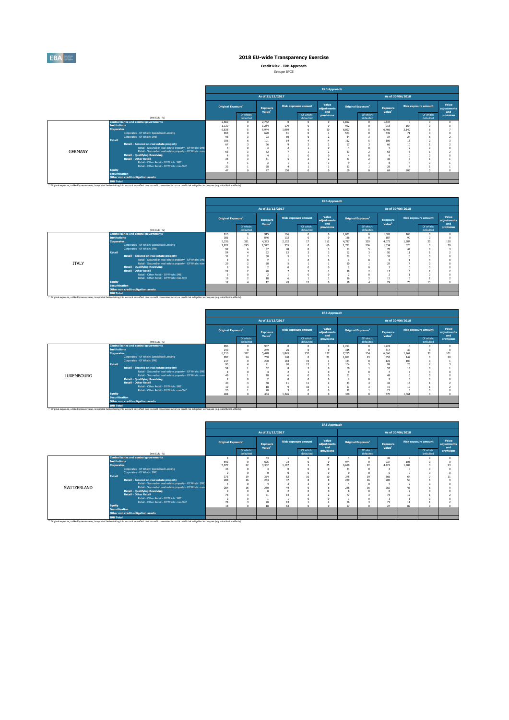

**Credit Risk - IRB Approach**

|                |                                                                                                                                                                                                               |                                |                        |                                |            |                             | <b>IRB Approach</b>         |              |                                |                                |       |                             |                             |
|----------------|---------------------------------------------------------------------------------------------------------------------------------------------------------------------------------------------------------------|--------------------------------|------------------------|--------------------------------|------------|-----------------------------|-----------------------------|--------------|--------------------------------|--------------------------------|-------|-----------------------------|-----------------------------|
|                |                                                                                                                                                                                                               |                                |                        | As of 31/12/2017               |            |                             |                             |              |                                | As of 30/06/2018               |       |                             |                             |
|                |                                                                                                                                                                                                               | Original Exposure <sup>1</sup> |                        | Exposure<br>Value <sup>1</sup> |            | <b>Risk exposure amount</b> | Value<br>adjustments<br>and |              | Original Exposure <sup>1</sup> | Exposure<br>Value <sup>1</sup> |       | <b>Risk exposure amount</b> | Value<br>adjustments<br>and |
|                | (min EUR, %)                                                                                                                                                                                                  |                                | Of which:<br>defaulted |                                |            | Of which:<br>defaulted      | provisions                  |              | Of which:<br>defaulted         |                                |       | Of which:<br>defaulted      | provisions                  |
|                | <b>Central banks and central governments</b>                                                                                                                                                                  | 2.669                          | $\Omega$               | 2.742                          | $\sqrt{2}$ |                             |                             | 1.812        | $\Omega$                       | 1.834                          | -n    |                             |                             |
|                | <b>Institutions</b>                                                                                                                                                                                           | 1.139                          | $\Omega$               | 1.284                          | 179        |                             |                             | 922          | $\Omega$                       | 918                            | 164   |                             |                             |
|                | <b>Corporates</b>                                                                                                                                                                                             | 6,838<br>5                     |                        | 5,944<br>620                   | 1.989      |                             | 10                          | 6.807        | 5                              | 6,466                          | 2.140 |                             |                             |
|                | Corporates - Of Which: Specialised Lending                                                                                                                                                                    |                                | 653<br>$\Omega$        |                                | 81         |                             |                             | 563          |                                | 549                            | 71    |                             |                             |
|                | Comorates - Of Which: SME                                                                                                                                                                                     | 93                             |                        | 93                             | 60         |                             |                             | 34           |                                | 34                             | 24    |                             |                             |
|                | <b>Retail</b>                                                                                                                                                                                                 | 106                            |                        | 101                            | 14         |                             |                             | 112          |                                | 106                            | 18    |                             |                             |
|                | Retail - Secured on real estate property                                                                                                                                                                      | 67                             |                        | 66                             | $\Omega$   |                             |                             | 67           |                                | 66                             | 10    |                             |                             |
|                | Retail - Secured on real estate property - Of Which: SME                                                                                                                                                      | $\overline{4}$                 | $\Omega$               |                                |            |                             |                             |              |                                |                                |       |                             |                             |
| <b>GFRMANY</b> | Retail - Secured on real estate property - Of Which: non-                                                                                                                                                     | 63                             |                        | 62                             |            |                             |                             | 63           |                                | 63                             |       |                             |                             |
|                | <b>Retail - Qualifying Revolving</b>                                                                                                                                                                          |                                | $\Omega$               |                                |            |                             |                             |              |                                |                                |       |                             |                             |
|                | <b>Retail - Other Retail</b>                                                                                                                                                                                  | 35                             |                        | 31                             |            |                             |                             | 41<br>$\sim$ |                                | 36                             |       |                             |                             |
|                | Retail - Other Retail - Of Which: SME                                                                                                                                                                         |                                |                        |                                |            |                             |                             |              |                                | 8                              |       |                             |                             |
|                | Retail - Other Retail - Of Which: non-SME                                                                                                                                                                     | 32<br>47                       | $\Omega$               | 28<br>47                       |            |                             |                             | 33           | $\sim$                         | 28<br>69                       |       |                             |                             |
|                | Equity<br><b>Securitisation</b>                                                                                                                                                                               |                                |                        |                                | 150        |                             |                             | 69           |                                |                                | 203   |                             |                             |
|                | Other non credit-obligation assets                                                                                                                                                                            |                                |                        |                                |            |                             |                             |              |                                |                                |       |                             |                             |
|                | <b>IRB Total</b>                                                                                                                                                                                              |                                |                        |                                |            |                             |                             |              |                                |                                |       |                             |                             |
|                | <sup>(1)</sup> Original exposure, unlike Exposure value, is reported before taking into account any effect due to credit conversion factors or credit risk mitigation techniques (e.g. substitution effects). |                                |                        |                                |            |                             |                             |              |                                |                                |       |                             |                             |

|              |                       |                                                                                                                                                                                                               |                                |                        |                                       |              |                             | <b>IRB Approach</b>         |             |                                |                                |                  |                             |                             |
|--------------|-----------------------|---------------------------------------------------------------------------------------------------------------------------------------------------------------------------------------------------------------|--------------------------------|------------------------|---------------------------------------|--------------|-----------------------------|-----------------------------|-------------|--------------------------------|--------------------------------|------------------|-----------------------------|-----------------------------|
|              |                       |                                                                                                                                                                                                               |                                |                        | As of 31/12/2017                      |              |                             |                             |             |                                |                                | As of 30/06/2018 |                             |                             |
|              |                       |                                                                                                                                                                                                               | Original Exposure <sup>1</sup> |                        | <b>Exposure</b><br>Value <sup>1</sup> |              | <b>Risk exposure amount</b> | Value<br>adiustments<br>and |             | Original Exposure <sup>1</sup> | Exposure<br>Value <sup>1</sup> |                  | <b>Risk exposure amount</b> | Value<br>adiustments<br>and |
|              |                       | (mln EUR, %)                                                                                                                                                                                                  |                                | Of which:<br>defaulted |                                       |              | Of which:<br>defaulted      | provisions                  |             | Of which:<br>defaulted         |                                |                  | Of which:<br>defaulted      | provisions                  |
|              |                       | <b>Central banks and central governments</b>                                                                                                                                                                  | 915                            | $\Omega$               | 915                                   | 106          |                             |                             | 1.001       | $\theta$                       | 1.002                          | 108              |                             |                             |
|              | <b>Institutions</b>   |                                                                                                                                                                                                               | 381                            |                        | 846                                   | 132          |                             |                             | 186         | $\Omega$                       | 187                            | 90               |                             |                             |
|              | <b>Corporates</b>     | Corporates - Of Which: Specialised Lending                                                                                                                                                                    | 5.336                          | 311                    | 4.383                                 | 2.102<br>355 | 17                          | 112                         | 4.787       | 303<br>236                     | 4.073                          | 1.884            | 25                          | 110                         |
|              |                       | Corporates - Of Which: SME                                                                                                                                                                                    | 1.822                          | 245                    | 1.542                                 | 48           |                             | 60                          | 1.751<br>83 |                                | 1.534                          | 320<br>44        |                             | 59                          |
|              | <b>Retail</b>         |                                                                                                                                                                                                               | 92<br>54                       | 6                      | 87<br>52                              | 12           |                             |                             | 52          | ٠                              | 78<br>50                       | 11               |                             |                             |
|              |                       | Retail - Secured on real estate property                                                                                                                                                                      | 31                             |                        | 30                                    |              |                             |                             | 32          |                                |                                |                  |                             |                             |
|              |                       | Retail - Secured on real estate property - Of Which: SME                                                                                                                                                      | ×,                             |                        |                                       |              |                             |                             | -9          |                                |                                |                  |                             |                             |
| <b>ITALY</b> |                       | Retail - Secured on real estate property - Of Which: non-                                                                                                                                                     | 29                             |                        | 28                                    |              |                             |                             | 30          |                                | 29                             |                  |                             |                             |
|              |                       | <b>Retail - Qualifying Revolving</b>                                                                                                                                                                          | ٠                              | $\Omega$               |                                       | n            |                             |                             | ÷,          | $\Omega$                       |                                |                  |                             |                             |
|              |                       | <b>Retail - Other Retail</b>                                                                                                                                                                                  | 22                             | ۷                      | 20                                    |              |                             |                             | 18          | z                              | 17                             |                  |                             |                             |
|              |                       | Retail - Other Retail - Of Which: SME                                                                                                                                                                         |                                |                        |                                       |              |                             |                             |             |                                |                                |                  |                             |                             |
|              |                       | Retail - Other Retail - Of Which: non-SME                                                                                                                                                                     | 19                             |                        | 18                                    |              |                             |                             | 16          |                                | 15                             |                  |                             |                             |
|              | Equity                |                                                                                                                                                                                                               | 12                             |                        | 12                                    | 43           | 15                          |                             | 29          |                                | 29                             | 73               | 13                          |                             |
|              | <b>Securitisation</b> |                                                                                                                                                                                                               |                                |                        |                                       |              |                             |                             |             |                                |                                |                  |                             |                             |
|              |                       | Other non credit-obligation assets                                                                                                                                                                            |                                |                        |                                       |              |                             |                             |             |                                |                                |                  |                             |                             |
|              | <b>IRB Total</b>      |                                                                                                                                                                                                               |                                |                        |                                       |              |                             |                             |             |                                |                                |                  |                             |                             |
|              |                       | <sup>(1)</sup> Original exposure, unlike Exposure value, is reported before taking into account any effect due to credit conversion factors or credit risk mitigation techniques (e.g. substitution effects). |                                |                        |                                       |              |                             |                             |             |                                |                                |                  |                             |                             |

|                   |                       |                                                                                                                       |                                |                        |                                |             |                             | <b>IRB Approach</b>         |              |                                |          | As of 30/06/2018<br><b>Risk exposure amount</b><br>Value <sup>1</sup><br>Of which:<br>defaulted<br>1.224<br>$\Omega$<br>30<br>317<br>6,666<br>30<br>1.967<br>853<br>142<br>122<br>100<br>99<br>26<br>57<br>13<br>49<br>13<br>41<br>19<br>10<br>21<br>370<br>1.061 |  |                             |
|-------------------|-----------------------|-----------------------------------------------------------------------------------------------------------------------|--------------------------------|------------------------|--------------------------------|-------------|-----------------------------|-----------------------------|--------------|--------------------------------|----------|-------------------------------------------------------------------------------------------------------------------------------------------------------------------------------------------------------------------------------------------------------------------|--|-----------------------------|
|                   |                       |                                                                                                                       |                                |                        | As of 31/12/2017               |             |                             |                             |              |                                |          |                                                                                                                                                                                                                                                                   |  |                             |
|                   |                       |                                                                                                                       | Original Exposure <sup>1</sup> |                        | Exposure<br>Value <sup>1</sup> |             | <b>Risk exposure amount</b> | Value<br>adjustments<br>and |              | Original Exposure <sup>1</sup> | Exposure |                                                                                                                                                                                                                                                                   |  | Value<br>adjustments<br>and |
|                   |                       | (min EUR, %)                                                                                                          |                                | Of which:<br>defaulted |                                |             | Of which:<br>defaulted      | provisions                  |              | Of which:<br>defaulted         |          |                                                                                                                                                                                                                                                                   |  | provisions                  |
|                   |                       | <b>Central banks and central governments</b>                                                                          | 896                            |                        | 907                            | $\Omega$    |                             |                             | 1.214        | $\circ$                        |          |                                                                                                                                                                                                                                                                   |  |                             |
|                   | <b>Institutions</b>   |                                                                                                                       | 240                            |                        | 249<br>5.428                   | 26<br>1.845 |                             |                             | 315          | $\Omega$                       |          |                                                                                                                                                                                                                                                                   |  |                             |
|                   | <b>Corporates</b>     |                                                                                                                       |                                | 312<br>6.216           |                                |             | 252                         | 127                         | 7.255        | 154                            |          |                                                                                                                                                                                                                                                                   |  | 101                         |
|                   |                       | Corporates - Of Which: Specialised Lending                                                                            |                                | 897<br>74<br>750       |                                | 140         | $\sim$                      | 21                          | 1.061        | 23                             |          |                                                                                                                                                                                                                                                                   |  | 20                          |
|                   | Retail                | Corporates - Of Which: SME                                                                                            | 217                            |                        | 200                            | 184         | 19                          |                             | 134          | $\Omega$                       |          |                                                                                                                                                                                                                                                                   |  |                             |
|                   |                       |                                                                                                                       | 95                             |                        | 91                             | 20          | 13                          |                             | 104          | 5                              |          |                                                                                                                                                                                                                                                                   |  |                             |
|                   |                       | Retail - Secured on real estate property                                                                              | 54                             |                        | 52                             |             |                             |                             | 60<br>$\sim$ |                                |          |                                                                                                                                                                                                                                                                   |  |                             |
|                   |                       | Retail - Secured on real estate property - Of Which: SME<br>Retail - Secured on real estate property - Of Which: non- |                                |                        |                                |             |                             |                             |              | $\Omega$                       |          |                                                                                                                                                                                                                                                                   |  |                             |
| <b>LUXEMBOURG</b> |                       | <b>Retail - Qualifying Revolving</b>                                                                                  | 49<br>٠                        |                        | 48                             | $\sqrt{2}$  |                             |                             | 51           | $\Omega$                       |          |                                                                                                                                                                                                                                                                   |  |                             |
|                   |                       | <b>Retail - Other Retail</b>                                                                                          | 40                             |                        | $\infty$                       |             | 11                          |                             |              |                                |          |                                                                                                                                                                                                                                                                   |  |                             |
|                   |                       | Retail - Other Retail - Of Which: SME                                                                                 | 19                             |                        | 18                             | 11          | 10 <sub>10</sub>            |                             | 43<br>21     |                                |          |                                                                                                                                                                                                                                                                   |  |                             |
|                   |                       | Retail - Other Retail - Of Which: non-SME                                                                             | 20                             |                        | $\chi$                         |             |                             |                             | 22           |                                |          |                                                                                                                                                                                                                                                                   |  |                             |
|                   | <b>Equity</b>         |                                                                                                                       | 404                            |                        | 404                            | 1.226       | $\sim$                      |                             | 370          | $\Omega$                       |          |                                                                                                                                                                                                                                                                   |  |                             |
|                   | <b>Securitisation</b> |                                                                                                                       |                                |                        |                                |             |                             |                             |              |                                |          |                                                                                                                                                                                                                                                                   |  |                             |
|                   |                       | Other non credit-obligation assets                                                                                    |                                |                        |                                |             |                             |                             |              |                                |          |                                                                                                                                                                                                                                                                   |  |                             |
|                   | <b>IRB Total</b>      |                                                                                                                       |                                |                        |                                |             |                             |                             |              |                                |          |                                                                                                                                                                                                                                                                   |  |                             |

|             |                       |                                                                                                                                                                                                               |                                |                        |                                |       |                             | <b>IRB Approach</b>         |                                |                        |                                |                  |                             |                             |
|-------------|-----------------------|---------------------------------------------------------------------------------------------------------------------------------------------------------------------------------------------------------------|--------------------------------|------------------------|--------------------------------|-------|-----------------------------|-----------------------------|--------------------------------|------------------------|--------------------------------|------------------|-----------------------------|-----------------------------|
|             |                       |                                                                                                                                                                                                               |                                |                        | As of 31/12/2017               |       |                             |                             |                                |                        |                                | As of 30/06/2018 |                             |                             |
|             |                       |                                                                                                                                                                                                               | Original Exposure <sup>1</sup> |                        | Exposure<br>Value <sup>1</sup> |       | <b>Risk exposure amount</b> | Value<br>adjustments<br>and | Original Exposure <sup>1</sup> |                        | Exposure<br>Value <sup>1</sup> |                  | <b>Risk exposure amount</b> | Value<br>adjustments<br>and |
|             |                       | (mln EUR, %)                                                                                                                                                                                                  |                                | Of which:<br>defaulted |                                |       | Of which:<br>defaulted      | provisions                  |                                | Of which:<br>defaulted |                                |                  | Of which:<br>defaulted      | provisions                  |
|             |                       | <b>Central banks and central governments</b>                                                                                                                                                                  | ÷,                             | n                      | 44                             |       |                             |                             |                                |                        | 36                             | $\Omega$         |                             |                             |
|             | <b>Institutions</b>   |                                                                                                                                                                                                               | 592                            | n                      | 625                            | 73    |                             |                             | 974                            |                        | 937                            | 105              |                             |                             |
|             | <b>Corporates</b>     |                                                                                                                                                                                                               | 5.077                          | 22                     | 3,302                          | 1.187 |                             | 25                          | 6,650                          | 22                     | 4.421                          | 1.484            |                             | 23                          |
|             |                       | Corporates - Of Which: Specialised Lending                                                                                                                                                                    | 36                             | $\Omega$               |                                |       |                             |                             | 34                             | $\Omega$               |                                |                  |                             |                             |
|             |                       | Corporates - Of Which: SME                                                                                                                                                                                    | $\Omega$                       | $\Omega$               | $\Omega$                       |       |                             |                             | $\sim$                         |                        | $\Omega$                       | $\Omega$         |                             |                             |
|             | Retail                |                                                                                                                                                                                                               | 373                            | 19                     | 364                            | 62    | 10 <sub>10</sub>            | 10                          | 375                            | 19                     | 366                            | 64               |                             |                             |
|             |                       | Retail - Secured on real estate property                                                                                                                                                                      | 288                            | 16                     | 284                            | 47    |                             |                             | 289                            | 16                     | 285                            | 50               |                             |                             |
|             |                       | Retail - Secured on real estate property - Of Which: SME                                                                                                                                                      | J.                             | $\Omega$               |                                |       |                             |                             |                                | $\sim$                 |                                |                  |                             |                             |
| SWITZERLAND |                       | Retail - Secured on real estate property - Of Which: non-                                                                                                                                                     | 284                            | 16                     | 280                            | 44    |                             |                             | 286                            | 16                     | 282                            | 48               |                             |                             |
|             |                       | <b>Retail - Qualifying Revolving</b>                                                                                                                                                                          | $\overline{9}$                 | $\Omega$               |                                | ٠     |                             |                             |                                |                        | 8                              | <b>A</b>         |                             |                             |
|             |                       | <b>Retail - Other Retail</b>                                                                                                                                                                                  | 76                             |                        | 71                             | 14    |                             |                             | 77                             |                        | 73                             | 12               |                             |                             |
|             |                       | Retail - Other Retail - Of Which: SME                                                                                                                                                                         |                                |                        |                                |       |                             |                             |                                |                        |                                |                  |                             |                             |
|             |                       | Retail - Other Retail - Of Which: non-SME                                                                                                                                                                     | 74                             |                        | 70                             | 13    |                             |                             | 76                             |                        | 71                             | 11               |                             |                             |
|             | Equity                |                                                                                                                                                                                                               | 18                             | $\sqrt{2}$             | 18                             | 63    |                             |                             | $\overline{27}$                |                        | 27                             | 89               |                             |                             |
|             | <b>Securitisation</b> |                                                                                                                                                                                                               |                                |                        |                                |       |                             |                             |                                |                        |                                |                  |                             |                             |
|             |                       | Other non credit-obligation assets                                                                                                                                                                            |                                |                        |                                |       |                             |                             |                                |                        |                                |                  |                             |                             |
|             | <b>IRB Total</b>      | <sup>(3)</sup> Original exposure, unlike Exposure value, is reported before taking into account any effect due to credit conversion factors or credit risk mitigation techniques (e.g. substitution effects). |                                |                        |                                |       |                             |                             |                                |                        |                                |                  |                             |                             |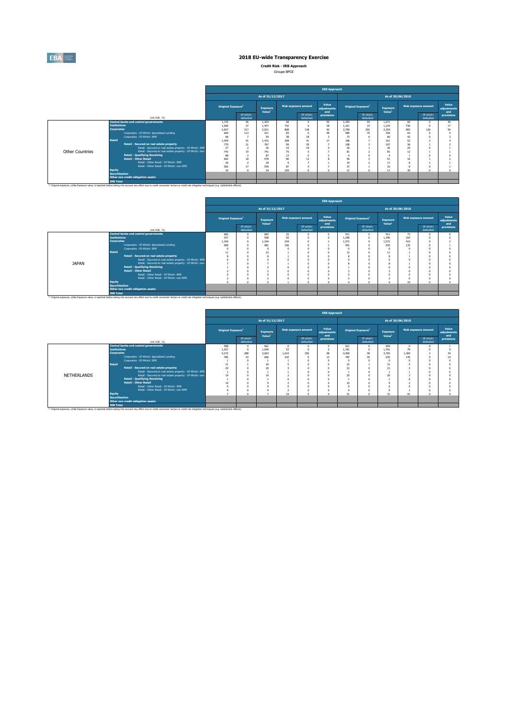

**Credit Risk - IRB Approach**

|                 |                                                                                                                                                                                                               |                                |                        |                                |        |                             | <b>IRB Approach</b>         |       |                                |                                |     |                             |                             |
|-----------------|---------------------------------------------------------------------------------------------------------------------------------------------------------------------------------------------------------------|--------------------------------|------------------------|--------------------------------|--------|-----------------------------|-----------------------------|-------|--------------------------------|--------------------------------|-----|-----------------------------|-----------------------------|
|                 |                                                                                                                                                                                                               |                                |                        | As of 31/12/2017               |        |                             |                             |       |                                | As of 30/06/2018               |     |                             |                             |
|                 |                                                                                                                                                                                                               | Original Exposure <sup>1</sup> |                        | Exposure<br>Value <sup>1</sup> |        | <b>Risk exposure amount</b> | Value<br>adjustments<br>and |       | Original Exposure <sup>1</sup> | Exposure<br>Value <sup>1</sup> |     | <b>Risk exposure amount</b> | Value<br>adjustments<br>and |
|                 | (mln EUR, %)                                                                                                                                                                                                  |                                | Of which:<br>defaulted |                                |        | Of which:<br>defaulted      | provisions                  |       | Of which:<br>defaulted         |                                |     | Of which:<br>defaulted      | provisions                  |
|                 | <b>Central banks and central governments</b>                                                                                                                                                                  | 1.135                          | 46                     | 1.303                          | 68     |                             | 50                          | 1.439 | 44                             | 1.671                          | 60  |                             | 46                          |
|                 | <b>Institutions</b>                                                                                                                                                                                           | 1.009                          | 27                     | 1.457                          | 742    |                             | 28                          | 1.101 | 14                             | 1.224                          | 736 |                             | 17                          |
|                 | <b>Corporates</b>                                                                                                                                                                                             | 2.657                          | 317                    | 2.021                          | 808    | 138                         | 92                          | 2.758 | 292                            | 2.354                          | 983 | 126                         | 50                          |
|                 | Corporates - Of Which: Specialised Lending                                                                                                                                                                    | 669                            | 113                    | 411                            | 83     |                             | 48                          | 589   | 70                             | 349                            | 64  |                             |                             |
|                 | Comorates - Of Which: SME                                                                                                                                                                                     | 68                             |                        | 59                             | 38     | 18                          |                             | 73    |                                | 66                             | 42  |                             |                             |
|                 | <b>Retail</b>                                                                                                                                                                                                 | 1.459                          | 41                     | 1.432                          | 208    | 41                          | 17                          | 168   |                                | 161                            | 52  |                             |                             |
|                 | Retail - Secured on real estate property                                                                                                                                                                      | 770                            | 21                     | 767                            | 99     | 29                          |                             | 108   |                                | 107                            | 36  |                             |                             |
|                 | Retail - Secured on real estate property - Of Which: SME                                                                                                                                                      | 27                             | $\overline{2}$         | 26                             | 24     | 74                          |                             | 26    |                                | 26                             | 74  |                             |                             |
| Other Countries | Retail - Secured on real estate property - Of Which: non-                                                                                                                                                     | 743                            | 19                     | 741                            | 75     |                             |                             | 81    |                                | 81                             | 12  |                             |                             |
|                 | <b>Retail - Qualifying Revolving</b>                                                                                                                                                                          | 88                             | ٠                      | 87                             | 13     |                             |                             |       |                                |                                |     |                             |                             |
|                 | Retail - Other Retail                                                                                                                                                                                         | 602                            | 18<br>٠                | 578                            | 96     | 12                          |                             | 56    |                                | 51                             | 16  |                             |                             |
|                 | Retail - Other Retail - Of Which: SME                                                                                                                                                                         | 20                             |                        | 18                             | $\sim$ |                             |                             | 19    |                                | 17                             |     |                             |                             |
|                 | Retail - Other Retail - Of Which: non-SME                                                                                                                                                                     | 582                            | 17                     | 559                            | 87     |                             |                             | 37    |                                | 33<br>١z.                      |     |                             |                             |
|                 | Equity                                                                                                                                                                                                        | 34                             | $\sqrt{2}$             | 34                             | 109    |                             |                             | 17    | $\sim$                         |                                | 39  |                             |                             |
|                 | <b>Securitisation</b>                                                                                                                                                                                         |                                |                        |                                |        |                             |                             |       |                                |                                |     |                             |                             |
|                 | Other non credit-obligation assets                                                                                                                                                                            |                                |                        |                                |        |                             |                             |       |                                |                                |     |                             |                             |
|                 | <b>IRB Total</b>                                                                                                                                                                                              |                                |                        |                                |        |                             |                             |       |                                |                                |     |                             |                             |
|                 | <sup>(1)</sup> Original exposure, unlike Exposure value, is reported before taking into account any effect due to credit conversion factors or credit risk mitigation techniques (e.g. substitution effects). |                                |                        |                                |        |                             |                             |       |                                |                                |     |                             |                             |

|              |                       |                                                                                                                                                                                                               |                                |                        |                                |     |                             | <b>IRB Approach</b>         |       |                                |                                |                  |                             |                             |
|--------------|-----------------------|---------------------------------------------------------------------------------------------------------------------------------------------------------------------------------------------------------------|--------------------------------|------------------------|--------------------------------|-----|-----------------------------|-----------------------------|-------|--------------------------------|--------------------------------|------------------|-----------------------------|-----------------------------|
|              |                       |                                                                                                                                                                                                               |                                |                        | As of 31/12/2017               |     |                             |                             |       |                                |                                | As of 30/06/2018 |                             |                             |
|              |                       |                                                                                                                                                                                                               | Original Exposure <sup>1</sup> |                        | Exposure<br>Value <sup>1</sup> |     | <b>Risk exposure amount</b> | Value<br>adjustments<br>and |       | Original Exposure <sup>1</sup> | Exposure<br>Value <sup>1</sup> |                  | <b>Risk exposure amount</b> | Value<br>adjustments<br>and |
|              |                       | (min EUR, %)                                                                                                                                                                                                  |                                | Of which:<br>defaulted |                                |     | Of which:<br>defaulted      | provisions                  |       | Of which:<br>defaulted         |                                |                  | Of which:<br>defaulted      | provisions                  |
|              |                       | <b>Central banks and central governments</b>                                                                                                                                                                  | 683                            | $\Omega$               | 683                            | 25  |                             |                             | 911   |                                | 911                            | 73               |                             | $\sim$                      |
|              | <b>Institutions</b>   |                                                                                                                                                                                                               | 257                            | $\Omega$               | 508                            | 65  |                             |                             | 1.298 | $\theta$                       | 1.296                          | 164              |                             |                             |
|              | <b>Corporates</b>     |                                                                                                                                                                                                               | 1.344                          | $\Omega$               | 1.344                          | 744 |                             |                             | 1.572 |                                | 1.572                          | 410              |                             |                             |
|              |                       | Corporates - Of Which: Specialised Lending                                                                                                                                                                    | 999                            | $\Omega$               | 981                            | 156 |                             |                             | 952   |                                | 935                            | 135              |                             |                             |
|              |                       | Corporates - Of Which: SME                                                                                                                                                                                    | -O                             | $\Omega$               |                                |     |                             |                             |       |                                |                                |                  |                             |                             |
|              | Retail                |                                                                                                                                                                                                               | $\overline{11}$                | $\Omega$               | 10                             |     |                             |                             | 12    |                                | 11                             |                  |                             |                             |
|              |                       | Retail - Secured on real estate property                                                                                                                                                                      | ź.                             |                        |                                |     |                             |                             |       |                                | 8                              |                  |                             |                             |
|              |                       | Retail - Secured on real estate property - Of Which: SME                                                                                                                                                      | $\sqrt{2}$                     |                        |                                |     |                             |                             |       |                                | n                              |                  |                             |                             |
| <b>JAPAN</b> |                       | Retail - Secured on real estate property - Of Which: non-                                                                                                                                                     |                                |                        |                                |     |                             |                             |       |                                |                                |                  |                             |                             |
|              |                       | <b>Retail - Qualifying Revolving</b>                                                                                                                                                                          |                                |                        |                                |     |                             |                             |       |                                |                                |                  |                             |                             |
|              |                       | <b>Retail - Other Retail</b>                                                                                                                                                                                  |                                |                        |                                |     |                             |                             |       |                                |                                |                  |                             |                             |
|              |                       | Retail - Other Retail - Of Which: SME                                                                                                                                                                         |                                |                        |                                |     |                             |                             |       |                                |                                |                  |                             |                             |
|              |                       | Retail - Other Retail - Of Which: non-SME                                                                                                                                                                     |                                |                        |                                |     |                             |                             |       |                                |                                |                  |                             |                             |
|              | <b>Equity</b>         |                                                                                                                                                                                                               |                                | $\sqrt{2}$             |                                |     |                             |                             |       |                                |                                | 10               |                             |                             |
|              | <b>Securitisation</b> |                                                                                                                                                                                                               |                                |                        |                                |     |                             |                             |       |                                |                                |                  |                             |                             |
|              |                       | Other non credit-obligation assets                                                                                                                                                                            |                                |                        |                                |     |                             |                             |       |                                |                                |                  |                             |                             |
|              | <b>IRB Total</b>      |                                                                                                                                                                                                               |                                |                        |                                |     |                             |                             |       |                                |                                |                  |                             |                             |
|              |                       | <sup>(3)</sup> Original exposure, unlike Exposure value, is reported before taking into account any effect due to credit conversion factors or credit risk mitigation techniques (e.g. substitution effects). |                                |                        |                                |     |                             |                             |       |                                |                                |                  |                             |                             |

|                    |                                                                                                                                                                                                                                   |                                |                        |                                |            |                             | <b>IRB Approach</b>         |            |                                |                                |          |                             |                             |
|--------------------|-----------------------------------------------------------------------------------------------------------------------------------------------------------------------------------------------------------------------------------|--------------------------------|------------------------|--------------------------------|------------|-----------------------------|-----------------------------|------------|--------------------------------|--------------------------------|----------|-----------------------------|-----------------------------|
|                    |                                                                                                                                                                                                                                   |                                |                        | As of 31/12/2017               |            |                             |                             |            |                                | As of 30/06/2018               |          |                             |                             |
|                    |                                                                                                                                                                                                                                   | Original Exposure <sup>1</sup> |                        | Exposure<br>Value <sup>1</sup> |            | <b>Risk exposure amount</b> | Value<br>adjustments<br>and |            | Original Exposure <sup>1</sup> | Exposure<br>Value <sup>1</sup> |          | <b>Risk exposure amount</b> | Value<br>adiustments<br>and |
|                    | (min EUR, %)                                                                                                                                                                                                                      |                                | Of which:<br>defaulted |                                |            | Of which:<br>defaulted      | provisions                  |            | Of which:<br>defaulted         |                                |          | Of which:<br>defaulted      | provisions                  |
|                    | <b>Central banks and central governments</b>                                                                                                                                                                                      | 588                            |                        | 661                            | $\sqrt{2}$ |                             |                             | 621        | $\Omega$                       | 694                            | $\Omega$ |                             |                             |
|                    | <b>Institutions</b>                                                                                                                                                                                                               | 1.027                          | $\Omega$               | 1.040                          | 53         |                             |                             | 1.762      | $\Omega$                       | 1.761                          | 70       |                             |                             |
|                    | <b>Corporates</b>                                                                                                                                                                                                                 | 4.272                          | 288                    | 3.663                          | 1.610      | 256                         | 48                          | 4.369      | 38                             | 3.765                          | 1.369    |                             | 34                          |
|                    | Corporates - Of Which: Specialised Lending                                                                                                                                                                                        | 785                            | 43                     | 666                            | 242        |                             | 13                          | 787        | 30                             | 635                            | 145      |                             |                             |
|                    | Corporates - Of Which: SME                                                                                                                                                                                                        |                                |                        |                                |            |                             |                             | $\sqrt{2}$ | $\sqrt{2}$                     | n                              | $\Omega$ |                             |                             |
|                    | Retail                                                                                                                                                                                                                            | 31                             |                        | 30                             |            |                             |                             | 32         |                                | 31                             |          |                             |                             |
|                    | Retail - Secured on real estate property                                                                                                                                                                                          | 20                             |                        | 20                             |            |                             |                             | 22         |                                | 21                             |          |                             |                             |
|                    | Retail - Secured on real estate property - Of Which: SME                                                                                                                                                                          |                                |                        |                                |            |                             |                             |            |                                |                                |          |                             |                             |
| <b>NETHERLANDS</b> | Retail - Secured on real estate property - Of Which: non-                                                                                                                                                                         | 19                             |                        | 19                             |            |                             |                             | 20         |                                | 20                             |          |                             |                             |
|                    | <b>Retail - Qualifying Revolving</b>                                                                                                                                                                                              |                                |                        |                                | n          |                             |                             |            |                                |                                | $\sim$   |                             |                             |
|                    | <b>Retail - Other Retail</b>                                                                                                                                                                                                      | 10                             |                        | $\mathbf{Q}$                   |            |                             |                             | 10         |                                | $\Omega$                       |          |                             |                             |
|                    | Retail - Other Retail - Of Which: SME                                                                                                                                                                                             |                                |                        |                                |            |                             |                             | $\sqrt{2}$ |                                |                                | n        |                             |                             |
|                    | Retail - Other Retail - Of Which: non-SME                                                                                                                                                                                         |                                | $\sim$                 |                                |            |                             |                             | $\sim$     |                                |                                |          |                             |                             |
|                    | Equity                                                                                                                                                                                                                            |                                |                        |                                | 19         |                             |                             | 31         | $\sim$                         | 31                             | 91       |                             |                             |
|                    | <b>Securitisation</b>                                                                                                                                                                                                             |                                |                        |                                |            |                             |                             |            |                                |                                |          |                             |                             |
|                    | Other non credit-obligation assets                                                                                                                                                                                                |                                |                        |                                |            |                             |                             |            |                                |                                |          |                             |                             |
|                    | <b>IRB Total</b><br><sup>(1)</sup> Original exposure, unlike Exposure value, is reported before taking into account any effect due to credit conversion factors or credit risk mitigation techniques (e.g. substitution effects). |                                |                        |                                |            |                             |                             |            |                                |                                |          |                             |                             |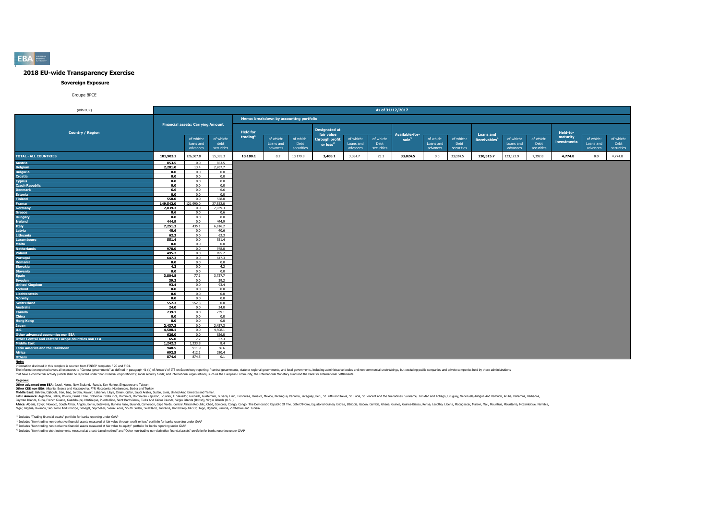

### **Sovereign Exposure**

### Groupe BPCE

| (mln EUR)                                          |                    |                                          |                |                      |                                         |            |                      |           | As of 31/12/2017 |                   |           |            |                          |           |            |             |           |            |
|----------------------------------------------------|--------------------|------------------------------------------|----------------|----------------------|-----------------------------------------|------------|----------------------|-----------|------------------|-------------------|-----------|------------|--------------------------|-----------|------------|-------------|-----------|------------|
|                                                    |                    |                                          |                |                      |                                         |            |                      |           |                  |                   |           |            |                          |           |            |             |           |            |
|                                                    |                    |                                          |                |                      | Memo: breakdown by accounting portfolio |            |                      |           |                  |                   |           |            |                          |           |            |             |           |            |
|                                                    |                    | <b>Financial assets: Carrying Amount</b> |                |                      |                                         |            | <b>Designated at</b> |           |                  |                   |           |            |                          |           |            |             |           |            |
| <b>Country / Region</b>                            |                    |                                          |                | <b>Held for</b>      |                                         |            | fair value           |           |                  | Available-for-    |           |            | <b>Loans and</b>         |           |            | Held-to-    |           |            |
|                                                    |                    | of which:                                | of which:      | trading <sup>1</sup> | of which:                               | of which:  | through profit       | of which: | of which:        | $\mathsf{safe}^3$ | of which: | of which:  | Receivables <sup>4</sup> | of which: | of which:  | maturity    | of which: | of which:  |
|                                                    |                    | loans and                                | debt           |                      | Loans and                               | Debt       | or loss <sup>2</sup> | Loans and | Debt             |                   | Loans and | Debt       |                          | Loans and | Debt       | investments | Loans and | Debt       |
|                                                    |                    | advances                                 | securities     |                      | advances                                | securities |                      | advances  | securities       |                   | advances  | securities |                          | advances  | securities |             | advances  | securities |
| <b>TOTAL - ALL COUNTRIES</b>                       | 181,903.2          | 126,507.8                                | 55,395.3       | 10,180.1             | 0.2                                     | 10,179.9   | 3,408.1              | 3,384.7   | 23.3             | 33,024.5          | 0.0       | 33,024.5   | 130,515.7                | 123,122.9 | 7,392.8    | 4,774.8     | 0.0       | 4,774.8    |
| Austria                                            | 853.5              | 0.0                                      | 853.5          |                      |                                         |            |                      |           |                  |                   |           |            |                          |           |            |             |           |            |
| <b>Belgium</b>                                     | 2,281.0            | 13.4                                     | 2,267.7        |                      |                                         |            |                      |           |                  |                   |           |            |                          |           |            |             |           |            |
| <b>Bulgaria</b>                                    | 0.0                | 0.0                                      | 0.0            |                      |                                         |            |                      |           |                  |                   |           |            |                          |           |            |             |           |            |
| Croatia                                            | 0.0                | 0.0                                      | 0.0            |                      |                                         |            |                      |           |                  |                   |           |            |                          |           |            |             |           |            |
| Cyprus                                             | 0.0                | 0.0                                      | 0.0            |                      |                                         |            |                      |           |                  |                   |           |            |                          |           |            |             |           |            |
| <b>Czech Republic</b><br><b>Denmark</b>            | 0.0<br>6.6         | 0.0<br>0.0                               | 0.0<br>6.6     |                      |                                         |            |                      |           |                  |                   |           |            |                          |           |            |             |           |            |
| <b>Estonia</b>                                     | 0.0                | 0.0                                      | 0.0            |                      |                                         |            |                      |           |                  |                   |           |            |                          |           |            |             |           |            |
| <b>Finland</b>                                     | 558.0              | 0.0                                      | 558.0          |                      |                                         |            |                      |           |                  |                   |           |            |                          |           |            |             |           |            |
| France                                             | 149,542.0          | 121,990.0                                | 27,552.0       |                      |                                         |            |                      |           |                  |                   |           |            |                          |           |            |             |           |            |
| <b>Germany</b>                                     | 2,039.3            | 0.0                                      | 2,039.3        |                      |                                         |            |                      |           |                  |                   |           |            |                          |           |            |             |           |            |
| Greece                                             | 0.6                | 0.0                                      | 0.6            |                      |                                         |            |                      |           |                  |                   |           |            |                          |           |            |             |           |            |
| <b>Hungary</b>                                     | 0.0                | 0.0                                      | 0.0            |                      |                                         |            |                      |           |                  |                   |           |            |                          |           |            |             |           |            |
| <b>Ireland</b>                                     | 444.9              | 0.0                                      | 444.9          |                      |                                         |            |                      |           |                  |                   |           |            |                          |           |            |             |           |            |
| <b>Italy</b>                                       | 7,251.3            | 435.1                                    | 6,816.2        |                      |                                         |            |                      |           |                  |                   |           |            |                          |           |            |             |           |            |
| Latvia                                             | 40.6<br>62.3       | 0.0<br>0.0                               | 40.6<br>62.3   |                      |                                         |            |                      |           |                  |                   |           |            |                          |           |            |             |           |            |
| <b>Lithuania</b><br><b>Luxembourg</b>              | 551.4              | 0.0                                      | 551.4          |                      |                                         |            |                      |           |                  |                   |           |            |                          |           |            |             |           |            |
| <b>Malta</b>                                       | 0.0                | 0.0                                      | 0.0            |                      |                                         |            |                      |           |                  |                   |           |            |                          |           |            |             |           |            |
| <b>Netherlands</b>                                 | 978.0              | 0.0                                      | 978.0          |                      |                                         |            |                      |           |                  |                   |           |            |                          |           |            |             |           |            |
| Poland                                             | 495.2              | 0.0                                      | 495.2          |                      |                                         |            |                      |           |                  |                   |           |            |                          |           |            |             |           |            |
| Portugal                                           | 647.3              | 0.0                                      | 647.3          |                      |                                         |            |                      |           |                  |                   |           |            |                          |           |            |             |           |            |
| Romania                                            | 0.0                | 0.0                                      | 0.0            |                      |                                         |            |                      |           |                  |                   |           |            |                          |           |            |             |           |            |
| <b>Slovakia</b>                                    | 4.2                | 0.0                                      | 4.2            |                      |                                         |            |                      |           |                  |                   |           |            |                          |           |            |             |           |            |
| <b>Slovenia</b>                                    | 0.0                | 0.0                                      | 0.0            |                      |                                         |            |                      |           |                  |                   |           |            |                          |           |            |             |           |            |
| Spain                                              | 3.804.8            | 77.1                                     | 3,727.7        |                      |                                         |            |                      |           |                  |                   |           |            |                          |           |            |             |           |            |
| Sweden<br><b>United Kingdom</b>                    | 39.2<br>93.4       | 0.0<br>0.0                               | 39.2<br>93.4   |                      |                                         |            |                      |           |                  |                   |           |            |                          |           |            |             |           |            |
| <b>Iceland</b>                                     | 0.0                | 0.0                                      | 0.0            |                      |                                         |            |                      |           |                  |                   |           |            |                          |           |            |             |           |            |
| Liechtenstein                                      | 0.0                | 0.0                                      | 0.0            |                      |                                         |            |                      |           |                  |                   |           |            |                          |           |            |             |           |            |
| <b>Norway</b>                                      | 0.0                | 0.0                                      | 0.0            |                      |                                         |            |                      |           |                  |                   |           |            |                          |           |            |             |           |            |
| <b>Switzerland</b>                                 | 552.3              | 552.3                                    | 0.0            |                      |                                         |            |                      |           |                  |                   |           |            |                          |           |            |             |           |            |
| <b>Australia</b>                                   | 24.0               | 0.0                                      | 24.0           |                      |                                         |            |                      |           |                  |                   |           |            |                          |           |            |             |           |            |
| Canada                                             | 239.1              | 0.0                                      | 239.1          |                      |                                         |            |                      |           |                  |                   |           |            |                          |           |            |             |           |            |
| China                                              | 0.0                | 0.0                                      | 0.0            |                      |                                         |            |                      |           |                  |                   |           |            |                          |           |            |             |           |            |
| <b>Hong Kong</b>                                   | 0.0                | 0.0                                      | 0.0<br>2,437.3 |                      |                                         |            |                      |           |                  |                   |           |            |                          |           |            |             |           |            |
| <b>Japan</b><br>U.S.                               | 2,437.3<br>4,508.1 | 0.0<br>0.0                               | 4,508.1        |                      |                                         |            |                      |           |                  |                   |           |            |                          |           |            |             |           |            |
| Other advanced economies non EEA                   | 626.0              | 0.0                                      | 626.0          |                      |                                         |            |                      |           |                  |                   |           |            |                          |           |            |             |           |            |
| Other Central and eastern Europe countries non EEA | 65.0               | 7.7                                      | 57.3           |                      |                                         |            |                      |           |                  |                   |           |            |                          |           |            |             |           |            |
| <b>Middle East</b>                                 | 1,242.2            | 1,233.8                                  | 8.4            |                      |                                         |            |                      |           |                  |                   |           |            |                          |           |            |             |           |            |
| <b>Latin America and the Caribbean</b>             | 948.5              | 911.9                                    | 36.6           |                      |                                         |            |                      |           |                  |                   |           |            |                          |           |            |             |           |            |
| <b>Africa</b>                                      | 692.5              | 412.1                                    | 280.4          |                      |                                         |            |                      |           |                  |                   |           |            |                          |           |            |             |           |            |
| <b>Others</b>                                      | 874.6              | 874.5                                    | 0.1            |                      |                                         |            |                      |           |                  |                   |           |            |                          |           |            |             |           |            |

Others<br>Motel<br>The strate of this template is sourced from FINEP templates F20 and F04.<br>The information reported covers all exposures to "Geneal governments" as defined in paragraph 41 (b) of Amex V of ITS on Supervisory rep

Other advenced on E&: Isbania Bosnia and Herecovina. Fit Nacetionia. Morten, Senisa and Turkey and Senisation And Finings and Yemes.<br>Other CE non E&: Name Bosnia and Herecovina. Fit Nacetionia, Morten Senis Description: Co

### (1) Includes "Trading financial assets" portfolio for banks reporting under GAAP

<sup>01</sup> Includes "Non-trading non-derivative financial assets measured at fair value thor lost foor the lost of one of one of one of one of one of one of one of one of one of one of one of o<br><sup>03</sup> Includes "Non-trading oon-der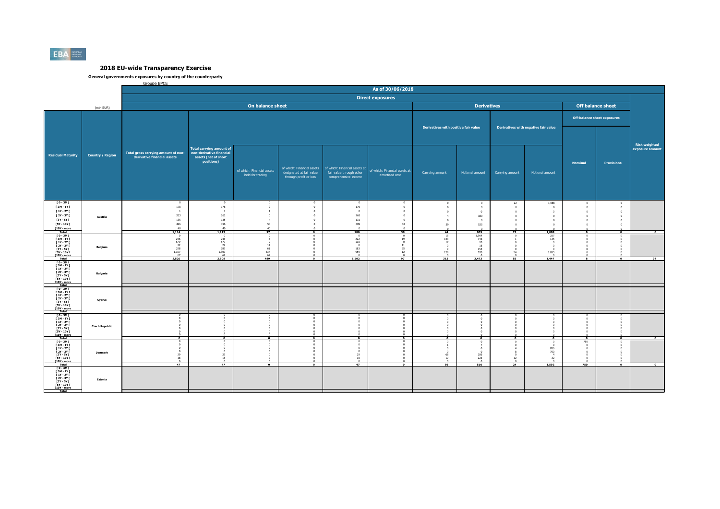

|                                                                                                                                     |                         | Groupe BPCF                                                                                                             |                                                                                  |                                                                                                         |                                                                                    |                                                                                                                |                                                                         |                                                                             |                                                                              |                                                           |                                                         |                                                            |                                                         |                      |
|-------------------------------------------------------------------------------------------------------------------------------------|-------------------------|-------------------------------------------------------------------------------------------------------------------------|----------------------------------------------------------------------------------|---------------------------------------------------------------------------------------------------------|------------------------------------------------------------------------------------|----------------------------------------------------------------------------------------------------------------|-------------------------------------------------------------------------|-----------------------------------------------------------------------------|------------------------------------------------------------------------------|-----------------------------------------------------------|---------------------------------------------------------|------------------------------------------------------------|---------------------------------------------------------|----------------------|
|                                                                                                                                     |                         |                                                                                                                         |                                                                                  |                                                                                                         |                                                                                    |                                                                                                                | As of 30/06/2018                                                        |                                                                             |                                                                              |                                                           |                                                         |                                                            |                                                         |                      |
|                                                                                                                                     |                         |                                                                                                                         |                                                                                  |                                                                                                         |                                                                                    |                                                                                                                | <b>Direct exposures</b>                                                 |                                                                             |                                                                              |                                                           |                                                         |                                                            |                                                         |                      |
|                                                                                                                                     | (mln EUR)               |                                                                                                                         |                                                                                  | On balance sheet                                                                                        |                                                                                    |                                                                                                                |                                                                         |                                                                             | <b>Derivatives</b>                                                           |                                                           |                                                         |                                                            | <b>Off balance sheet</b>                                |                      |
|                                                                                                                                     |                         |                                                                                                                         |                                                                                  |                                                                                                         |                                                                                    |                                                                                                                |                                                                         |                                                                             |                                                                              |                                                           |                                                         |                                                            | <b>Off-balance sheet exposures</b>                      |                      |
|                                                                                                                                     |                         |                                                                                                                         |                                                                                  |                                                                                                         |                                                                                    |                                                                                                                |                                                                         | Derivatives with positive fair value                                        |                                                                              |                                                           | Derivatives with negative fair value                    |                                                            |                                                         | <b>Risk weighted</b> |
| <b>Residual Maturity</b>                                                                                                            | <b>Country / Region</b> | Total carrying amount of<br>Total gross carrying amount of non- non-derivative financial<br>derivative financial assets | assets (net of short<br>positions)                                               | of which: Financial assets<br>held for trading                                                          | designated at fair value<br>through profit or loss                                 | of which: Financial assets   of which: Financial assets at<br>fair value through other<br>comprehensive income | of which: Financial assets at<br>amortised cost                         | Carrying amount                                                             | Notional amount                                                              | Carrying amount                                           | Notional amount                                         | <b>Nominal</b>                                             | <b>Provisions</b>                                       | exposure amount      |
| [0-3M]<br>[3M - 1Y [<br>[ 1Y - 2Y [<br>[ 2Y - 3Y [<br>$[3Y - 5Y]$<br>[5Y - 10Y [<br>[10Y - more<br>Total                            | Austria                 | $\overline{0}$<br>178<br>263<br>135<br>496<br>40<br>1,114                                                               | $\Omega$<br>178<br><sup>1</sup><br>262<br>135<br>496<br>40 <sup>°</sup><br>1,113 | $\Omega$<br>$\overline{2}$<br><sup>1</sup><br>$\Omega$<br>$\overline{4}$<br>50<br>40 <sup>°</sup><br>97 | n<br>$\Omega$<br>$\Omega$<br>$\Omega$<br>$\circ$<br>$\mathbf{0}$<br>$\overline{ }$ | $\circ$<br>176<br>$\overline{0}$<br>263<br>131<br>409<br>980                                                   | $\Omega$<br>$\Omega$<br>$\sim$<br>$\Omega$<br>$\mathbf{0}$<br>38<br>38  | $\,$ 0 $\,$<br>$\,0\,$<br>$\,0\,$<br>$\overline{4}$<br>$\theta$<br>39<br>44 | $\overline{0}$<br>$\mathbf{0}$<br>$\circ$<br>380<br>$\sqrt{2}$<br>525<br>905 | 22<br>$\overline{0}$<br>$\overline{0}$<br>$\overline{22}$ | 1.088<br>$\,$ 0<br>$\theta$<br>$\sqrt{2}$<br>1,088      | $\mathbf{0}$<br>$\,$ 0<br>$\overline{0}$<br>$\overline{ }$ | $\overline{0}$<br>$\overline{0}$<br>$\overline{0}$<br>P | $\overline{0}$       |
| $[0 - 3M]$<br><b>F3M-1YF</b><br><b>F 1Y - 2Y F</b><br><b>F2Y - 3Y F</b><br>[3Y - 5Y [<br><b>FSY - 10Y F</b><br>[10Y - more<br>Total | Belgium                 | 246<br>579<br>22<br>298<br>1,307<br>67<br>2,520                                                                         | 246<br>579<br>22<br>287<br>1,307<br>67<br>2,508                                  | 9<br>$\begin{array}{c} 11 \\ 61 \\ 337 \end{array}$<br>67<br>489                                        | $\overline{\phantom{a}}$                                                           | 222<br>138<br>$^{\circ}$<br>183<br>959<br>1,502                                                                | 19<br>$^{\circ}$<br>$\begin{array}{c} 11 \\ 55 \end{array}$<br>12<br>97 | 15<br>$143\,$<br>17<br>$\mathbf{0}$<br>128<br>313                           | $1,964$<br>$746$<br>$20$<br>$18$<br>155<br>570<br>3,473                      | 54<br>55                                                  | 257<br>135<br>$\Omega$<br>1.055<br>1,447                | $\overline{\phantom{a}}$                                   | $\overline{\cdot}$                                      | 24                   |
| $10 - 3M1$<br>[ 3M - 1Y [<br><b>F 1Y - 2Y F</b><br>I 2Y - 3Y I<br>$13Y - SYI$<br><b>FSY - 10Y F</b><br>[10Y - more<br>Total         | <b>Bulgaria</b>         |                                                                                                                         |                                                                                  |                                                                                                         |                                                                                    |                                                                                                                |                                                                         |                                                                             |                                                                              |                                                           |                                                         |                                                            |                                                         |                      |
| $10 - 3M$<br>$\begin{array}{c} 13M - 1YI \\ 1Y - 2YI \end{array}$<br>[ 2Y - 3Y [<br>[3Y - 5Y  <br><b>FSY - 10Y F</b><br>T10Y - more | Cyprus                  |                                                                                                                         |                                                                                  |                                                                                                         |                                                                                    |                                                                                                                |                                                                         |                                                                             |                                                                              |                                                           |                                                         |                                                            |                                                         |                      |
| $10 - 3M1$<br>[3M-1Y]<br><b>F 1Y - 2Y F</b><br><b>F2Y - 3Y F</b><br>[3Y - 5Y I]<br>$[5Y - 10Y]$<br>[10Y - more<br>Total             | <b>Czech Republic</b>   | $\overline{\phantom{a}}$                                                                                                | $\bullet$                                                                        | $\Omega$                                                                                                | $\Omega$                                                                           | $\bullet$                                                                                                      | $\bullet$                                                               | $\bullet$                                                                   | $\bullet$                                                                    | $\mathbf{a}$                                              | $\bullet$                                               | $\bullet$                                                  | $\bullet$                                               | $\bullet$            |
| <b>TO-3MT</b><br>$13M - 1YI$<br>$[1Y - 2Y]$<br><b>F2Y - 3Y F</b><br>[3Y - 5Y [<br><b>FSY - 10Y F</b><br>[10Y - more                 | Denmark                 | $\Omega$<br>$^{\circ}$<br>29<br>18<br>$\overline{47}$                                                                   | $\Omega$<br>$\mathbf{a}$<br>29<br>$18\,$<br>47                                   | $\overline{\mathbf{0}}$                                                                                 | $\bullet$                                                                          | $\Omega$<br>$\Omega$<br>29<br>18<br>47                                                                         | $\overline{\bullet}$                                                    | $\Omega$<br>$\theta$<br>68<br>$17\,$<br>$\overline{86}$                     | $\Omega$<br>$\overline{0}$<br>286<br>223<br>$rac{0}{516}$                    | 12<br>24                                                  | $\Omega$<br>856<br>700<br>$\overline{4}$<br>32<br>1,592 | 750<br>750                                                 | $\overline{\bullet}$                                    | $\overline{\ }$      |
| $10 - 3M1$<br>[3M-1Y]<br><b>F 1Y - 2Y F</b><br>I 2Y - 3Y I<br>[3Y - 5Y I]<br><b>FSY - 10Y F</b><br>[10Y - more                      | Estonia                 |                                                                                                                         |                                                                                  |                                                                                                         |                                                                                    |                                                                                                                |                                                                         |                                                                             |                                                                              |                                                           |                                                         |                                                            |                                                         |                      |
| Total                                                                                                                               |                         |                                                                                                                         |                                                                                  |                                                                                                         |                                                                                    |                                                                                                                |                                                                         |                                                                             |                                                                              |                                                           |                                                         |                                                            |                                                         |                      |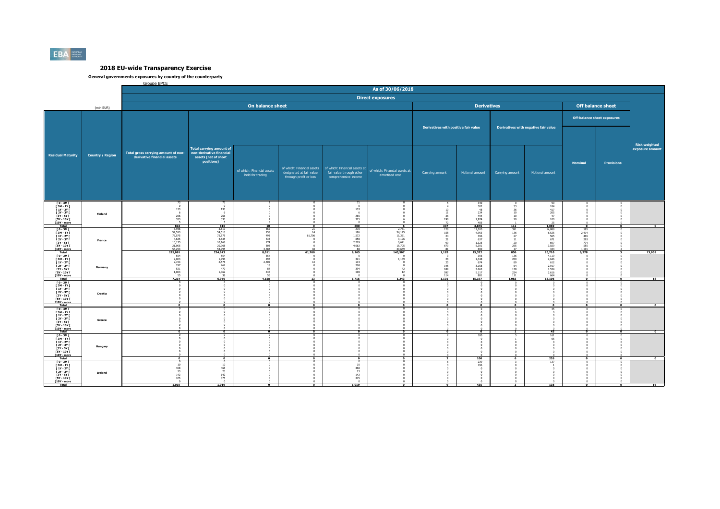

|                                                                                                                                      |                         | Groupe BPCF                                                                           |                                                                                                   |                                                                |                                                    |                                                                                                                | As of 30/06/2018                                                           |                                                     |                                                                                    |                                                             |                                                                   |                                                            |                   |                          |
|--------------------------------------------------------------------------------------------------------------------------------------|-------------------------|---------------------------------------------------------------------------------------|---------------------------------------------------------------------------------------------------|----------------------------------------------------------------|----------------------------------------------------|----------------------------------------------------------------------------------------------------------------|----------------------------------------------------------------------------|-----------------------------------------------------|------------------------------------------------------------------------------------|-------------------------------------------------------------|-------------------------------------------------------------------|------------------------------------------------------------|-------------------|--------------------------|
|                                                                                                                                      |                         |                                                                                       |                                                                                                   |                                                                |                                                    |                                                                                                                | <b>Direct exposures</b>                                                    |                                                     |                                                                                    |                                                             |                                                                   |                                                            |                   |                          |
|                                                                                                                                      |                         |                                                                                       |                                                                                                   |                                                                |                                                    |                                                                                                                |                                                                            |                                                     |                                                                                    |                                                             |                                                                   |                                                            |                   |                          |
|                                                                                                                                      | (mln EUR)               |                                                                                       |                                                                                                   | On balance sheet                                               |                                                    |                                                                                                                |                                                                            |                                                     | <b>Derivatives</b>                                                                 |                                                             |                                                                   | <b>Off balance sheet</b>                                   |                   |                          |
|                                                                                                                                      |                         |                                                                                       |                                                                                                   |                                                                |                                                    |                                                                                                                |                                                                            |                                                     |                                                                                    |                                                             |                                                                   | <b>Off-balance sheet exposures</b>                         |                   |                          |
|                                                                                                                                      |                         |                                                                                       |                                                                                                   |                                                                |                                                    |                                                                                                                |                                                                            | Derivatives with positive fair value                |                                                                                    |                                                             | Derivatives with negative fair value                              |                                                            |                   | <b>Risk weighted</b>     |
| <b>Residual Maturity</b>                                                                                                             | <b>Country / Region</b> | Total gross carrying amount of non-<br>derivative financial assets                    | <b>Total carrying amount of</b><br>non-derivative financial<br>assets (net of short<br>positions) | of which: Financial assets<br>held for trading                 | designated at fair value<br>through profit or loss | of which: Financial assets   of which: Financial assets at<br>fair value through other<br>comprehensive income | of which: Financial assets at<br>amortised cost                            | Carrying amount                                     | Notional amount                                                                    | Carrying amount                                             | Notional amount                                                   | <b>Nominal</b>                                             | <b>Provisions</b> | exposure amount          |
| T0-3M<br><b>F3M-1YF</b><br>$[1Y - 2Y]$<br><b>F2Y - 3Y F</b><br>[3Y - 5Y I]<br><b>FSY - 10Y F</b><br>[10Y - more<br>Total             | Finland                 | 73<br>$\Omega$<br>133<br>6<br>266<br>333<br>816                                       | 73.<br>$\Omega$<br>133<br>6<br>266<br>333<br>816                                                  | 10                                                             |                                                    | 71.<br>$\Omega$<br>133<br>- 6<br>265<br>325<br>800                                                             |                                                                            | 10<br>11<br>36<br>198<br>$\mathcal{L}$<br>337       | $\frac{340}{302}$<br>$\frac{48}{30}$<br>234<br>$\frac{494}{1.974}$<br>485<br>3,876 | 33<br>36<br>10<br>10<br>20<br>111                           | 90<br>184<br>417<br>205<br>47<br>100<br>1,069                     |                                                            |                   |                          |
| T 0 - 3M F<br>[3M-1Y]<br><b>F 1Y - 2Y F</b><br>[ 2Y - 3Y [<br><b>F3Y - 5Y F</b><br><b>FSY - 10Y F</b><br><b>T10Y</b> - more<br>Total | France                  | 3,936<br>54,513<br>75,575<br>4,635<br>10,175<br>21,005<br>55,253<br>225,091           | 3,819<br>54,513<br>75,575<br>4,635<br>10,168<br>20,968<br>54,995<br>224,673                       | 862<br>158<br>493<br>533<br>$774$<br>$808$<br>$4,382$<br>8,011 | 21<br>14<br>61,706<br>18<br>61,760                 | $\frac{270}{186}$<br>1,572<br>858<br>$2,229$<br>4,062<br>88<br>9,265                                           | 2,781<br>54,145<br>11,351<br>3,196<br>6,671<br>15,705<br>49.659<br>143,507 | $\frac{128}{158}$<br>24<br>21<br>99<br>673<br>1,183 | 12.020<br>4.953<br>396<br>637<br>1.325<br>5.301<br>690<br>25,322                   | $\frac{391}{136}$<br>27<br>$11\,$<br>20<br>255<br>17<br>856 | 14.888<br>6.525<br>565<br>671<br>697<br>3.029<br>334<br>26,710    | 585<br>2.414<br>465<br>293<br>774<br>555<br>1.191<br>6,278 |                   | 13,958                   |
| $10 - 3M1$<br>[3M-1Y]<br><b>F 1Y - 2Y F</b><br><b>F2Y - 3Y F</b><br>[3Y - 5Y  <br>[5Y - 10Y [<br>[10Y - more<br>Total                | Germany                 | 554<br>2,003<br>2,723<br>297<br>521<br>1,063<br>55<br>7,214                           | 554<br>1,996<br>2,578<br>262<br>470<br>1,062<br>38<br>6,960                                       | 554<br>493<br>2,506<br>18<br>84<br>448<br>55<br>4.158          | 13<br>13                                           | 321<br>134<br>268<br>394<br>598<br>1.715                                                                       | 1,189<br>n<br>42<br>12<br>1,243                                            | 28<br>-25<br>145<br>189<br>597<br>114<br>1,101      | $\frac{356}{1,348}$<br>674<br>3.158<br>3.663<br>5,117<br>881<br>15.197             | 136<br>280<br>89<br>64<br>$\frac{178}{224}$<br>111<br>1.083 | 4.119<br>2,646<br>612<br>2.917<br>1.534<br>2,616<br>664<br>15,106 | $\Omega$                                                   | $\mathbf 0$       | 18                       |
| T 0 - 3M I<br>[ 3M - 1Y [<br><b>F 1Y - 2Y F</b><br>[ 2Y - 3Y [<br>[3Y - 5Y  <br><b>FSY - 10Y F</b><br><b>F10Y</b> - more             | Croatia                 | $\overline{0}$                                                                        | $\overline{ }$                                                                                    | $\overline{0}$                                                 | $\overline{0}$                                     | $\overline{\bullet}$                                                                                           | $\overline{0}$                                                             | $\overline{0}$                                      | $^{\circ}$                                                                         |                                                             | $\overline{0}$                                                    |                                                            | $\overline{0}$    | $\overline{\ }$          |
| $[0 - 3M]$<br>[3M-1Y]<br><b>F 1Y - 2Y F</b><br>[2Y - 3Y [<br>[3Y - 5Y [<br><b>FSY - 10Y F</b><br>[10Y - more<br>Total                | Greece                  | $\bullet$                                                                             |                                                                                                   |                                                                | $\Omega$                                           | $\Omega$                                                                                                       | $\Omega$                                                                   | $\Omega$                                            | $\Omega$<br>$\bullet$                                                              |                                                             | 45<br>45                                                          | $\Omega$                                                   | $\bullet$         | $\overline{\phantom{a}}$ |
| T0-3MT<br>[ 3M - 1Y [<br>$[1Y - 2Y]$<br><b>F2Y - 3Y F</b><br>[3Y - 5Y  <br><b>FSY - 10Y F</b><br>[10Y - more<br><b>Total</b>         | Hungary                 | $\overline{0}$                                                                        |                                                                                                   |                                                                |                                                    |                                                                                                                |                                                                            |                                                     | 100<br>100                                                                         |                                                             | 161<br>226                                                        |                                                            | $\overline{0}$    | $\overline{0}$           |
| T 0 - 3M F<br>[3M-1Y]<br><b>F 1Y - 2Y F</b><br>[2Y - 3Y [<br><b>F3Y - 5Y F</b><br><b>F5Y - 10Y F</b><br>[10Y - more                  | Ireland                 | $\begin{smallmatrix}0\0\10\end{smallmatrix}$<br>468<br>23<br>142<br>375<br>$\sqrt{2}$ | $\overline{0}$<br>$\frac{10}{468}$<br>23<br>$\frac{142}{375}$<br>$\sqrt{2}$                       |                                                                |                                                    | $\overline{0}$<br>10<br>468<br>23<br>142<br>375<br>$\sim$                                                      | $\Omega$                                                                   |                                                     | 239<br>196                                                                         |                                                             | 137                                                               |                                                            |                   |                          |
| Total                                                                                                                                |                         | 1,019                                                                                 | 1,019                                                                                             |                                                                |                                                    | 1,019                                                                                                          |                                                                            |                                                     | 435                                                                                |                                                             | 138                                                               |                                                            |                   | 16                       |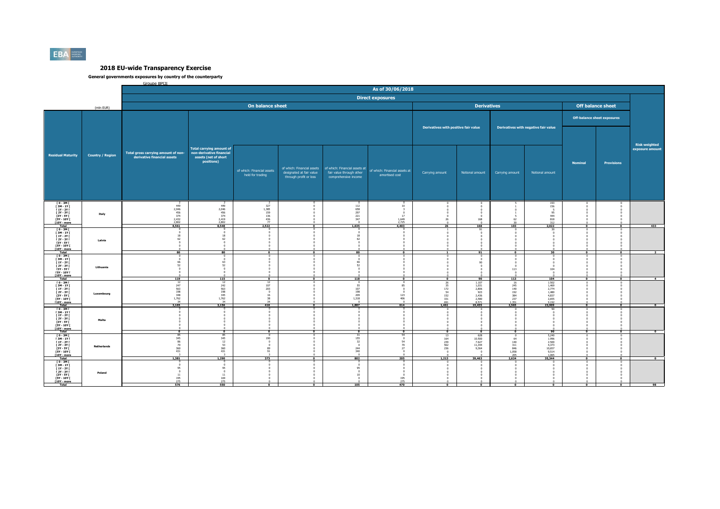

|                                                        |                         | Groupe BPCF                                                        |                                                 |                                                   |                                                    |                                                          | As of 30/06/2018                     |                                      |                                  |                                                    |                                      |                          |                                    |                                         |
|--------------------------------------------------------|-------------------------|--------------------------------------------------------------------|-------------------------------------------------|---------------------------------------------------|----------------------------------------------------|----------------------------------------------------------|--------------------------------------|--------------------------------------|----------------------------------|----------------------------------------------------|--------------------------------------|--------------------------|------------------------------------|-----------------------------------------|
|                                                        |                         |                                                                    |                                                 |                                                   |                                                    |                                                          |                                      |                                      |                                  |                                                    |                                      |                          |                                    |                                         |
|                                                        |                         |                                                                    |                                                 |                                                   |                                                    |                                                          | <b>Direct exposures</b>              |                                      |                                  |                                                    |                                      |                          |                                    |                                         |
|                                                        | (mln EUR)               |                                                                    |                                                 | On balance sheet                                  |                                                    |                                                          |                                      |                                      | <b>Derivatives</b>               |                                                    |                                      |                          | <b>Off balance sheet</b>           |                                         |
|                                                        |                         |                                                                    |                                                 |                                                   |                                                    |                                                          |                                      |                                      |                                  |                                                    |                                      |                          |                                    |                                         |
|                                                        |                         |                                                                    |                                                 |                                                   |                                                    |                                                          |                                      |                                      |                                  |                                                    |                                      |                          | <b>Off-balance sheet exposures</b> |                                         |
|                                                        |                         |                                                                    |                                                 |                                                   |                                                    |                                                          |                                      | Derivatives with positive fair value |                                  |                                                    | Derivatives with negative fair value |                          |                                    |                                         |
|                                                        |                         |                                                                    |                                                 |                                                   |                                                    |                                                          |                                      |                                      |                                  |                                                    |                                      |                          |                                    |                                         |
|                                                        |                         |                                                                    |                                                 |                                                   |                                                    |                                                          |                                      |                                      |                                  |                                                    |                                      |                          |                                    |                                         |
|                                                        |                         |                                                                    | <b>Total carrying amount of</b>                 |                                                   |                                                    |                                                          |                                      |                                      |                                  |                                                    |                                      |                          |                                    | <b>Risk weighted</b><br>exposure amount |
| <b>Residual Maturity</b>                               | <b>Country / Region</b> | Total gross carrying amount of non-<br>derivative financial assets | non-derivative financial                        |                                                   |                                                    |                                                          |                                      |                                      |                                  |                                                    |                                      |                          |                                    |                                         |
|                                                        |                         |                                                                    | assets (net of short<br>positions)              |                                                   |                                                    |                                                          |                                      |                                      |                                  |                                                    |                                      | <b>Nominal</b>           | Provisions                         |                                         |
|                                                        |                         |                                                                    |                                                 | of which: Financial assets                        |                                                    | of which: Financial assets of which: Financial assets at | of which: Financial assets at        |                                      |                                  |                                                    |                                      |                          |                                    |                                         |
|                                                        |                         |                                                                    |                                                 | held for trading                                  | designated at fair value<br>through profit or loss | fair value through other<br>comprehensive income         | amortised cost                       | Carrying amount                      | Notional amount                  | Carrying amount                                    | Notional amount                      |                          |                                    |                                         |
|                                                        |                         |                                                                    |                                                 |                                                   |                                                    |                                                          |                                      |                                      |                                  |                                                    |                                      |                          |                                    |                                         |
|                                                        |                         |                                                                    |                                                 |                                                   |                                                    |                                                          |                                      |                                      |                                  |                                                    |                                      |                          |                                    |                                         |
|                                                        |                         |                                                                    |                                                 |                                                   |                                                    |                                                          |                                      |                                      |                                  |                                                    |                                      |                          |                                    |                                         |
| $10 - 3M1$                                             |                         | $\overline{\phantom{a}}$                                           | <sup>2</sup>                                    |                                                   |                                                    | $\Omega$                                                 | $\Omega$                             |                                      |                                  |                                                    | 193                                  |                          |                                    |                                         |
| [ 3M - 1Y [<br>$[1Y - 2Y]$                             |                         | $449$<br>2,046                                                     | $449$<br>2,046                                  | $\begin{array}{c}2\\327\\1,385\end{array}$<br>159 |                                                    | $112\,$<br>658<br>297                                    | 10                                   |                                      |                                  |                                                    | 156<br>- 5                           |                          |                                    |                                         |
| <b>F2Y - 3Y F</b><br><b>13Y - 5Y F</b>                 | Italy                   | $456$<br>$374$<br>$2,432$<br>$2,802$                               | 456<br>374                                      | $\frac{136}{436}$                                 |                                                    | 221<br>347                                               | $\overline{0}$<br>17                 |                                      | $\Omega$<br>$\sqrt{2}$           | 62                                                 | 95<br>444                            |                          |                                    |                                         |
| <b>FSY - 10Y F</b><br>[10Y - more<br>Total             |                         | 8,561                                                              | $2,419$<br>$2,802$<br>8,548                     | 2,522                                             | $\overline{0}$                                     | $\sqrt{2}$<br>1,635                                      | $\frac{1,649}{2,725}$<br>4,403       | 26<br>26                             | 168<br>168                       | 103                                                | 818<br>312<br>2,022                  | $\overline{0}$           | $\overline{\phantom{a}}$           | 433                                     |
| T 0 - 3M F<br><b>F3M-1YF</b>                           |                         | $^{\circ}$                                                         |                                                 |                                                   |                                                    | $\mathbf{0}$                                             |                                      |                                      | 91                               |                                                    | 30                                   |                          |                                    |                                         |
| <b>F 1Y - 2Y F</b><br><b>F2Y - 3Y F</b>                |                         | 18<br>62                                                           | 18<br>62                                        |                                                   |                                                    | 18<br>62                                                 |                                      |                                      |                                  |                                                    |                                      |                          |                                    |                                         |
| [3Y - 5Y  <br><b>FSY - 10Y F</b>                       | Latvia                  | $\Omega$<br>$^{\circ}$                                             | $\Omega$<br>$\sqrt{2}$                          |                                                   |                                                    | $\Omega$<br>$\sqrt{2}$                                   |                                      |                                      |                                  |                                                    |                                      |                          |                                    |                                         |
| <b>T10Y</b> - more<br>Total                            |                         | $\Omega$<br>80                                                     | $\sim$<br>80                                    | $\overline{\phantom{a}}$                          | $\overline{\ }$                                    | $\Omega$<br>80                                           | $\Omega$<br>$\overline{\phantom{a}}$ |                                      | 91                               | $\overline{0}$                                     | 30                                   | $\overline{\bullet}$     | $\overline{\ }$                    |                                         |
| $10 - 3M1$<br>$[3M-1Y]$                                |                         | $\Omega$<br>$\overline{0}$                                         | $\mathbf{a}$                                    |                                                   |                                                    | $\Omega$<br>$\Omega$                                     |                                      |                                      | $\overline{0}$<br>$\overline{0}$ |                                                    |                                      |                          |                                    |                                         |
| <b>F 1Y - 2Y F</b><br>[ 2Y - 3Y I                      | Lithuania               | 66<br>52                                                           | 63<br>52                                        |                                                   |                                                    | 66<br>52                                                 |                                      |                                      | ٩n                               |                                                    |                                      |                          |                                    |                                         |
| [3Y - 5Y  <br>[5Y - 10Y [                              |                         |                                                                    |                                                 |                                                   |                                                    |                                                          |                                      |                                      |                                  | 113                                                | 104                                  |                          |                                    |                                         |
| [10Y - more<br>Total                                   |                         | 119                                                                | 115                                             | $\Omega$                                          | $\Omega$                                           | 118                                                      | $\overline{\phantom{a}}$             | $\overline{\phantom{a}}$             | 90                               | 113                                                | 104                                  | $\Omega$                 | $\Omega$                           | $\overline{4}$                          |
| $10 - 3M1$<br><b>F3M-1YF</b><br><b>F 1Y - 2Y F</b>     |                         | $\frac{12}{247}$<br>563                                            | $\begin{array}{c} 12 \\ 242 \\ 563 \end{array}$ | $\frac{12}{107}$<br>203                           |                                                    | $\Omega$<br>55<br>107                                    | 85                                   | 26<br>35<br>172                      | 1.107<br>1.031<br>2.806          | $\begin{array}{r} 16 \\ 245 \\ 140 \end{array}$    | 1.502<br>1.469<br>2.774              |                          |                                    |                                         |
| [ 2Y - 3Y I                                            | Luxembourg              | $\begin{array}{r} 198 \\ 348 \\ 1,762 \end{array}$                 | $\frac{198}{345}$<br>1,762                      | $\sqrt{2}$<br>16                                  |                                                    | 198<br>209                                               | $^{\circ}$                           | $\frac{54}{152}$                     | 923<br>2.436                     | 192                                                | $1.480$<br>$4.837$                   |                          |                                    |                                         |
| [3Y - 5Y  <br><b>FSY - 10Y F</b><br><b>T10Y</b> - more |                         | 34                                                                 | 34                                              | $\frac{38}{34}$                                   |                                                    | 1,318<br>$\Omega$                                        | $\frac{123}{406}$<br>$\overline{0}$  | 331<br>691                           | 2.580<br>8.571                   | $\frac{384}{237}$<br>1.351                         | 2.655<br>9.192                       |                          |                                    |                                         |
| Total<br>$[0 - 3M]$                                    |                         | 3.165                                                              | 3,156                                           | 410                                               | $\overline{\phantom{a}}$                           | 1,887                                                    | 614                                  | 1,461                                | 19,455                           | 2,565                                              | 23,909                               | $\overline{\bullet}$     | $\overline{\bullet}$               | $\overline{\ }$                         |
| [3M-1Y]<br>$11Y - 2YI$                                 |                         |                                                                    |                                                 |                                                   |                                                    |                                                          |                                      |                                      |                                  |                                                    |                                      |                          |                                    |                                         |
| [ 2Y - 3Y I<br>[3Y - 5Y]                               | Malta                   |                                                                    |                                                 |                                                   |                                                    |                                                          |                                      |                                      |                                  |                                                    |                                      |                          |                                    |                                         |
| <b>FSY - 10Y F</b><br>[10Y - more                      |                         |                                                                    |                                                 |                                                   |                                                    |                                                          |                                      |                                      |                                  |                                                    |                                      |                          |                                    |                                         |
| Total<br>$10 - 3M1$                                    |                         | $\overline{\phantom{a}}$<br>85                                     | $\Omega$                                        | $\Omega$                                          | $\Omega$                                           | $\Omega$                                                 | $\overline{\phantom{a}}$             | $\Omega$<br>13                       | $\Omega$<br>628                  | $\Omega$                                           | 90                                   | $\overline{\phantom{a}}$ | $\Omega$                           | $\overline{\phantom{a}}$                |
| <b>F3M-1YF</b><br>$[1Y - 2Y]$                          |                         | 345<br>86                                                          | $rac{85}{345}$<br>12                            | 190                                               |                                                    | 155<br>32                                                | $\circ$<br>54                        | 164                                  | 10.500<br>7.627                  | 64<br>140                                          | 5.240<br>1.996<br>2,500              |                          |                                    |                                         |
| <b>F2Y - 3Y F</b><br>[3Y - 5Y                          | <b>Netherlands</b>      | $\begin{array}{c} 70 \\ 360 \\ 431 \end{array}$                    | $\begin{array}{r} 53 \\ 360 \\ 431 \end{array}$ | $\Omega$<br>$\frac{89}{91}$                       |                                                    | $^{\circ}$<br>244<br>340                                 | $\frac{70}{27}$                      | 239<br>562<br>236                    | 11.344<br>9.364                  | 311<br>$\begin{array}{c} 846 \\ 1.058 \end{array}$ | 4.373<br>10.657                      |                          |                                    |                                         |
| <b>FSY - 10Y F</b><br>$[10Y - more]$                   |                         |                                                                    |                                                 |                                                   |                                                    |                                                          | $\Omega$                             |                                      |                                  | $\frac{205}{2,624}$                                | 9.514<br>1,065                       |                          |                                    |                                         |
| Total<br>$I$ 0 - 3M $I$                                |                         | 1.381                                                              | 1,290                                           | 373                                               | $\overline{0}$                                     | 802<br>$\mathbf{0}$                                      | 205                                  | 1,213                                | 39,463                           |                                                    | 35,344                               | $\overline{\phantom{a}}$ | $\overline{\phantom{a}}$           | $\overline{\ }$                         |
| <b>F3M-1YF</b><br>$11Y - 2YI$                          |                         | $\overline{0}$<br>95                                               | $\overline{0}$<br>95                            |                                                   |                                                    | $\theta$<br>95                                           |                                      |                                      |                                  |                                                    |                                      |                          |                                    |                                         |
| [ 2Y - 3Y [<br>[3Y - 5Y                                | Poland                  | $\overline{0}$<br>11                                               | $\overline{0}$<br>$11\,$                        |                                                   |                                                    | $\circ$<br>10                                            | $^{\circ}$<br>$\overline{0}$         |                                      |                                  |                                                    |                                      |                          |                                    |                                         |
| <b>FSY - 10Y F</b><br>[10Y - more                      |                         | 195<br>275                                                         | $\frac{169}{275}$                               |                                                   |                                                    |                                                          | 195<br>275                           |                                      |                                  |                                                    |                                      |                          |                                    |                                         |
| Total                                                  |                         | 576                                                                | 550                                             | $\Omega$                                          | $\mathbf{a}$                                       | 105                                                      | 470                                  | $\Omega$                             |                                  |                                                    | $\overline{\ }$                      | $\overline{0}$           | ō                                  | 98                                      |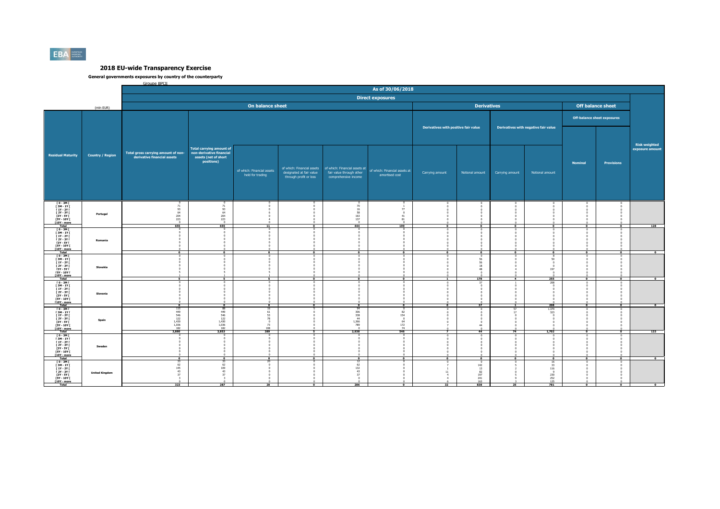

|                                                                                                                                             |                         | Groupe BPCF                                                        |                                                                                                   |                                                                   |                                                    |                                                                                                              | As of 30/06/2018                                |                                      |                                                                                    |                 |                                             |                   |                                    |                      |
|---------------------------------------------------------------------------------------------------------------------------------------------|-------------------------|--------------------------------------------------------------------|---------------------------------------------------------------------------------------------------|-------------------------------------------------------------------|----------------------------------------------------|--------------------------------------------------------------------------------------------------------------|-------------------------------------------------|--------------------------------------|------------------------------------------------------------------------------------|-----------------|---------------------------------------------|-------------------|------------------------------------|----------------------|
|                                                                                                                                             |                         |                                                                    |                                                                                                   |                                                                   |                                                    |                                                                                                              |                                                 |                                      |                                                                                    |                 |                                             |                   |                                    |                      |
|                                                                                                                                             |                         |                                                                    |                                                                                                   |                                                                   |                                                    |                                                                                                              | <b>Direct exposures</b>                         |                                      |                                                                                    |                 |                                             |                   |                                    |                      |
|                                                                                                                                             | (mln EUR)               |                                                                    |                                                                                                   | On balance sheet                                                  |                                                    |                                                                                                              |                                                 |                                      | <b>Derivatives</b>                                                                 |                 |                                             | Off balance sheet |                                    |                      |
|                                                                                                                                             |                         |                                                                    |                                                                                                   |                                                                   |                                                    |                                                                                                              |                                                 |                                      |                                                                                    |                 |                                             |                   | <b>Off-balance sheet exposures</b> |                      |
|                                                                                                                                             |                         |                                                                    |                                                                                                   |                                                                   |                                                    |                                                                                                              |                                                 | Derivatives with positive fair value |                                                                                    |                 | Derivatives with negative fair value        |                   |                                    | <b>Risk weighted</b> |
| <b>Residual Maturity</b>                                                                                                                    | <b>Country / Region</b> | Total gross carrying amount of non-<br>derivative financial assets | <b>Total carrying amount of</b><br>non-derivative financial<br>assets (net of short<br>positions) | of which: Financial assets<br>held for trading                    | designated at fair value<br>through profit or loss | of which: Financial assets of which: Financial assets at<br>fair value through other<br>comprehensive income | of which: Financial assets at<br>amortised cost | Carrying amount                      | Notional amount                                                                    | Carrying amount | Notional amount                             | <b>Nominal</b>    | <b>Provisions</b>                  | exposure amount      |
| $10 - 3M1$<br><b>F3M-1YF</b><br>$[1Y - 2Y]$<br>$12Y - 3YI$<br>[3Y - 5Y  <br><b>FSY - 10Y F</b><br>[10Y - more<br>Total                      | Portugal                | 71<br>93<br>64<br>$\frac{204}{223}$<br>$\sqrt{2}$<br>655           | $\begin{array}{c} 71 \\ 93 \end{array}$<br>64<br>$\frac{204}{223}$<br>$\sqrt{2}$<br>655           | $\overline{11}$                                                   |                                                    | $^{\circ}$<br>$\frac{70}{16}$<br>58<br>163<br>137<br>$\Omega$<br>444                                         | 77<br>$\circ$<br>41<br>81<br>199                |                                      |                                                                                    |                 |                                             |                   |                                    | 128                  |
| <b>FO-3MF</b><br>[ 3M - 1Y [<br><b>F 1Y - 2Y F</b><br>[ 2Y - 3Y [<br><b>F3Y - 5Y F</b><br><b>FSY - 10Y F</b><br><b>T10Y</b> - more<br>Total | Romania                 | $\overline{\bullet}$                                               | $\overline{a}$                                                                                    | $^{\circ}$                                                        | $\overline{0}$                                     | $\sqrt{2}$<br>$\overline{0}$                                                                                 | $\overline{\bullet}$                            | $\overline{0}$                       | $^{\circ}$                                                                         |                 | $\overline{\bullet}$                        | $\overline{0}$    | $\overline{\bullet}$               | $\overline{\ }$      |
| T0-3MT<br>[3M-1Y]<br><b>F 1Y - 2Y F</b><br><b>F2Y - 3Y F</b><br>$13Y - SYI$<br>[5Y - 10Y [<br>[10Y - more<br>Total                          | Slovakia                | 5                                                                  |                                                                                                   |                                                                   | $\Omega$                                           | $\mathbf 0$                                                                                                  | $\bullet$                                       |                                      | $\Omega$<br>56<br>18<br>178                                                        |                 | 8<br>50<br>197<br>255                       | $\Omega$          | $\mathbf 0$                        | $\Omega$             |
| $10 - 3M1$<br>[ 3M - 1Y [<br><b>F 1Y - 2Y F</b><br>[ 2Y - 3Y [<br>[3Y - 5Y I]<br><b>FSY - 10Y F</b><br><b>F10Y</b> - more                   | Slovenia                | $\overline{\bullet}$                                               | $\overline{0}$                                                                                    | $\overline{a}$                                                    | $\overline{0}$                                     | $\overline{0}$                                                                                               | $\overline{0}$                                  | $\overline{0}$                       | 37<br>37                                                                           |                 | 208<br>208                                  |                   | $\overline{\bullet}$               | $\overline{\bullet}$ |
| $[0 - 3M]$<br>[ 3M - 1Y [<br><b>F 1Y - 2Y F</b><br><b>F2Y - 3Y F</b><br>$[3Y - 5Y]$<br><b>FSY - 10Y F</b><br>[10Y - more<br>Total           | Spain                   | 115<br>449<br>546<br>122<br>1,430<br>1,036<br>182<br>3,880         | 88<br>$449$<br>$546$<br>$122$<br>1,430<br>1,036<br>182<br>3,853                                   | 16<br>61<br>$\frac{53}{78}$<br>$\overline{0}$<br>73<br>108<br>389 |                                                    | 94<br>306<br>338<br>44<br>1,366<br>789<br>2,938                                                              | 82<br>154<br>$\circ$<br>64<br>172<br>74<br>546  | $\overline{ }$                       | $\Omega$<br>44<br>44                                                               | 57<br>17<br>74  | 1,379<br>323<br>1,702                       | n<br>$\Omega$     | $\bullet$                          | 133                  |
| $10 - 3M1$<br><b>F3M-1YF</b><br>$[1Y - 2Y]$<br><b>F2Y - 3Y F</b><br><b>T3Y - 5Y I</b><br><b>FSY - 10Y F</b><br>[10Y - more<br>Total         | Sweden                  | $\overline{0}$                                                     |                                                                                                   |                                                                   |                                                    |                                                                                                              | $\overline{ }$                                  |                                      |                                                                                    |                 | $\overline{\bullet}$                        |                   | $\overline{0}$                     | $\overline{a}$       |
| <b>FO-3MF</b><br>[3M-1Y]<br><b>F 1Y - 2Y F</b><br>$[2Y - 3Y]$<br><b>13Y - 5Y F</b><br><b>FSY - 10Y F</b><br><b>F10Y</b> - more              | <b>United Kingdom</b>   | $\begin{array}{c} 33 \\ 62 \end{array}$<br>145<br>43<br>37         | $\begin{array}{r} 33 \\ 62 \\ 109 \end{array}$<br>43<br>37                                        | 20                                                                |                                                    | $\frac{12}{62}$<br>132<br>43<br>37<br>$\Omega$                                                               | $\Omega$                                        |                                      | $\overline{0}$<br>142<br><b>13</b><br>82<br>$\frac{197}{241}$<br>$\frac{163}{838}$ |                 | 16<br>33<br>116<br>- 9<br>230<br>252<br>125 |                   |                                    |                      |
|                                                                                                                                             |                         | 323                                                                | 287                                                                                               |                                                                   |                                                    | 286                                                                                                          | $\overline{0}$                                  |                                      |                                                                                    |                 | 781                                         |                   |                                    |                      |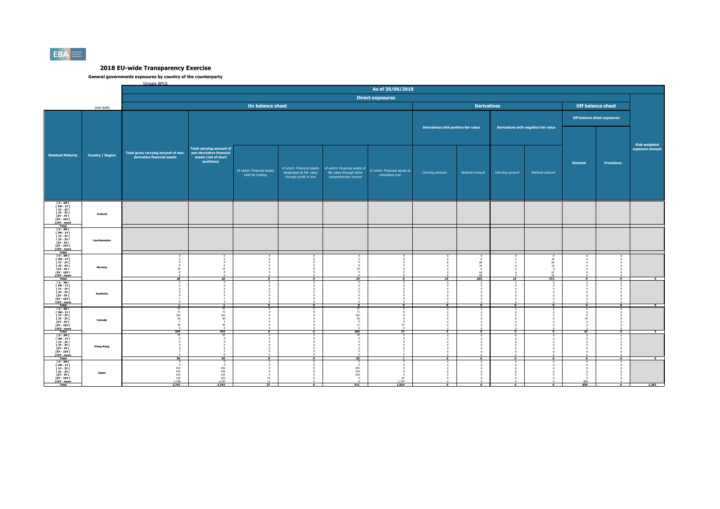

|                                                                                        |                         | Groupe BPCF                         |                                                                  |                                                |                                                    |                                                            | As of 30/06/2018                                |                                      |                    |                 |                                      |                |                                    |                      |
|----------------------------------------------------------------------------------------|-------------------------|-------------------------------------|------------------------------------------------------------------|------------------------------------------------|----------------------------------------------------|------------------------------------------------------------|-------------------------------------------------|--------------------------------------|--------------------|-----------------|--------------------------------------|----------------|------------------------------------|----------------------|
|                                                                                        |                         |                                     |                                                                  |                                                |                                                    |                                                            | <b>Direct exposures</b>                         |                                      |                    |                 |                                      |                |                                    |                      |
|                                                                                        |                         |                                     |                                                                  | On balance sheet                               |                                                    |                                                            |                                                 |                                      | <b>Derivatives</b> |                 |                                      |                | Off balance sheet                  |                      |
|                                                                                        | (mln EUR)               |                                     |                                                                  |                                                |                                                    |                                                            |                                                 |                                      |                    |                 |                                      |                |                                    |                      |
|                                                                                        |                         |                                     |                                                                  |                                                |                                                    |                                                            |                                                 |                                      |                    |                 |                                      |                | <b>Off-balance sheet exposures</b> |                      |
|                                                                                        |                         |                                     |                                                                  |                                                |                                                    |                                                            |                                                 | Derivatives with positive fair value |                    |                 | Derivatives with negative fair value |                |                                    |                      |
|                                                                                        |                         |                                     |                                                                  |                                                |                                                    |                                                            |                                                 |                                      |                    |                 |                                      |                |                                    |                      |
|                                                                                        |                         |                                     |                                                                  |                                                |                                                    |                                                            |                                                 |                                      |                    |                 |                                      |                |                                    | <b>Risk weighted</b> |
|                                                                                        |                         | Total gross carrying amount of non- | <b>Total carrying amount of</b><br>non-derivative financial      |                                                |                                                    |                                                            |                                                 |                                      |                    |                 |                                      |                |                                    | exposure amount      |
| <b>Residual Maturity</b>                                                               | <b>Country / Region</b> | derivative financial assets         | assets (net of short<br>positions)                               |                                                |                                                    |                                                            |                                                 |                                      |                    |                 |                                      |                |                                    |                      |
|                                                                                        |                         |                                     |                                                                  |                                                |                                                    | of which: Financial assets   of which: Financial assets at |                                                 |                                      |                    |                 |                                      | <b>Nominal</b> | <b>Provisions</b>                  |                      |
|                                                                                        |                         |                                     |                                                                  | of which: Financial assets<br>held for trading | designated at fair value<br>through profit or loss | fair value through other<br>comprehensive income           | of which: Financial assets at<br>amortised cost | Carrying amount                      | Notional amount    | Carrying amount | Notional amount                      |                |                                    |                      |
|                                                                                        |                         |                                     |                                                                  |                                                |                                                    |                                                            |                                                 |                                      |                    |                 |                                      |                |                                    |                      |
|                                                                                        |                         |                                     |                                                                  |                                                |                                                    |                                                            |                                                 |                                      |                    |                 |                                      |                |                                    |                      |
|                                                                                        |                         |                                     |                                                                  |                                                |                                                    |                                                            |                                                 |                                      |                    |                 |                                      |                |                                    |                      |
| ГО-ЗМГ<br>ГЗМ-1ҮГ<br>$[1Y - 2Y]$                                                       |                         |                                     |                                                                  |                                                |                                                    |                                                            |                                                 |                                      |                    |                 |                                      |                |                                    |                      |
| $12Y - 3YI$<br>[3Y - 5Y                                                                | <b>Iceland</b>          |                                     |                                                                  |                                                |                                                    |                                                            |                                                 |                                      |                    |                 |                                      |                |                                    |                      |
| <b>FSY - 10Y F</b><br>[10Y - more<br>Total                                             |                         |                                     |                                                                  |                                                |                                                    |                                                            |                                                 |                                      |                    |                 |                                      |                |                                    |                      |
| <b>FO-3MF</b><br>$I 3M - 1YI$                                                          |                         |                                     |                                                                  |                                                |                                                    |                                                            |                                                 |                                      |                    |                 |                                      |                |                                    |                      |
| <b>F 1Y - 2Y F</b><br>[ 2Y - 3Y I                                                      | Liechtenstein           |                                     |                                                                  |                                                |                                                    |                                                            |                                                 |                                      |                    |                 |                                      |                |                                    |                      |
| $\sqrt{\phantom{a}3Y}$ - $\sqrt{\phantom{a}5Y}$ (<br><b>FSY - 10Y F</b><br>[10Y - more |                         |                                     |                                                                  |                                                |                                                    |                                                            |                                                 |                                      |                    |                 |                                      |                |                                    |                      |
| Total<br>$10 - 3M1$                                                                    |                         |                                     |                                                                  |                                                |                                                    |                                                            |                                                 |                                      |                    |                 | $\Omega$                             |                |                                    |                      |
| [3M-1Y]<br><b>F 1Y - 2Y F</b><br><b>F2Y - 3Y F</b>                                     |                         | n.                                  |                                                                  |                                                |                                                    | $\Omega$                                                   |                                                 |                                      | 89<br>34           |                 | 36<br>84<br>15                       |                |                                    |                      |
| [3Y - 5Y  <br>[5Y - 10Y                                                                | Norway                  | 24<br>$\Omega$                      | 15                                                               |                                                |                                                    | 24<br>$\Omega$                                             |                                                 |                                      | -0<br>66           |                 | Q7                                   |                |                                    |                      |
| [10Y - more<br>Total                                                                   |                         | 28                                  | 20                                                               | 5.                                             | $\bullet$                                          | 24                                                         | $\bullet$                                       | 14                                   | 255                | 13              | 272                                  | $\Omega$       | $\mathbf 0$                        | $\Omega$             |
| $10 - 3M1$<br>[ 3M - 1Y [<br><b>F 1Y - 2Y F</b>                                        |                         |                                     |                                                                  |                                                |                                                    |                                                            |                                                 |                                      |                    |                 |                                      |                |                                    |                      |
| <b>F2Y - 3Y F</b><br>[3Y - 5Y I]                                                       | Australia               |                                     |                                                                  |                                                |                                                    |                                                            |                                                 |                                      |                    |                 |                                      |                |                                    |                      |
| <b>F5Y - 10Y F</b><br><b>F10Y</b> - more                                               |                         |                                     |                                                                  | $\overline{\bullet}$                           | $\overline{ }$                                     | $\overline{\bullet}$                                       | $\overline{0}$                                  |                                      | $^{\circ}$         |                 | $\overline{0}$                       |                | $\overline{0}$                     | $\overline{\bullet}$ |
| $[0 - 3M]$<br>[ 3M - 1Y [                                                              |                         | 41<br>71                            | 41<br>71                                                         |                                                |                                                    | 41<br>71                                                   |                                                 |                                      | $\Omega$           |                 | $\Omega$                             | $\Omega$       |                                    |                      |
| <b>F 1Y - 2Y F</b><br><b>F2Y - 3Y F</b><br>$[3Y - SY]$                                 | Canada                  | 103<br>40<br>-1                     | 103<br>40                                                        |                                                |                                                    | 103<br>40<br>$\circ$                                       |                                                 |                                      |                    |                 |                                      | 43             |                                    |                      |
| <b>FSY - 10Y F</b><br>[10Y - more                                                      |                         | 49                                  | 49                                                               |                                                |                                                    | $11\,$                                                     | 37                                              |                                      |                    |                 |                                      |                |                                    |                      |
| Total<br>$10 - 3M1$                                                                    |                         | 304<br>55                           | 304                                                              | $\Omega$                                       | $\Omega$                                           | 266<br>55                                                  | 37                                              | $\bullet$                            | $\bullet$          |                 | $\Omega$                             | 43             | $\overline{\phantom{a}}$           |                      |
| [ 3M - 1Y [<br>$[1Y - 2Y]$<br><b>F2Y - 3Y F</b>                                        |                         | $\Omega$                            |                                                                  |                                                |                                                    | $\Omega$                                                   |                                                 |                                      |                    |                 |                                      |                |                                    |                      |
| <b>13Y - 5Y I</b><br><b>F5Y - 10Y F</b>                                                | <b>Hong Kong</b>        |                                     |                                                                  |                                                |                                                    | $\Omega$                                                   |                                                 |                                      |                    |                 |                                      |                |                                    |                      |
| [10Y - more<br>Total                                                                   |                         | 56                                  | 56                                                               |                                                |                                                    | 55                                                         |                                                 |                                      |                    |                 |                                      |                | $\overline{0}$                     | $\overline{0}$       |
| T 0 - 3M F<br>T 3M - 1Y F<br><b>F 1Y - 2Y F</b>                                        |                         | $\circ$<br>$\mathbf{a}$             | $\mathbf{r}$<br>$\sqrt{2}$                                       | $\Omega$                                       | $^{\circ}$                                         | $^{\circ}$<br>$\Omega$<br>262                              | $\Omega$                                        |                                      |                    |                 |                                      |                |                                    |                      |
| [ 2Y - 3Y [<br>[3Y - 5Y F                                                              | Japan                   | $\frac{262}{416}$<br>233            | $\begin{array}{r} 262 \\ 416 \\ 233 \\ 103 \\ 1,747 \end{array}$ |                                                |                                                    | 416<br>233                                                 |                                                 |                                      |                    |                 |                                      |                |                                    |                      |
| <b>F5Y - 10Y F</b><br><b>F10Y</b> - more                                               |                         | $\frac{103}{1,748}$<br>2,762        | 2,762                                                            | 16<br>11<br>27                                 |                                                    | $\Omega$<br>$\sim$<br>911                                  | 87<br>1.737<br>1,824                            |                                      |                    |                 |                                      | 800<br>800     |                                    | 1,302                |
|                                                                                        |                         |                                     |                                                                  |                                                |                                                    |                                                            |                                                 |                                      |                    |                 |                                      |                |                                    |                      |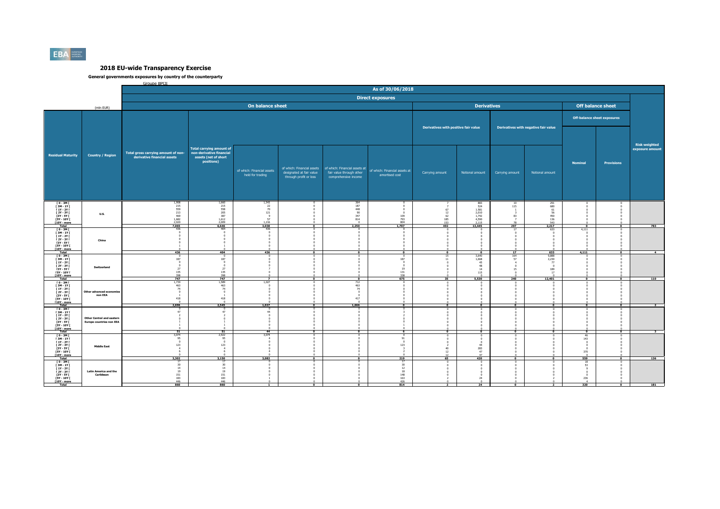

|                                                                                                                                         |                                                                     | Groupe BPCF                                                        |                                                                                                    |                                                              |                                                    |                                                                                                              | As of 30/06/2018                                      |                                      |                                                                          |                        |                                                             |                                                  |                      |                                         |
|-----------------------------------------------------------------------------------------------------------------------------------------|---------------------------------------------------------------------|--------------------------------------------------------------------|----------------------------------------------------------------------------------------------------|--------------------------------------------------------------|----------------------------------------------------|--------------------------------------------------------------------------------------------------------------|-------------------------------------------------------|--------------------------------------|--------------------------------------------------------------------------|------------------------|-------------------------------------------------------------|--------------------------------------------------|----------------------|-----------------------------------------|
|                                                                                                                                         |                                                                     |                                                                    |                                                                                                    |                                                              |                                                    |                                                                                                              |                                                       |                                      |                                                                          |                        |                                                             |                                                  |                      |                                         |
|                                                                                                                                         |                                                                     |                                                                    |                                                                                                    |                                                              |                                                    |                                                                                                              | <b>Direct exposures</b>                               |                                      |                                                                          |                        |                                                             |                                                  |                      |                                         |
|                                                                                                                                         | (mln EUR)                                                           |                                                                    |                                                                                                    | On balance sheet                                             |                                                    |                                                                                                              |                                                       |                                      | <b>Derivatives</b>                                                       |                        |                                                             | <b>Off balance sheet</b>                         |                      |                                         |
|                                                                                                                                         |                                                                     |                                                                    |                                                                                                    |                                                              |                                                    |                                                                                                              |                                                       |                                      |                                                                          |                        |                                                             | <b>Off-balance sheet exposures</b>               |                      |                                         |
|                                                                                                                                         |                                                                     |                                                                    | <b>Total carrying amount of</b>                                                                    |                                                              |                                                    |                                                                                                              |                                                       | Derivatives with positive fair value |                                                                          |                        | Derivatives with negative fair value                        |                                                  |                      | <b>Risk weighted</b><br>exposure amount |
| <b>Residual Maturity</b>                                                                                                                | <b>Country / Region</b>                                             | Total gross carrying amount of non-<br>derivative financial assets | non-derivative financial<br>assets (net of short<br>positions)                                     | of which: Financial assets<br>held for trading               | designated at fair value<br>through profit or loss | of which: Financial assets of which: Financial assets at<br>fair value through other<br>comprehensive income | of which: Financial assets at<br>amortised cost       | Carrying amount                      | Notional amount                                                          | Carrying amount        | Notional amount                                             | <b>Nominal</b>                                   | <b>Provisions</b>    |                                         |
| T0-3M<br><b>F3M-1YF</b><br>$[1Y - 2Y]$<br><b>F2Y - 3Y F</b><br>[3Y - 5Y  <br><b>FSY - 10Y F</b><br>[10Y - more<br>Total                 | <b>U.S.</b>                                                         | 1,908<br>215<br>559<br>213<br>469<br>$1,682$<br>$2,020$<br>7,065   | $\begin{array}{r} 1,660 \\ 215 \\ 558 \\ 205 \end{array}$<br>387<br>$\frac{1,612}{2,009}$<br>6,646 | 1,543<br>22<br>70<br>121<br><b>Q</b><br>57<br>1.216<br>3,038 |                                                    | 364<br>187<br>448<br>90<br>347<br>814<br>2,250                                                               | $\Omega$<br>$\frac{109}{793}$<br>804<br>1,707         | 67<br>12<br>62<br>185<br>153<br>492  | 883<br>524<br>1,581<br>2.010<br>1.742<br>4.590<br>$\frac{2,115}{13,445}$ | 10<br>115<br>83<br>297 | $\frac{291}{680}$<br>61<br>56<br>450<br>136<br>543<br>2,217 |                                                  |                      | 783                                     |
| <b>FO-3MF</b><br>[3M-1Y]<br><b>F 1Y - 2Y F</b><br>[ 2Y - 3Y [<br><b>F3Y - 5Y F</b><br><b>FSY - 10Y F</b><br><b>T10Y</b> - more<br>Total | China                                                               | 436<br>436                                                         | 404<br>404                                                                                         | 436<br>436                                                   | $\overline{0}$                                     | $\overline{\bullet}$                                                                                         | $\overline{\phantom{a}}$                              | $\overline{\phantom{a}}$             | $\Omega$<br>$\overline{\phantom{a}}$                                     | 17<br>$\overline{17}$  | 633<br>633                                                  | 4.111<br>4,111                                   | $\overline{\bullet}$ | $-4$                                    |
| $10 - 3M1$<br>[3M-1Y]<br><b>F 1Y - 2Y F</b><br><b>F2Y - 3Y F</b><br>[3Y - 5Y  <br>[5Y - 10Y [<br>[10Y - more<br>Total                   | Switzerland                                                         | 187<br>$^{\circ}$<br>$\overline{0}$<br>27<br>135<br>398<br>747     | 187<br>27<br>135<br>398<br>747                                                                     | $\overline{7}$                                               | $\Omega$                                           | $\mathbf 0$                                                                                                  | 187<br>$\circ$<br>19<br>131<br>33 <sub>R</sub><br>675 | 15<br>11<br>35                       | 3.640<br>1,668<br>45<br>48<br>14<br>115<br>5,530                         | 164<br>57<br>15<br>240 | 9.888<br>2,230<br>77<br>$\sqrt{2}$<br>189<br>17<br>12,401   | $\Omega$                                         | $\Omega$             | 110                                     |
| T 0 - 3M I<br>[ 3M - 1Y [<br><b>F 1Y - 2Y F</b><br>[ 2Y - 3Y [<br>[3Y - 5Y I]<br><b>F5Y - 10Y F</b><br><b>F10Y</b> - more               | Other advanced econo<br>non EEA                                     | 1,739<br>463<br>74<br>$\overline{0}$<br>418<br>$\sqrt{2}$<br>2,696 | 1,589<br>463<br>74<br>$\Omega$<br>418<br>$\sqrt{2}$<br>2,545                                       | 1.027<br>$\Omega$<br>1,027                                   |                                                    | 712<br>463<br>74<br>$\circ$<br>$\sqrt{2}$<br>417<br>$\sqrt{2}$<br>1,666                                      | $\overline{0}$                                        |                                      |                                                                          |                        |                                                             |                                                  | $\overline{0}$       |                                         |
| $[0 - 3M]$<br><b>F3M-1YF</b><br><b>F 1Y - 2Y F</b><br>[ 2Y - 3Y [<br>[3Y - 5Y]<br><b>FSY - 10Y F</b><br>[10Y - more<br>Total            | <b>Other Central and eastern</b><br><b>Europe countries non EEA</b> | 47<br>51                                                           | 47<br>51                                                                                           | -0<br>44<br>44                                               | $\Omega$                                           | $\Omega$                                                                                                     | $\overline{6}$                                        | $\bullet$                            | -0<br>$\bullet$                                                          |                        | $\Omega$                                                    | $\bullet$                                        | $\bullet$            |                                         |
| $10 - 3M1$<br>[ 3M - 1Y [<br>$[1Y - 2Y]$<br><b>F2Y - 3Y F</b><br>[3Y - 5Y  <br><b>FSY - 10Y F</b><br>[10Y - more<br><b>Total</b>        | <b>Middle East</b>                                                  | 3,074<br>95<br>$\overline{0}$<br>123<br>-6<br>3,302                | 2,922<br>95<br>$\overline{0}$<br>123<br>-4<br>3,150                                                | 3.074<br>3,082                                               |                                                    |                                                                                                              | 91<br>123<br>$\overline{z}$<br>219                    | 40<br>12<br>12<br>65                 | 44<br>$\frac{283}{47}$<br>47<br>420                                      |                        |                                                             | 46<br>143<br>370<br>559                          | $\overline{0}$       | 136                                     |
| <b>FO-3MF</b><br>[3M-1Y]<br><b>F 1Y - 2Y F</b><br>$[2Y - 3Y]$<br><b>13Y - 5Y I</b><br><b>F5Y - 10Y F</b><br>[10Y - more                 | <b>Latin America and the</b><br>Caribbean                           | 17<br>30<br>14<br>19<br>$\frac{151}{183}$<br>446                   | 17<br>30<br>14<br>19<br>$\frac{151}{183}$                                                          | $\Omega$                                                     |                                                    |                                                                                                              | 17<br>30<br>12<br>18<br>$\frac{148}{163}$<br>426      |                                      | $\overline{0}$<br>$\Omega$<br>$\Omega$<br>24                             |                        |                                                             | 18<br>53<br>0<br>$\sim$<br>236<br>$\overline{a}$ |                      |                                         |
| Total                                                                                                                                   |                                                                     | 860                                                                | 860                                                                                                |                                                              |                                                    |                                                                                                              | 814                                                   |                                      | 24                                                                       |                        |                                                             | 320                                              |                      | 181                                     |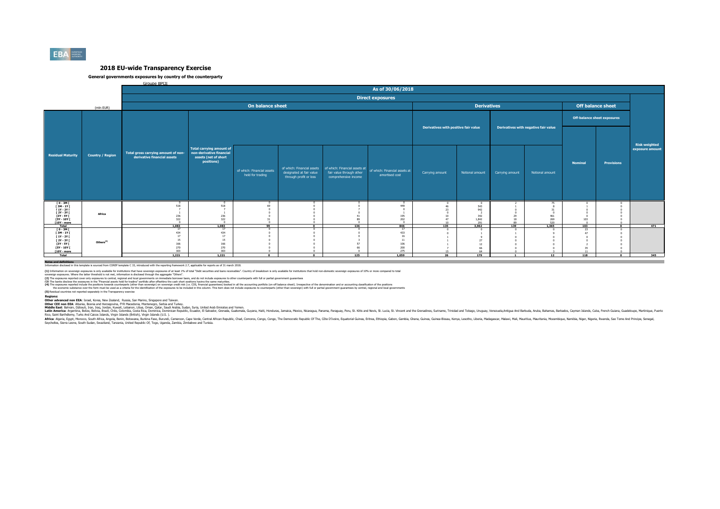

### **General governments exposures by country of the counterparty**

Groupe BPCE

|                                                                                                                   |                         | As of 30/06/2018                                                   |                                                                                                   |                                                |                                                    |                                                                                                              |                                                 |                                      |                                                          |                                      |                           |                                    |                   |                                         |
|-------------------------------------------------------------------------------------------------------------------|-------------------------|--------------------------------------------------------------------|---------------------------------------------------------------------------------------------------|------------------------------------------------|----------------------------------------------------|--------------------------------------------------------------------------------------------------------------|-------------------------------------------------|--------------------------------------|----------------------------------------------------------|--------------------------------------|---------------------------|------------------------------------|-------------------|-----------------------------------------|
|                                                                                                                   |                         | <b>Direct exposures</b>                                            |                                                                                                   |                                                |                                                    |                                                                                                              |                                                 |                                      |                                                          |                                      |                           |                                    |                   |                                         |
|                                                                                                                   | (mln EUR)               |                                                                    |                                                                                                   |                                                | <b>Off balance sheet</b>                           |                                                                                                              |                                                 |                                      |                                                          |                                      |                           |                                    |                   |                                         |
|                                                                                                                   | <b>Country / Region</b> |                                                                    |                                                                                                   |                                                |                                                    |                                                                                                              |                                                 |                                      |                                                          |                                      |                           | <b>Off-balance sheet exposures</b> |                   |                                         |
|                                                                                                                   |                         |                                                                    |                                                                                                   |                                                |                                                    |                                                                                                              |                                                 | Derivatives with positive fair value |                                                          | Derivatives with negative fair value |                           |                                    |                   |                                         |
| <b>Residual Maturity</b>                                                                                          |                         | Total gross carrying amount of non-<br>derivative financial assets | <b>Total carrying amount of</b><br>non-derivative financial<br>assets (net of short<br>positions) | of which: Financial assets<br>held for trading | designated at fair value<br>through profit or loss | of which: Financial assets of which: Financial assets at<br>fair value through other<br>comprehensive income | of which: Financial assets at<br>amortised cost | Carrying amount                      | Notional amount                                          | Carrying amount                      | Notional amount           | <b>Nominal</b>                     | <b>Provisions</b> | <b>Risk weighted</b><br>exposure amount |
| [0-3M]<br>[3M-1Y]<br>$[1Y - 2Y]$<br><b>F2Y - 3Y F</b><br>[3Y - 5Y  <br><b>F5Y - 10Y F</b><br>[10Y - more<br>Total | Africa                  | 518<br>236<br>322<br>$\mathbf{r}$<br>1.083                         | 518<br>236<br>322<br>$\sqrt{2}$<br>1.083                                                          | 99                                             | $\overline{a}$                                     | 136                                                                                                          | 449<br>195<br>202<br>$\Omega$<br>846            | 46<br>10 <sup>1</sup><br>135         | $^{\circ}$<br>543<br>942<br>342<br>1.842<br>291<br>3.962 | 29<br>18<br>RO<br>139                | 75<br>269<br>520<br>1.365 | 103<br>$\sim$<br>103               | $\sim$            | 471                                     |
| <b>TO-3MT</b><br>$[3M-1Y]$<br>$[1Y - 2Y]$<br>[ 2Y - 3Y [<br>[3Y - 5Y]<br><b>F5Y - 10Y F</b><br>$[10Y - more]$     | Others <sup>(5)</sup>   | 17<br>434<br>17<br>15<br>166<br>270<br>303                         | 17<br>434<br>17<br>15<br>166<br>270<br>303                                                        |                                                |                                                    | 57<br>66                                                                                                     | 17<br>433<br>11<br>106<br>200<br>275            |                                      | 27<br>12<br>66                                           |                                      |                           | 23<br>A7                           |                   |                                         |
| Total<br>Notes and definitions                                                                                    |                         | 1,221                                                              | 1.221                                                                                             | $\Omega$                                       | $\Omega$                                           | 125                                                                                                          | 1.059                                           | 26                                   | 179                                                      |                                      | 12                        | 118                                | $\Omega$          | 345                                     |

**Notes and definitions** Information disclosed in this template is sourced from COREP template C 33, introduced with the reporting framework 2.7, applicable for reports as of 31 march 2018.

(1) Information on soverign exposures is only andiable for institutions that base overled exposures of a least 19h of total "Debt securities and bans receivables". Country of breakdown is only available for instutions that

(2) The zonsures records the consures in the Financial assts held for bading overnomis on the record and to be distance to the counterparts with full or partial comment customers in the consumers and the consumers and the

**(5)** Residual countries not reported separately in the Transparency exercise

Redions:<br>Other advanced non EEA: Israel. Korea. New Zealand. Russia. San Marino. Sinzacore and Taiwan.<br>Middle East: Bahrain, Discolic Responsit Proposition Scheen Archives, Seria and Taiwan, Seria Taiwan, Seria Taiwan, Ser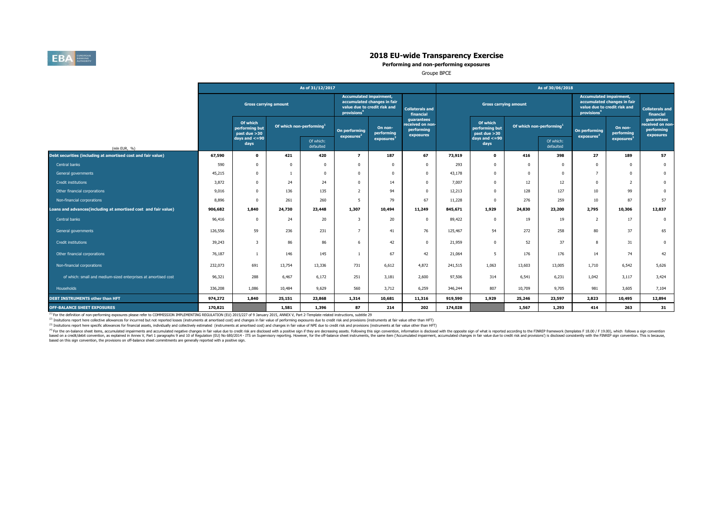

**Performing and non-performing exposures**

Groupe BPCE

|                                                                | As of 31/12/2017             |                                                                                    |        |                                         |                                                                                                                          |                                                           |                                     | As of 30/06/2018                           |                                      |          |                                                                                                                          |                       |                                                           |                |
|----------------------------------------------------------------|------------------------------|------------------------------------------------------------------------------------|--------|-----------------------------------------|--------------------------------------------------------------------------------------------------------------------------|-----------------------------------------------------------|-------------------------------------|--------------------------------------------|--------------------------------------|----------|--------------------------------------------------------------------------------------------------------------------------|-----------------------|-----------------------------------------------------------|----------------|
|                                                                | <b>Gross carrying amount</b> |                                                                                    |        |                                         | <b>Accumulated impairment,</b><br>accumulated changes in fair<br>value due to credit risk and<br>provisions <sup>4</sup> |                                                           | <b>Collaterals and</b><br>financial | <b>Gross carrying amount</b>               |                                      |          | <b>Accumulated impairment,</b><br>accumulated changes in fair<br>value due to credit risk and<br>provisions <sup>4</sup> |                       | <b>Collaterals and</b><br>financial                       |                |
|                                                                |                              | Of which<br>Of which non-performing <sup>1</sup><br>performing but<br>past due >30 |        | On performing<br>exposures <sup>2</sup> | On non-<br>performing                                                                                                    | guarantees<br>received on non-<br>performing<br>exposures |                                     | Of which<br>performing but<br>past due >30 | Of which non-performing <sup>1</sup> |          | On performing<br>exposure <sup>2</sup>                                                                                   | On non-<br>performing | guarantees<br>received on non-<br>performing<br>exposures |                |
| (mln EUR, %)                                                   |                              | days and $\lt$ =90<br>days                                                         |        | Of which:<br>defaulted                  |                                                                                                                          | exposures <sup>3</sup>                                    |                                     |                                            | days and $\lt$ =90<br>days           |          | Of which:<br>defaulted                                                                                                   |                       | exposures                                                 |                |
| Debt securities (including at amortised cost and fair value)   | 67,590                       | $\mathbf 0$                                                                        | 421    | 420                                     | $\overline{ }$                                                                                                           | 187                                                       | 67                                  | 73,919                                     | $\mathbf{o}$                         | 416      | 398                                                                                                                      | 27                    | 189                                                       | 57             |
| Central banks                                                  | 590                          | $\Omega$                                                                           |        | $\Omega$                                | $\Omega$                                                                                                                 | $\Omega$                                                  | $\overline{0}$                      | 293                                        | $^{\circ}$                           | n        | $\Omega$                                                                                                                 | $\Omega$              | $\Omega$                                                  | $\mathbf{0}$   |
| General governments                                            | 45,215                       | $\Omega$                                                                           |        | $\Omega$                                | $\Omega$                                                                                                                 | $\mathbf{0}$                                              | $^{\circ}$                          | 43,178                                     | $^{\circ}$                           | $\Omega$ | $\Omega$                                                                                                                 | $7^{\circ}$           | $\overline{0}$                                            | $\overline{0}$ |
| Credit institutions                                            | 3,872                        | $\Omega$                                                                           | 24     | 24                                      | $\Omega$                                                                                                                 | 14                                                        | $^{\circ}$                          | 7,007                                      | $\mathbf{0}$                         | 12       | 12                                                                                                                       | $^{\circ}$            | <sup>2</sup>                                              | $\mathbf{0}$   |
| Other financial corporations                                   | 9,016                        | $\Omega$                                                                           | 136    | 135                                     | $\overline{2}$                                                                                                           | 94                                                        | $\Omega$                            | 12,213                                     | $\mathbf 0$                          | 128      | 127                                                                                                                      | 10                    | 99                                                        | $\mathbf{0}$   |
| Non-financial corporations                                     | 8,896                        | 0                                                                                  | 261    | 260                                     | -5                                                                                                                       | 79                                                        | 67                                  | 11,228                                     | $\Omega$                             | 276      | 259                                                                                                                      | 10                    | 87                                                        | 57             |
| oans and advances(including at amortised cost and fair value). | 906,682                      | 1,840                                                                              | 24,730 | 23,448                                  | 1,307                                                                                                                    | 10,494                                                    | 11,249                              | 845,671                                    | 1,929                                | 24,830   | 23,200                                                                                                                   | 2.795                 | 10,306                                                    | 12,837         |
| Central banks                                                  | 96,416                       | 0                                                                                  | 24     | 20                                      | 3                                                                                                                        | 20                                                        | $\mathbf 0$                         | 89,422                                     | $^{\circ}$                           | 19       | 19                                                                                                                       | 2                     | 17                                                        | $\overline{0}$ |
| General governments                                            | 126,556                      | 59                                                                                 | 236    | 231                                     | $\overline{7}$                                                                                                           | 41                                                        | 76                                  | 125,467                                    | 54                                   | 272      | 258                                                                                                                      | 80                    | 37                                                        | 65             |
| <b>Credit institutions</b>                                     | 39,243                       | 3                                                                                  | 86     | 86                                      | 6                                                                                                                        | 42                                                        | $^{\circ}$                          | 21,959                                     | $\mathbf{0}$                         | 52       | 37                                                                                                                       | 8                     | 31                                                        | $\mathbf{0}$   |
| Other financial corporations                                   | 76,187                       |                                                                                    | 146    | 145                                     |                                                                                                                          | 67                                                        | 42                                  | 21,064                                     | 5                                    | 176      | 176                                                                                                                      | 14                    | 74                                                        | 42             |
| Non-financial corporations                                     | 232,073                      | 691                                                                                | 13,754 | 13,336                                  | 731                                                                                                                      | 6,612                                                     | 4,872                               | 241,515                                    | 1,063                                | 13,603   | 13,005                                                                                                                   | 1,710                 | 6,542                                                     | 5,626          |
| of which: small and medium-sized enterprises at amortised cost | 96,321                       | 288                                                                                | 6,467  | 6,172                                   | 251                                                                                                                      | 3,181                                                     | 2,600                               | 97,506                                     | 314                                  | 6,541    | 6,231                                                                                                                    | 1,042                 | 3,117                                                     | 3,424          |
| Households                                                     | 336,208                      | 1,086                                                                              | 10,484 | 9,629                                   | 560                                                                                                                      | 3,712                                                     | 6,259                               | 346,244                                    | 807                                  | 10,709   | 9,705                                                                                                                    | 981                   | 3,605                                                     | 7,104          |
| DEBT INSTRUMENTS other than HFT                                | 974,272                      | 1,840                                                                              | 25,151 | 23,868                                  | 1,314                                                                                                                    | 10,681                                                    | 11,316                              | 919,590                                    | 1,929                                | 25,246   | 23,597                                                                                                                   | 2,823                 | 10,495                                                    | 12,894         |
| <b>OFF-BALANCE SHEET EXPOSURES</b>                             | 170,821                      |                                                                                    | 1,581  | 1,396                                   | 87                                                                                                                       | 214                                                       | 202                                 | 174,028                                    |                                      | 1,567    | 1,293                                                                                                                    | 414                   | 263                                                       | 31             |

<sup>(1)</sup> For the definition of non-performing exposures please refer to COMMISSION IMPLEMENTING REGULATION (EU) 2015/227 of 9 January 2015, ANNEX V, Part 2-Template related instructions, subtitle 29

<sup>(2)</sup> Insitutions report here collective allowances for incurrred but not reported losses (instruments at amortised cost) and changes in fair value of performing exposures due to credit risk and provisions (instruments at

(3) Insitutions report here specific allowances for financial assets, individually and collectively estimated (instruments at amortised cost) and changes in fair value of NPE due to credit risk and provisions (instruments

<sup>(9)</sup> for the or-balance sheet items, accumulated impliments and accumulated negative changes in fair value due to reduct of the spectrosing assets. Following this spectrom in the oposition (EU) No 680/2014 - ITS on Superv based on this sign convention, the provisions on off-balance sheet commitments are generally reported with a positive sign.